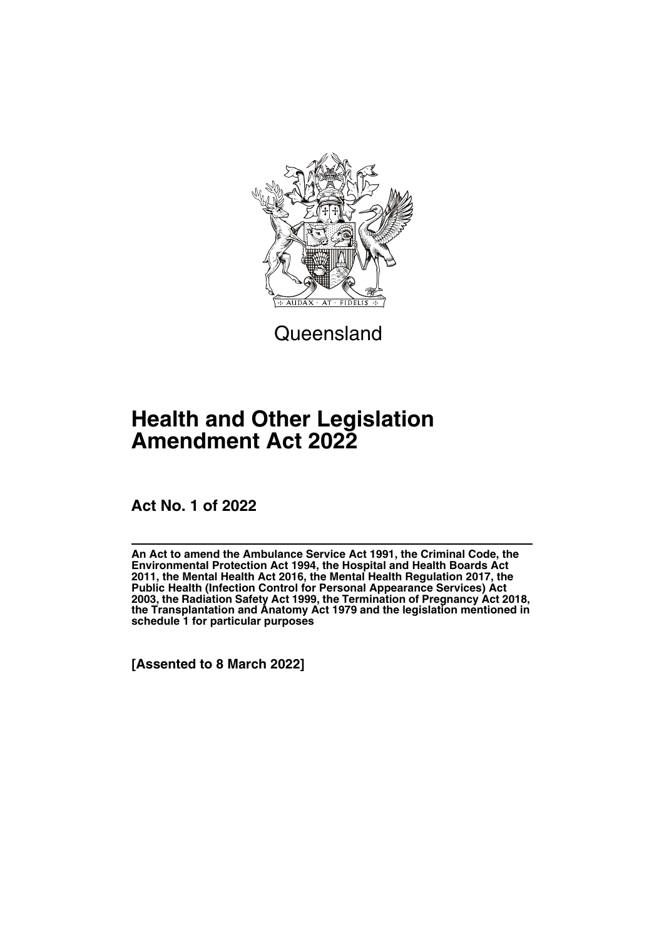

**Queensland** 

# **Health and Other Legislation Amendment Act 2022**

**Act No. 1 of 2022**

**An Act to amend the Ambulance Service Act 1991, the Criminal Code, the Environmental Protection Act 1994, the Hospital and Health Boards Act 2011, the Mental Health Act 2016, the Mental Health Regulation 2017, the Public Health (Infection Control for Personal Appearance Services) Act 2003, the Radiation Safety Act 1999, the Termination of Pregnancy Act 2018, the Transplantation and Anatomy Act 1979 and the legislation mentioned in schedule 1 for particular purposes**

**[Assented to 8 March 2022]**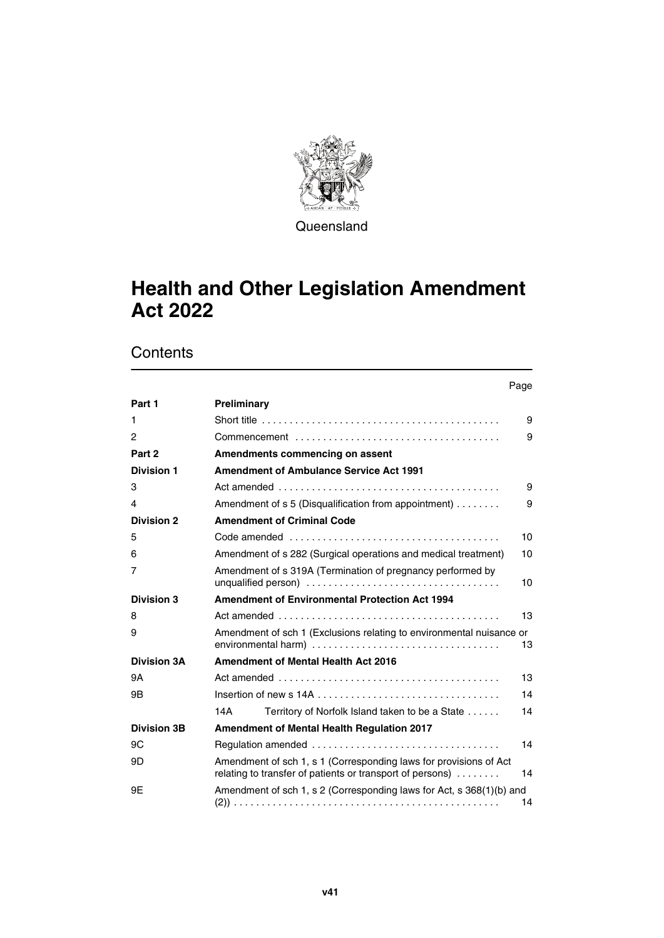

**Queensland** 

# **Health and Other Legislation Amendment Act 2022**

|                    | Page                                                                                                                                 |
|--------------------|--------------------------------------------------------------------------------------------------------------------------------------|
| Part 1             | Preliminary                                                                                                                          |
| 1                  | Short title $\ldots \ldots \ldots \ldots \ldots \ldots \ldots \ldots \ldots \ldots \ldots \ldots$<br>9                               |
| 2                  | 9                                                                                                                                    |
| Part 2             | Amendments commencing on assent                                                                                                      |
| <b>Division 1</b>  | <b>Amendment of Ambulance Service Act 1991</b>                                                                                       |
| 3                  | 9                                                                                                                                    |
| 4                  | Amendment of s 5 (Disqualification from appointment)<br>9                                                                            |
| <b>Division 2</b>  | <b>Amendment of Criminal Code</b>                                                                                                    |
| 5                  | 10                                                                                                                                   |
| 6                  | Amendment of s 282 (Surgical operations and medical treatment)<br>10                                                                 |
| 7                  | Amendment of s 319A (Termination of pregnancy performed by<br>10                                                                     |
| <b>Division 3</b>  | <b>Amendment of Environmental Protection Act 1994</b>                                                                                |
| 8                  | 13                                                                                                                                   |
| 9                  | Amendment of sch 1 (Exclusions relating to environmental nuisance or<br>13                                                           |
| <b>Division 3A</b> | <b>Amendment of Mental Health Act 2016</b>                                                                                           |
| 9A                 | 13                                                                                                                                   |
| 9Β                 | 14                                                                                                                                   |
|                    | 14A<br>Territory of Norfolk Island taken to be a State<br>14                                                                         |
| <b>Division 3B</b> | Amendment of Mental Health Regulation 2017                                                                                           |
| 9C                 | 14                                                                                                                                   |
| 9D                 | Amendment of sch 1, s 1 (Corresponding laws for provisions of Act<br>relating to transfer of patients or transport of persons)<br>14 |
| 9E                 | Amendment of sch 1, s 2 (Corresponding laws for Act, s 368(1)(b) and<br>14                                                           |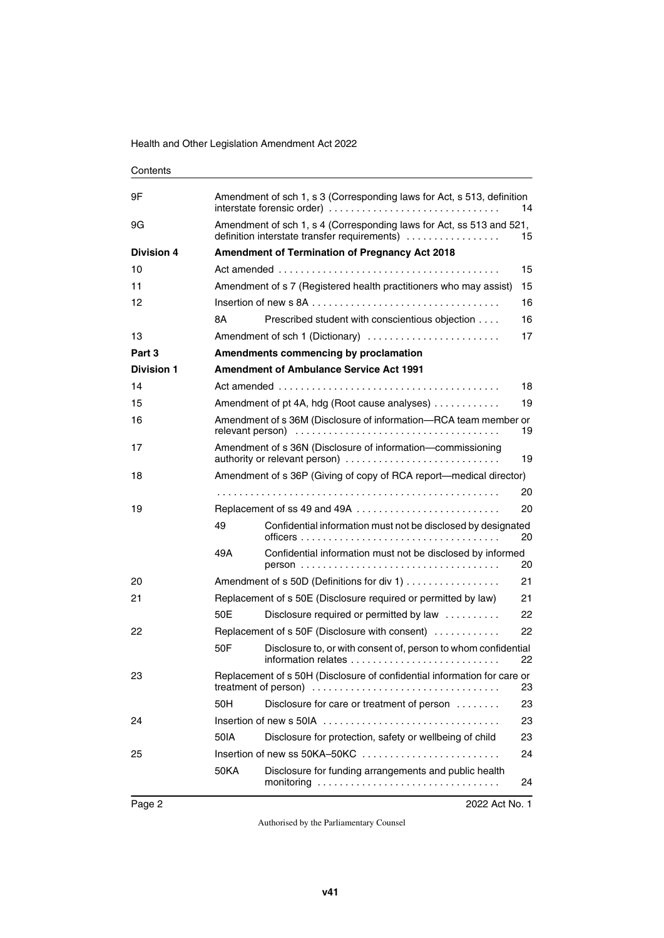| Contents          |                                                                                                                      |                                                                                                    |    |  |  |
|-------------------|----------------------------------------------------------------------------------------------------------------------|----------------------------------------------------------------------------------------------------|----|--|--|
| 9Ε                | Amendment of sch 1, s 3 (Corresponding laws for Act, s 513, definition<br>interstate forensic order)<br>14           |                                                                                                    |    |  |  |
| 9G                | Amendment of sch 1, s 4 (Corresponding laws for Act, ss 513 and 521,<br>definition interstate transfer requirements) |                                                                                                    | 15 |  |  |
| <b>Division 4</b> |                                                                                                                      | <b>Amendment of Termination of Pregnancy Act 2018</b>                                              |    |  |  |
| 10                |                                                                                                                      |                                                                                                    | 15 |  |  |
| 11                |                                                                                                                      | Amendment of s 7 (Registered health practitioners who may assist)<br>15                            |    |  |  |
| 12                |                                                                                                                      |                                                                                                    | 16 |  |  |
|                   | 8Α                                                                                                                   | Prescribed student with conscientious objection                                                    | 16 |  |  |
| 13                |                                                                                                                      | Amendment of sch 1 (Dictionary)                                                                    | 17 |  |  |
| Part 3            |                                                                                                                      | Amendments commencing by proclamation                                                              |    |  |  |
| <b>Division 1</b> |                                                                                                                      | <b>Amendment of Ambulance Service Act 1991</b>                                                     |    |  |  |
| 14                |                                                                                                                      |                                                                                                    | 18 |  |  |
| 15                |                                                                                                                      | Amendment of pt 4A, hdg (Root cause analyses)                                                      | 19 |  |  |
| 16                |                                                                                                                      | Amendment of s 36M (Disclosure of information-RCA team member or<br>19                             |    |  |  |
| 17                |                                                                                                                      | Amendment of s 36N (Disclosure of information-commissioning<br>authority or relevant person)<br>19 |    |  |  |
| 18                |                                                                                                                      | Amendment of s 36P (Giving of copy of RCA report—medical director)                                 |    |  |  |
|                   |                                                                                                                      |                                                                                                    | 20 |  |  |
| 19                |                                                                                                                      | Replacement of ss 49 and 49A                                                                       | 20 |  |  |
|                   | 49                                                                                                                   | Confidential information must not be disclosed by designated                                       | 20 |  |  |
|                   | 49A                                                                                                                  | Confidential information must not be disclosed by informed                                         | 20 |  |  |
| 20                |                                                                                                                      | Amendment of s 50D (Definitions for div 1)                                                         | 21 |  |  |
| 21                |                                                                                                                      | Replacement of s 50E (Disclosure required or permitted by law)                                     | 21 |  |  |
|                   | 50E                                                                                                                  | Disclosure required or permitted by law                                                            | 22 |  |  |
| 22                |                                                                                                                      | Replacement of s 50F (Disclosure with consent)                                                     | 22 |  |  |
|                   | 50F                                                                                                                  | Disclosure to, or with consent of, person to whom confidential                                     | 22 |  |  |
| 23                | Replacement of s 50H (Disclosure of confidential information for care or<br>23                                       |                                                                                                    |    |  |  |
|                   | 50H                                                                                                                  | Disclosure for care or treatment of person                                                         | 23 |  |  |
| 24                |                                                                                                                      |                                                                                                    | 23 |  |  |
|                   | 50IA                                                                                                                 | Disclosure for protection, safety or wellbeing of child                                            | 23 |  |  |
| 25                |                                                                                                                      | Insertion of new ss 50KA-50KC                                                                      | 24 |  |  |
|                   | <b>50KA</b>                                                                                                          | Disclosure for funding arrangements and public health                                              | 24 |  |  |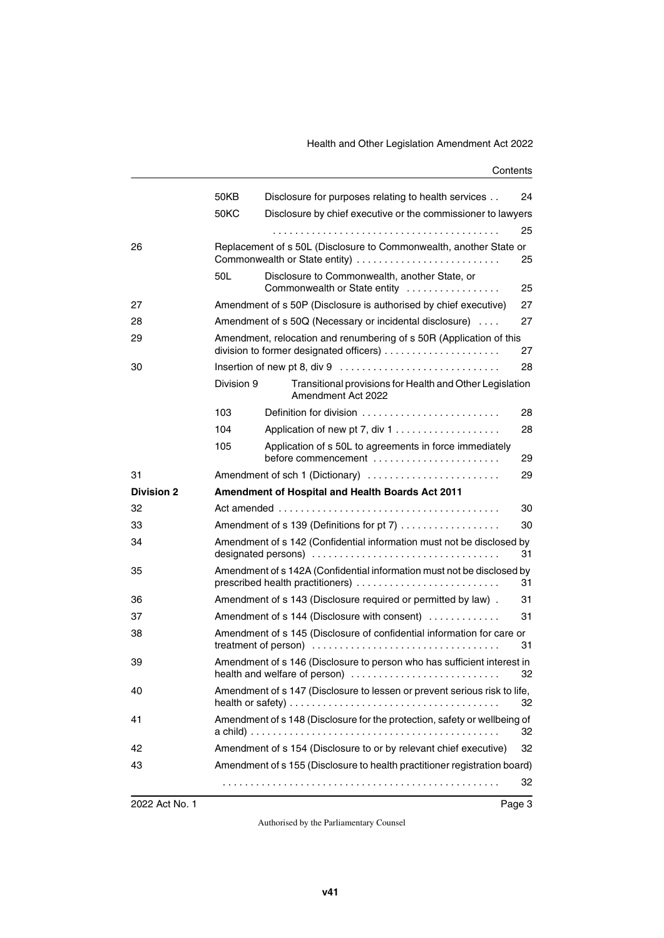|                   | 50KB       | Disclosure for purposes relating to health services                                                        | 24 |
|-------------------|------------|------------------------------------------------------------------------------------------------------------|----|
|                   | 50KC       | Disclosure by chief executive or the commissioner to lawyers                                               |    |
|                   |            |                                                                                                            | 25 |
| 26                |            | Replacement of s 50L (Disclosure to Commonwealth, another State or<br>Commonwealth or State entity)        | 25 |
|                   | 50L        | Disclosure to Commonwealth, another State, or<br>Commonwealth or State entity                              | 25 |
| 27                |            | Amendment of s 50P (Disclosure is authorised by chief executive)                                           | 27 |
| 28                |            | Amendment of s 50Q (Necessary or incidental disclosure)                                                    | 27 |
| 29                |            | Amendment, relocation and renumbering of s 50R (Application of this                                        | 27 |
| 30                |            |                                                                                                            | 28 |
|                   | Division 9 | Transitional provisions for Health and Other Legislation<br>Amendment Act 2022                             |    |
|                   | 103        | Definition for division                                                                                    | 28 |
|                   | 104        |                                                                                                            | 28 |
|                   | 105        | Application of s 50L to agreements in force immediately<br>before commencement                             | 29 |
| 31                |            | Amendment of sch 1 (Dictionary)                                                                            | 29 |
|                   |            |                                                                                                            |    |
| <b>Division 2</b> |            | Amendment of Hospital and Health Boards Act 2011                                                           |    |
| 32                |            |                                                                                                            | 30 |
| 33                |            | Amendment of s 139 (Definitions for pt 7)                                                                  | 30 |
| 34                |            | Amendment of s 142 (Confidential information must not be disclosed by                                      | 31 |
| 35                |            | Amendment of s 142A (Confidential information must not be disclosed by<br>prescribed health practitioners) | 31 |
| 36                |            | Amendment of s 143 (Disclosure required or permitted by law).                                              | 31 |
| 37                |            | Amendment of s 144 (Disclosure with consent)                                                               | 31 |
| 38                |            | Amendment of s 145 (Disclosure of confidential information for care or                                     | 31 |
| 39                |            | Amendment of s 146 (Disclosure to person who has sufficient interest in<br>health and welfare of person)   | 32 |
| 40                |            | Amendment of s 147 (Disclosure to lessen or prevent serious risk to life,                                  | 32 |
| 41                |            | Amendment of s 148 (Disclosure for the protection, safety or wellbeing of                                  | 32 |
| 42                |            | Amendment of s 154 (Disclosure to or by relevant chief executive)                                          | 32 |
| 43                |            | Amendment of s 155 (Disclosure to health practitioner registration board)                                  |    |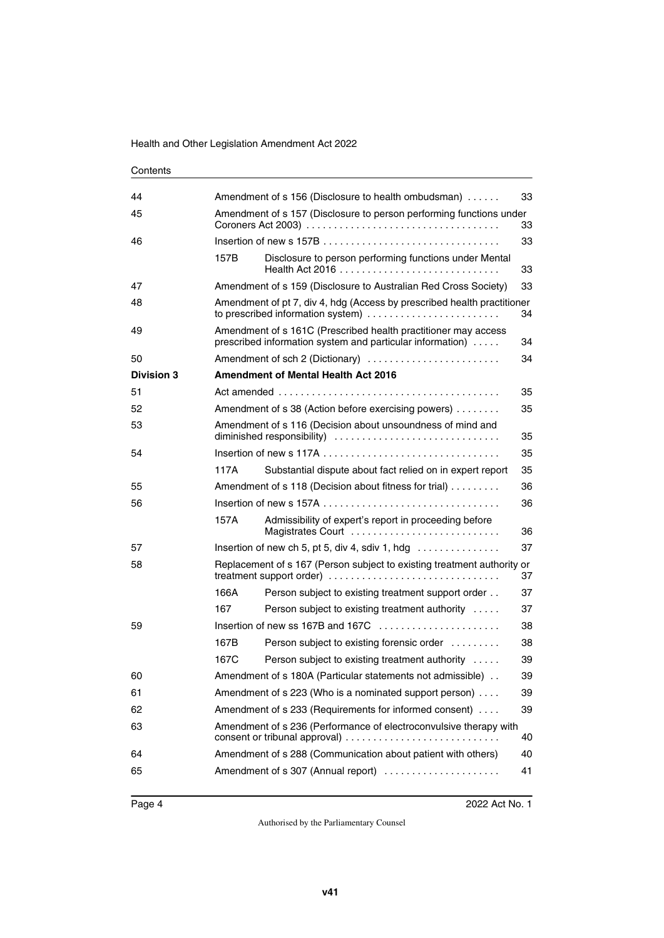| 44                |      | Amendment of s 156 (Disclosure to health ombudsman)<br>33                                                                         |    |  |
|-------------------|------|-----------------------------------------------------------------------------------------------------------------------------------|----|--|
| 45                |      | Amendment of s 157 (Disclosure to person performing functions under<br>33                                                         |    |  |
| 46                |      |                                                                                                                                   | 33 |  |
|                   | 157B | Disclosure to person performing functions under Mental                                                                            | 33 |  |
| 47                |      | Amendment of s 159 (Disclosure to Australian Red Cross Society)                                                                   | 33 |  |
| 48                |      | Amendment of pt 7, div 4, hdg (Access by prescribed health practitioner<br>to prescribed information system)<br>34                |    |  |
| 49                |      | Amendment of s 161C (Prescribed health practitioner may access<br>prescribed information system and particular information)<br>34 |    |  |
| 50                |      | Amendment of sch 2 (Dictionary)                                                                                                   | 34 |  |
| <b>Division 3</b> |      | <b>Amendment of Mental Health Act 2016</b>                                                                                        |    |  |
| 51                |      |                                                                                                                                   | 35 |  |
| 52                |      | Amendment of s 38 (Action before exercising powers)                                                                               | 35 |  |
| 53                |      | Amendment of s 116 (Decision about unsoundness of mind and<br>35                                                                  |    |  |
| 54                |      |                                                                                                                                   | 35 |  |
|                   | 117A | Substantial dispute about fact relied on in expert report                                                                         | 35 |  |
| 55                |      | Amendment of s 118 (Decision about fitness for trial)<br>36                                                                       |    |  |
| 56                |      |                                                                                                                                   | 36 |  |
|                   | 157A | Admissibility of expert's report in proceeding before<br>Magistrates Court                                                        | 36 |  |
| 57                |      | Insertion of new ch 5, pt 5, div 4, sdiv 1, hdg                                                                                   | 37 |  |
| 58                |      | Replacement of s 167 (Person subject to existing treatment authority or<br>treatment support order)                               | 37 |  |
|                   | 166A | Person subject to existing treatment support order                                                                                | 37 |  |
|                   | 167  | Person subject to existing treatment authority                                                                                    | 37 |  |
| 59                |      | Insertion of new ss 167B and 167C                                                                                                 | 38 |  |
|                   | 167B | Person subject to existing forensic order                                                                                         | 38 |  |
|                   | 167C | Person subject to existing treatment authority                                                                                    | 39 |  |
| 60                |      | Amendment of s 180A (Particular statements not admissible)                                                                        | 39 |  |
| 61                |      | Amendment of s 223 (Who is a nominated support person)                                                                            | 39 |  |
| 62                |      | Amendment of s 233 (Requirements for informed consent)<br>39                                                                      |    |  |
| 63                |      | Amendment of s 236 (Performance of electroconvulsive therapy with<br>40                                                           |    |  |
| 64                |      | Amendment of s 288 (Communication about patient with others)                                                                      | 40 |  |
| 65                |      | Amendment of s 307 (Annual report)                                                                                                | 41 |  |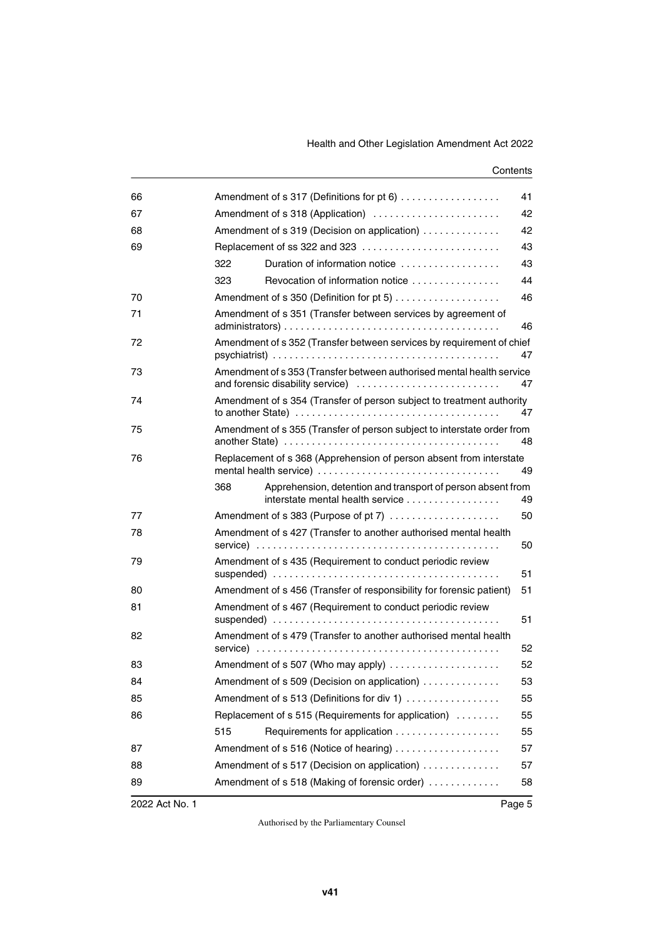| 66 |                                                                     | Amendment of s 317 (Definitions for pt 6)                                                                                                                                        | 41 |
|----|---------------------------------------------------------------------|----------------------------------------------------------------------------------------------------------------------------------------------------------------------------------|----|
| 67 | Amendment of s 318 (Application)<br>42                              |                                                                                                                                                                                  |    |
| 68 | Amendment of s 319 (Decision on application)<br>42                  |                                                                                                                                                                                  |    |
| 69 |                                                                     | Replacement of ss 322 and 323                                                                                                                                                    | 43 |
|    | 322                                                                 | Duration of information notice                                                                                                                                                   | 43 |
|    | 323                                                                 | Revocation of information notice                                                                                                                                                 | 44 |
| 70 |                                                                     |                                                                                                                                                                                  | 46 |
| 71 | Amendment of s 351 (Transfer between services by agreement of<br>46 |                                                                                                                                                                                  |    |
| 72 |                                                                     | Amendment of s 352 (Transfer between services by requirement of chief                                                                                                            | 47 |
| 73 |                                                                     | Amendment of s 353 (Transfer between authorised mental health service<br>and forensic disability service)                                                                        | 47 |
| 74 |                                                                     | Amendment of s 354 (Transfer of person subject to treatment authority<br>to another State) $\ldots \ldots \ldots \ldots \ldots \ldots \ldots \ldots \ldots \ldots \ldots \ldots$ | 47 |
| 75 |                                                                     | Amendment of s 355 (Transfer of person subject to interstate order from                                                                                                          | 48 |
| 76 |                                                                     | Replacement of s 368 (Apprehension of person absent from interstate<br>mental health service)                                                                                    | 49 |
|    | 368                                                                 | Apprehension, detention and transport of person absent from<br>interstate mental health service                                                                                  | 49 |
| 77 |                                                                     | Amendment of s 383 (Purpose of pt 7)                                                                                                                                             | 50 |
| 78 |                                                                     | Amendment of s 427 (Transfer to another authorised mental health                                                                                                                 | 50 |
| 79 |                                                                     | Amendment of s 435 (Requirement to conduct periodic review                                                                                                                       | 51 |
| 80 |                                                                     | Amendment of s 456 (Transfer of responsibility for forensic patient)                                                                                                             | 51 |
| 81 |                                                                     | Amendment of s 467 (Requirement to conduct periodic review                                                                                                                       | 51 |
| 82 |                                                                     | Amendment of s 479 (Transfer to another authorised mental health                                                                                                                 | 52 |
| 83 |                                                                     |                                                                                                                                                                                  | 52 |
| 84 |                                                                     | Amendment of s 509 (Decision on application)                                                                                                                                     | 53 |
| 85 |                                                                     | Amendment of s 513 (Definitions for div 1)                                                                                                                                       | 55 |
| 86 |                                                                     | Replacement of s 515 (Requirements for application)                                                                                                                              | 55 |
|    | 515                                                                 |                                                                                                                                                                                  | 55 |
| 87 |                                                                     | Amendment of s 516 (Notice of hearing)                                                                                                                                           | 57 |
| 88 |                                                                     | Amendment of s 517 (Decision on application)                                                                                                                                     | 57 |
| 89 |                                                                     | Amendment of s 518 (Making of forensic order)                                                                                                                                    | 58 |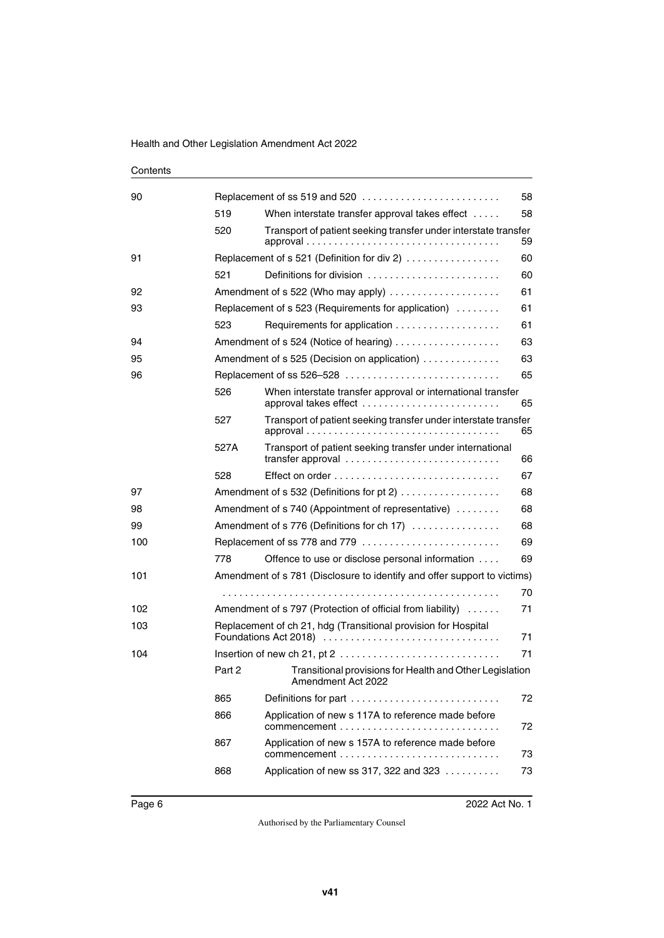## [Replacement of ss 519 and 520 . . . . . . . . . . . . . . . . . . . . . . . . . 58](#page-59-3)  [When interstate transfer approval takes effect . . . . . 58](#page-59-5)  [Transport of patient seeking transfer under interstate transfer](#page-60-1)  [approval . . . . . . . . . . . . . . . . . . . . . . . . . . . . . . . . . . . 59](#page-60-1)  [Replacement of s 521 \(Definition for div 2\) . . . . . . . . . . . . . . . . . 60](#page-61-1)  [Definitions for division . . . . . . . . . . . . . . . . . . . . . . . . 60](#page-61-3)  [Amendment of s 522 \(Who may apply\) . . . . . . . . . . . . . . . . . . . . 61](#page-62-1) Replacement of s 523 (Requirements for application) ......... 61  [Requirements for application . . . . . . . . . . . . . . . . . . . 61](#page-62-5)  [Amendment of s 524 \(Notice of hearing\) . . . . . . . . . . . . . . . . . . . 63](#page-64-1)  [Amendment of s 525 \(Decision on application\) . . . . . . . . . . . . . . 63](#page-64-3)  [Replacement of ss 526–528 . . . . . . . . . . . . . . . . . . . . . . . . . . . . 65](#page-66-1)  [When interstate transfer approval or international transfer](#page-66-3)  [approval takes effect . . . . . . . . . . . . . . . . . . . . . . . . . 65](#page-66-3)  [Transport of patient seeking transfer under interstate transfer](#page-66-5)  [approval . . . . . . . . . . . . . . . . . . . . . . . . . . . . . . . . . . . 65](#page-66-5) [527A](#page-67-0) [Transport of patient seeking transfer under international](#page-67-1)  [transfer approval . . . . . . . . . . . . . . . . . . . . . . . . . . . . 66](#page-67-1)  [Effect on order . . . . . . . . . . . . . . . . . . . . . . . . . . . . . . 67](#page-68-1)  [Amendment of s 532 \(Definitions for pt 2\) . . . . . . . . . . . . . . . . . . 68](#page-69-1) Amendment of s 740 (Appointment of representative) ........ 68  [Amendment of s 776 \(Definitions for ch 17\) . . . . . . . . . . . . . . . . 68](#page-69-5)  [Replacement of ss 778 and 779 . . . . . . . . . . . . . . . . . . . . . . . . . 69](#page-70-1)  [Offence to use or disclose personal information . . . . 69](#page-70-3)  [Amendment of s 781 \(Disclosure to identify and offer support to victims\)](#page-71-1) . . . . . . . . . . . . . . . . . . . . . . . . . . . . . . . . . . . . . . . . . . . . . . . . . . 70  [Amendment of s 797 \(Protection of official from liability\) . . . . . . 71](#page-72-1)  [Replacement of ch 21, hdg \(Transitional provision for Hospital](#page-72-3)  [Foundations Act 2018\) . . . . . . . . . . . . . . . . . . . . . . . . . . . . . . . . 71](#page-72-3)  [Insertion of new ch 21, pt 2 . . . . . . . . . . . . . . . . . . . . . . . . . . . . . 71](#page-72-5) [Part 2](#page-73-0) Transitional provisions for Health and Other Legislation [Amendment Act 2022](#page-73-1)  [Definitions for part . . . . . . . . . . . . . . . . . . . . . . . . . . . 72](#page-73-3)  [Application of new s 117A to reference made before](#page-73-5)  [commencement . . . . . . . . . . . . . . . . . . . . . . . . . . . . . 72](#page-73-5)  [Application of new s 157A to reference made before](#page-74-1)  [commencement . . . . . . . . . . . . . . . . . . . . . . . . . . . . . 73](#page-74-1)  [Application of new ss 317, 322 and 323 . . . . . . . . . . 73](#page-74-3)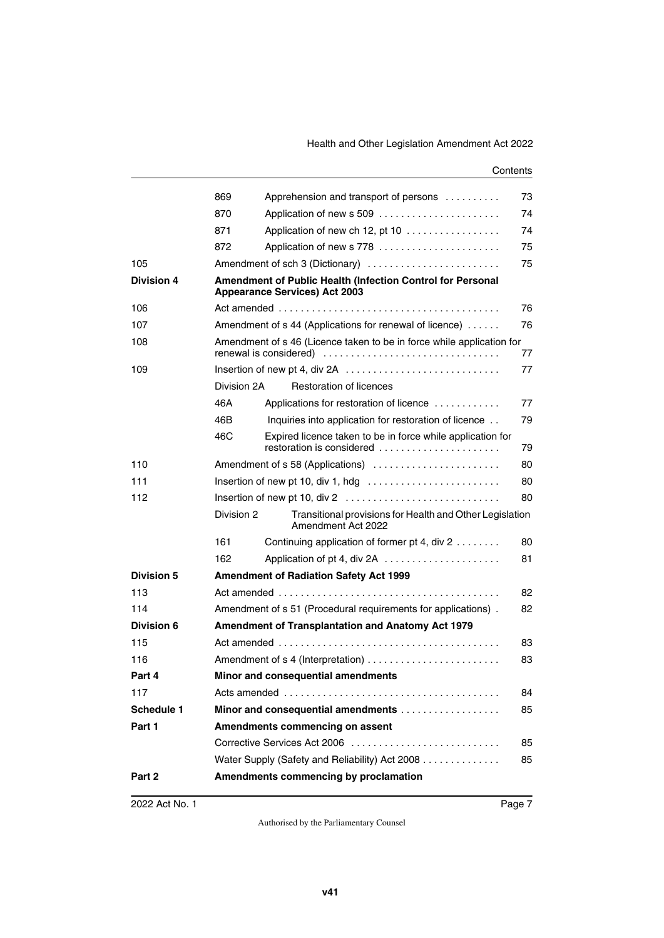|                   | 869                                                                                                | Apprehension and transport of persons                                                   | 73 |
|-------------------|----------------------------------------------------------------------------------------------------|-----------------------------------------------------------------------------------------|----|
|                   | 870                                                                                                |                                                                                         | 74 |
|                   | 871                                                                                                | Application of new ch 12, pt 10                                                         | 74 |
|                   | 872                                                                                                | Application of new s 778                                                                | 75 |
| 105               |                                                                                                    | Amendment of sch 3 (Dictionary)                                                         | 75 |
| <b>Division 4</b> | Amendment of Public Health (Infection Control for Personal<br><b>Appearance Services) Act 2003</b> |                                                                                         |    |
| 106               |                                                                                                    |                                                                                         | 76 |
| 107               |                                                                                                    | Amendment of s 44 (Applications for renewal of licence)                                 | 76 |
| 108               | Amendment of s 46 (Licence taken to be in force while application for<br>77                        |                                                                                         |    |
| 109               |                                                                                                    | Insertion of new pt 4, div 2A                                                           | 77 |
|                   | Division 2A                                                                                        | <b>Restoration of licences</b>                                                          |    |
|                   | 46A                                                                                                | Applications for restoration of licence                                                 | 77 |
|                   | 46B                                                                                                | Inquiries into application for restoration of licence                                   | 79 |
|                   | 46C                                                                                                | Expired licence taken to be in force while application for<br>restoration is considered | 79 |
| 110               |                                                                                                    | Amendment of s 58 (Applications)                                                        | 80 |
| 111               |                                                                                                    | Insertion of new pt 10, div 1, hdg $\dots \dots \dots \dots \dots \dots \dots \dots$    | 80 |
| 112               |                                                                                                    |                                                                                         | 80 |
|                   | Division 2                                                                                         | Transitional provisions for Health and Other Legislation<br>Amendment Act 2022          |    |
|                   | 161                                                                                                | Continuing application of former pt 4, div 2                                            | 80 |
|                   | 162                                                                                                |                                                                                         | 81 |
| <b>Division 5</b> |                                                                                                    | <b>Amendment of Radiation Safety Act 1999</b>                                           |    |
| 113               |                                                                                                    |                                                                                         | 82 |
| 114               | Amendment of s 51 (Procedural requirements for applications).<br>82                                |                                                                                         |    |
| Division 6        | <b>Amendment of Transplantation and Anatomy Act 1979</b>                                           |                                                                                         |    |
| 115               | 83                                                                                                 |                                                                                         |    |
| 116               | Amendment of s 4 (Interpretation)<br>83                                                            |                                                                                         |    |
| Part 4            | Minor and consequential amendments                                                                 |                                                                                         |    |
| 117               |                                                                                                    |                                                                                         | 84 |
| <b>Schedule 1</b> |                                                                                                    | Minor and consequential amendments                                                      | 85 |
| Part 1            |                                                                                                    | Amendments commencing on assent                                                         |    |
|                   |                                                                                                    | Corrective Services Act 2006                                                            | 85 |
|                   |                                                                                                    | Water Supply (Safety and Reliability) Act 2008                                          | 85 |
| Part 2            |                                                                                                    | Amendments commencing by proclamation                                                   |    |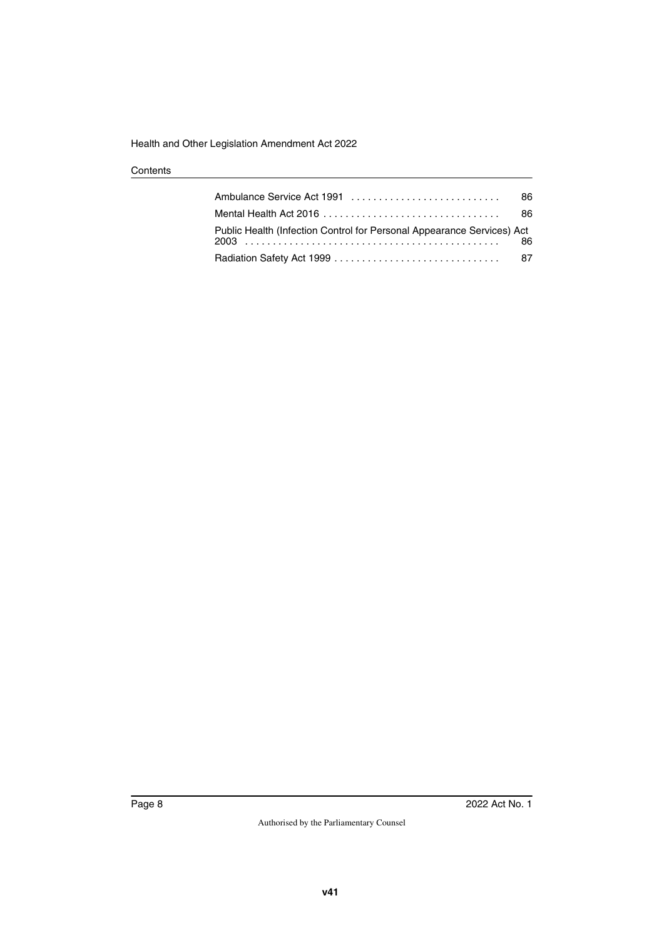|                                                                        | 86. |
|------------------------------------------------------------------------|-----|
|                                                                        | 86. |
| Public Health (Infection Control for Personal Appearance Services) Act | 86  |
|                                                                        |     |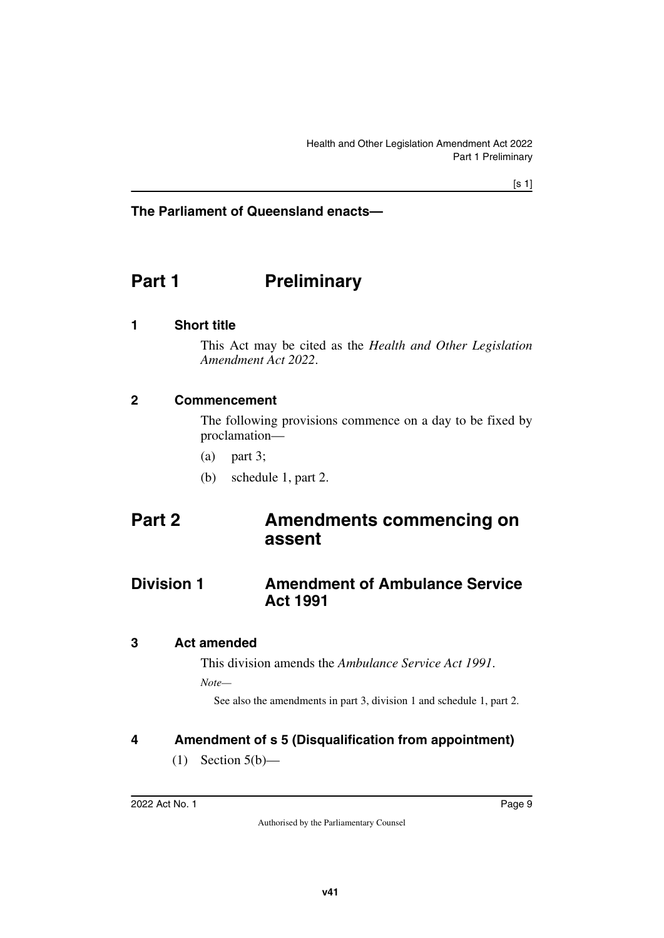## **The Parliament of Queensland enacts—**

# <span id="page-10-0"></span>**Part 1** Preliminary

## <span id="page-10-2"></span>**1 Short title**

<span id="page-10-3"></span><span id="page-10-1"></span>This Act may be cited as the *Health and Other Legislation Amendment Act 2022*.

#### <span id="page-10-4"></span>**2 Commencement**

<span id="page-10-5"></span>The following provisions commence on a day to be fixed by proclamation—

- (a) part 3;
- <span id="page-10-9"></span><span id="page-10-7"></span>(b) schedule 1, part 2.

# <span id="page-10-6"></span>**Part 2 Amendments commencing on assent**

## <span id="page-10-8"></span>**Division 1** Amendment of Ambulance Service **Act 1991**

#### <span id="page-10-10"></span>**3 Act amended**

<span id="page-10-11"></span>This division amends the *Ambulance Service Act 1991*.

*Note—*

See also the amendments in part 3, division 1 and schedule 1, part 2.

## <span id="page-10-12"></span>**4 Amendment of s 5 (Disqualification from appointment)**

<span id="page-10-13"></span> $(1)$  Section  $5(b)$ —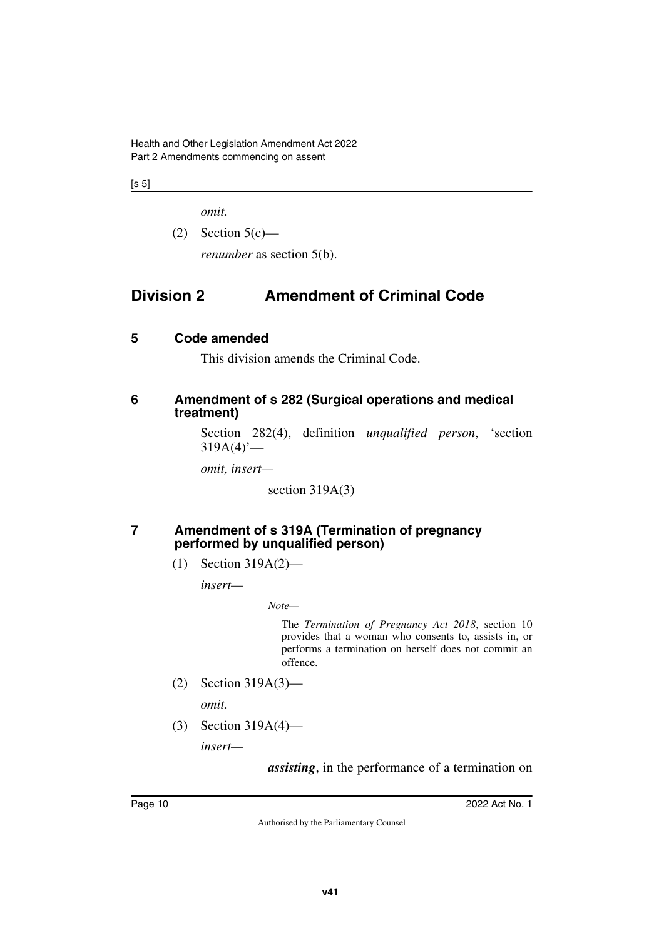Health and Other Legislation Amendment Act 2022 Part 2 Amendments commencing on assent

 $[s 5]$ 

*omit.*

 $(2)$  Section  $5(c)$ —

<span id="page-11-1"></span>*renumber* as section 5(b).

# <span id="page-11-0"></span>**Division 2 Amendment of Criminal Code**

## <span id="page-11-2"></span>**5 Code amended**

<span id="page-11-5"></span><span id="page-11-3"></span>This division amends the Criminal Code.

## <span id="page-11-4"></span>**6 Amendment of s 282 (Surgical operations and medical treatment)**

Section 282(4), definition *unqualified person*, 'section  $319A(4)$ <sup>'</sup>—

*omit, insert—*

section 319A(3)

#### <span id="page-11-6"></span>**7 Amendment of s 319A (Termination of pregnancy performed by unqualified person)**

<span id="page-11-7"></span>(1) Section 319A(2)—

*insert—*

*Note—*

The *Termination of Pregnancy Act 2018*, section 10 provides that a woman who consents to, assists in, or performs a termination on herself does not commit an offence.

(2) Section 319A(3)—

*omit.*

(3) Section 319A(4)—

*insert—*

*assisting*, in the performance of a termination on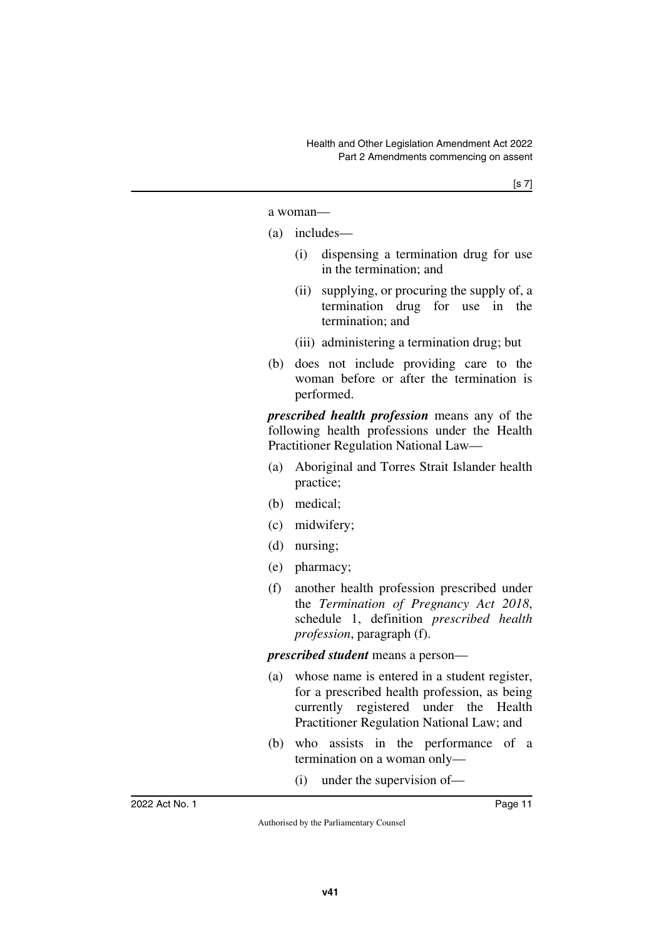a woman—

- (a) includes—
	- (i) dispensing a termination drug for use in the termination; and
	- (ii) supplying, or procuring the supply of, a termination drug for use in the termination; and
	- (iii) administering a termination drug; but
- (b) does not include providing care to the woman before or after the termination is performed.

*prescribed health profession* means any of the following health professions under the Health Practitioner Regulation National Law—

- (a) Aboriginal and Torres Strait Islander health practice;
- (b) medical;
- (c) midwifery;
- (d) nursing;
- (e) pharmacy;
- (f) another health profession prescribed under the *Termination of Pregnancy Act 2018*, schedule 1, definition *prescribed health profession*, paragraph (f).

*prescribed student* means a person—

- (a) whose name is entered in a student register, for a prescribed health profession, as being currently registered under the Health Practitioner Regulation National Law; and
- (b) who assists in the performance of a termination on a woman only—
	- (i) under the supervision of—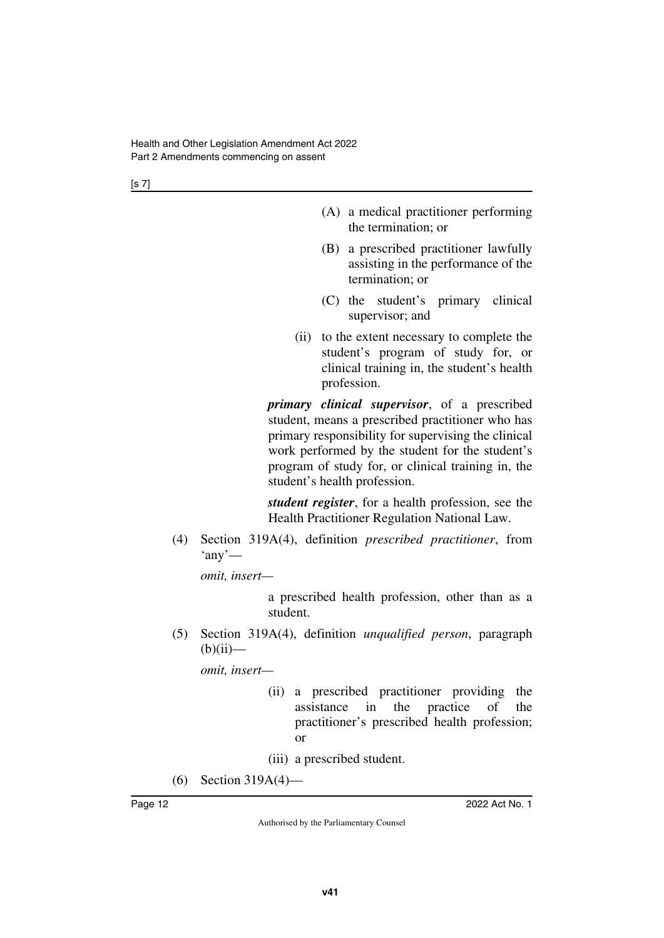[s 7]

- (A) a medical practitioner performing the termination; or
- (B) a prescribed practitioner lawfully assisting in the performance of the termination; or
- (C) the student's primary clinical supervisor; and
- (ii) to the extent necessary to complete the student's program of study for, or clinical training in, the student's health profession.

*primary clinical supervisor*, of a prescribed student, means a prescribed practitioner who has primary responsibility for supervising the clinical work performed by the student for the student's program of study for, or clinical training in, the student's health profession.

*student register*, for a health profession, see the Health Practitioner Regulation National Law.

(4) Section 319A(4), definition *prescribed practitioner*, from  $'$ any'—

*omit, insert—*

a prescribed health profession, other than as a student.

(5) Section 319A(4), definition *unqualified person*, paragraph  $(b)(ii)$ —

*omit, insert—*

(ii) a prescribed practitioner providing the assistance in the practice of the practitioner's prescribed health profession; or

(iii) a prescribed student.

(6) Section 319A(4)—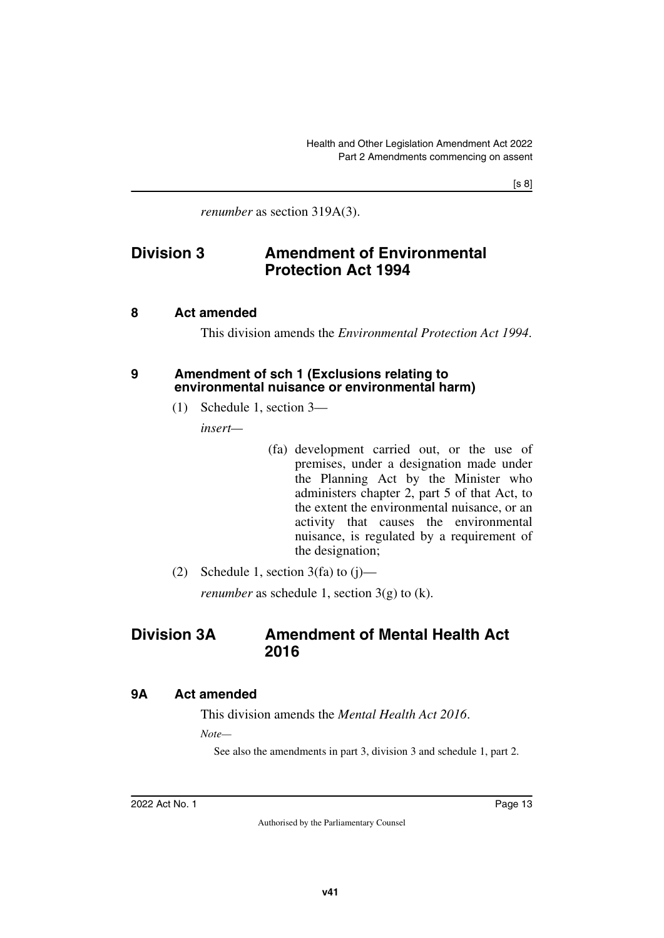[s 8]

<span id="page-14-1"></span>*renumber* as section 319A(3).

## <span id="page-14-0"></span>**Division 3 Amendment of Environmental Protection Act 1994**

## <span id="page-14-2"></span>**8 Act amended**

<span id="page-14-5"></span><span id="page-14-3"></span>This division amends the *Environmental Protection Act 1994*.

#### <span id="page-14-4"></span>**9 Amendment of sch 1 (Exclusions relating to environmental nuisance or environmental harm)**

(1) Schedule 1, section 3—

*insert—*

- (fa) development carried out, or the use of premises, under a designation made under the Planning Act by the Minister who administers chapter 2, part 5 of that Act, to the extent the environmental nuisance, or an activity that causes the environmental nuisance, is regulated by a requirement of the designation;
- (2) Schedule 1, section  $3(fa)$  to  $(i)$ —

<span id="page-14-7"></span>*renumber* as schedule 1, section  $3(g)$  to (k).

## <span id="page-14-6"></span>**Division 3A Amendment of Mental Health Act 2016**

## <span id="page-14-8"></span>**9A Act amended**

<span id="page-14-9"></span>This division amends the *Mental Health Act 2016*.

*Note—*

See also the amendments in part 3, division 3 and schedule 1, part 2.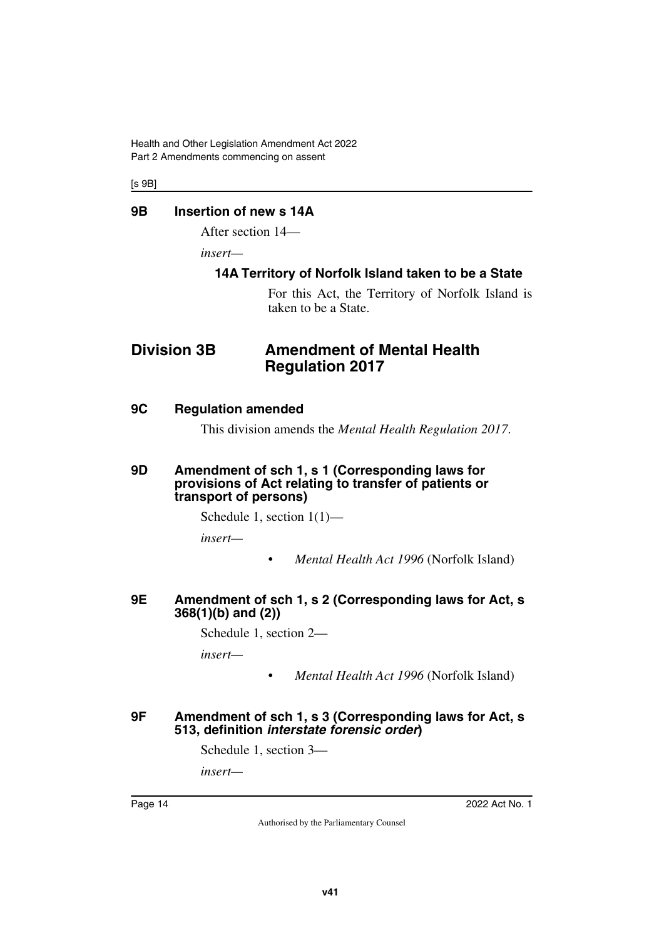Health and Other Legislation Amendment Act 2022 Part 2 Amendments commencing on assent

[s 9B]

## <span id="page-15-0"></span>**9B Insertion of new s 14A**

<span id="page-15-1"></span>After section 14—

*insert—*

## <span id="page-15-3"></span><span id="page-15-2"></span>**14A Territory of Norfolk Island taken to be a State**

<span id="page-15-5"></span>For this Act, the Territory of Norfolk Island is taken to be a State.

## <span id="page-15-4"></span>**Division 3B Amendment of Mental Health Regulation 2017**

#### <span id="page-15-6"></span>**9C Regulation amended**

<span id="page-15-9"></span><span id="page-15-7"></span>This division amends the *Mental Health Regulation 2017*.

#### <span id="page-15-8"></span>**9D Amendment of sch 1, s 1 (Corresponding laws for provisions of Act relating to transfer of patients or transport of persons)**

Schedule 1, section 1(1)—

*insert—*

• *Mental Health Act 1996* (Norfolk Island)

#### <span id="page-15-11"></span><span id="page-15-10"></span>**9E Amendment of sch 1, s 2 (Corresponding laws for Act, s 368(1)(b) and (2))**

Schedule 1, section 2—

*insert—*

• *Mental Health Act 1996* (Norfolk Island)

#### <span id="page-15-13"></span><span id="page-15-12"></span>**9F Amendment of sch 1, s 3 (Corresponding laws for Act, s 513, definition** *interstate forensic order***)**

Schedule 1, section 3—

*insert—*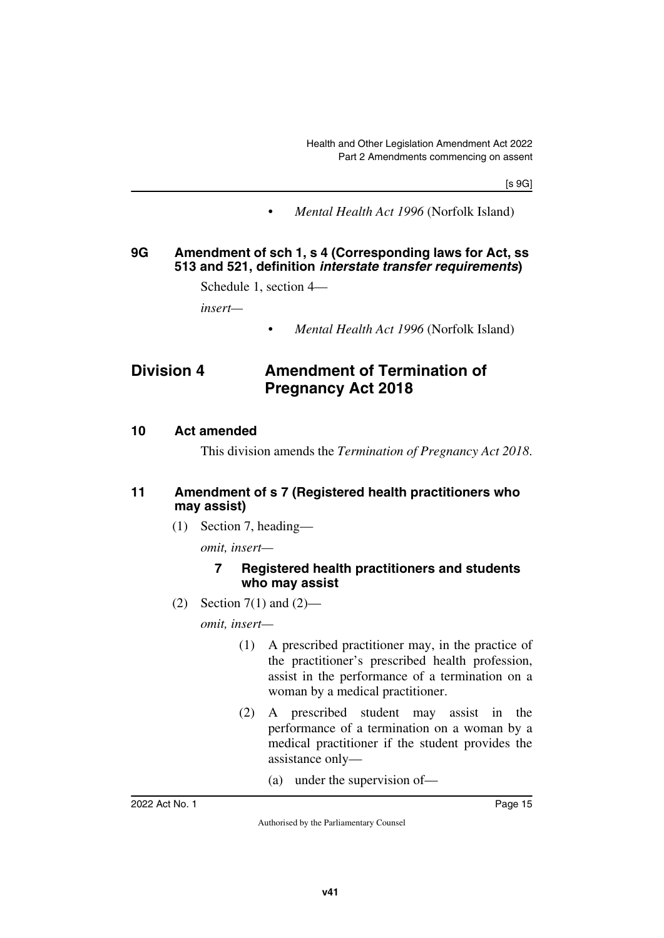[s 9G]

• *Mental Health Act 1996* (Norfolk Island)

## <span id="page-16-1"></span><span id="page-16-0"></span>**9G Amendment of sch 1, s 4 (Corresponding laws for Act, ss 513 and 521, definition** *interstate transfer requirements***)**

Schedule 1, section 4—

*insert—*

<span id="page-16-3"></span>• *Mental Health Act 1996* (Norfolk Island)

## <span id="page-16-2"></span>**Division 4 Amendment of Termination of Pregnancy Act 2018**

#### <span id="page-16-4"></span>**10 Act amended**

<span id="page-16-7"></span><span id="page-16-5"></span>This division amends the *Termination of Pregnancy Act 2018*.

## <span id="page-16-6"></span>**11 Amendment of s 7 (Registered health practitioners who may assist)**

(1) Section 7, heading—

*omit, insert—*

## **7 Registered health practitioners and students who may assist**

(2) Section 7(1) and  $(2)$ —

*omit, insert—*

- (1) A prescribed practitioner may, in the practice of the practitioner's prescribed health profession, assist in the performance of a termination on a woman by a medical practitioner.
- (2) A prescribed student may assist in the performance of a termination on a woman by a medical practitioner if the student provides the assistance only—
	- (a) under the supervision of—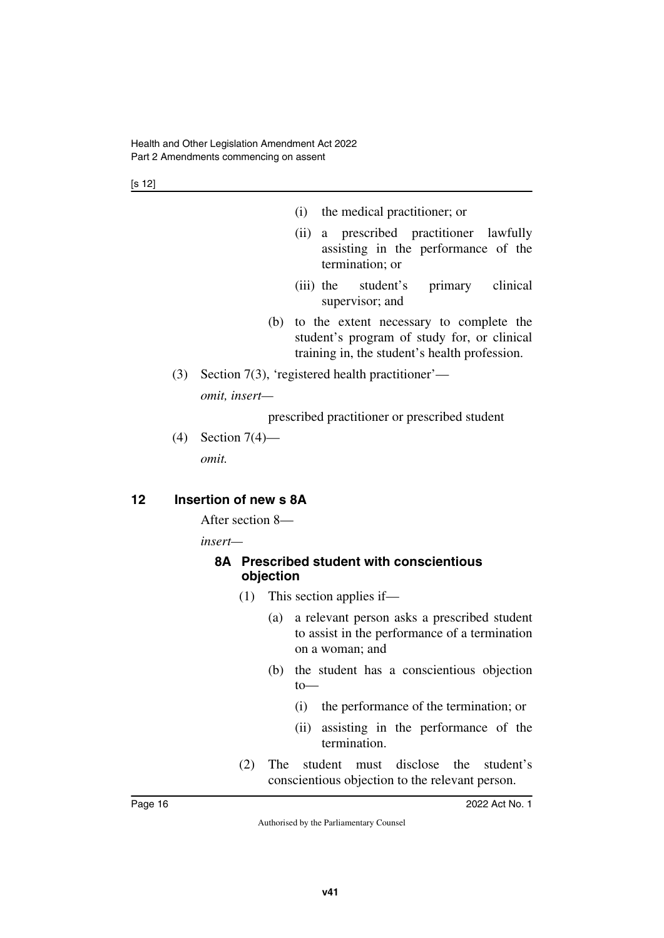[s 12]

- (i) the medical practitioner; or
- (ii) a prescribed practitioner lawfully assisting in the performance of the termination; or
- (iii) the student's primary clinical supervisor; and
- (b) to the extent necessary to complete the student's program of study for, or clinical training in, the student's health profession.
- (3) Section 7(3), 'registered health practitioner' *omit, insert—*

prescribed practitioner or prescribed student

(4) Section 7(4) *omit.*

## <span id="page-17-0"></span>**12 Insertion of new s 8A**

<span id="page-17-1"></span>After section 8—

*insert—*

## <span id="page-17-3"></span><span id="page-17-2"></span>**8A Prescribed student with conscientious objection**

- (1) This section applies if—
	- (a) a relevant person asks a prescribed student to assist in the performance of a termination on a woman; and
	- (b) the student has a conscientious objection to—
		- (i) the performance of the termination; or
		- (ii) assisting in the performance of the termination.
- (2) The student must disclose the student's conscientious objection to the relevant person.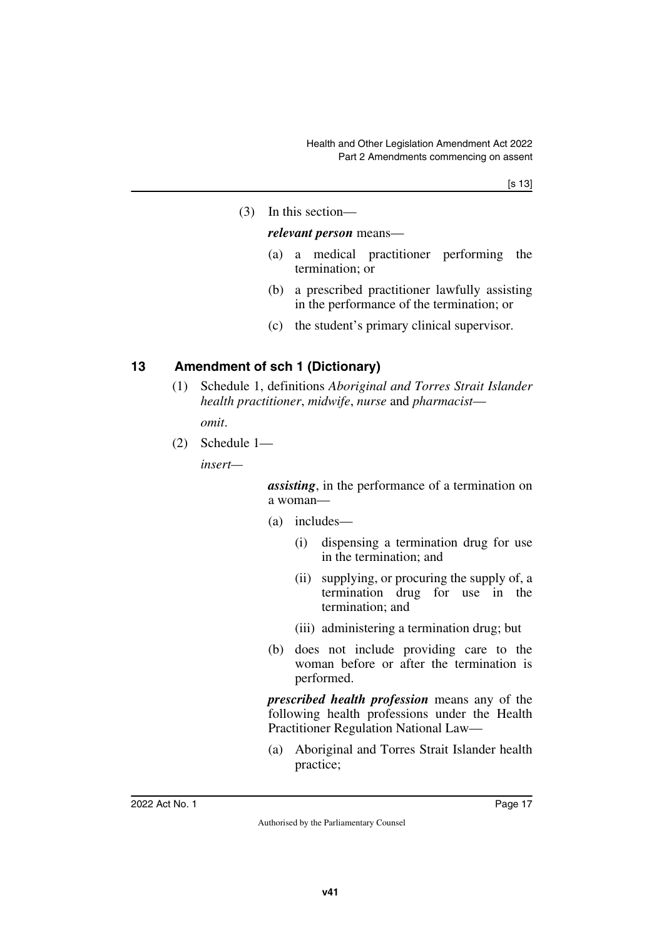(3) In this section—

#### *relevant person* means—

- (a) a medical practitioner performing the termination; or
- (b) a prescribed practitioner lawfully assisting in the performance of the termination; or
- (c) the student's primary clinical supervisor.

## <span id="page-18-0"></span>**13 Amendment of sch 1 (Dictionary)**

<span id="page-18-1"></span>(1) Schedule 1, definitions *Aboriginal and Torres Strait Islander health practitioner*, *midwife*, *nurse* and *pharmacist*—

*omit*.

(2) Schedule 1—

*insert—*

*assisting*, in the performance of a termination on a woman—

- (a) includes—
	- (i) dispensing a termination drug for use in the termination; and
	- (ii) supplying, or procuring the supply of, a termination drug for use in the termination; and
	- (iii) administering a termination drug; but
- (b) does not include providing care to the woman before or after the termination is performed.

*prescribed health profession* means any of the following health professions under the Health Practitioner Regulation National Law—

(a) Aboriginal and Torres Strait Islander health practice;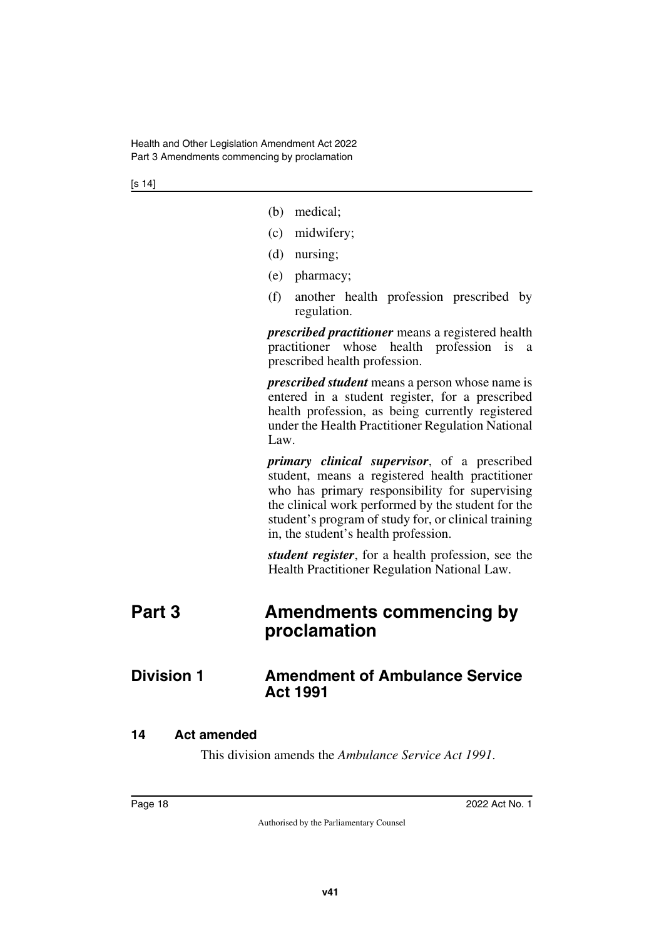- (b) medical;
- (c) midwifery;
- (d) nursing;
- (e) pharmacy;
- (f) another health profession prescribed by regulation.

*prescribed practitioner* means a registered health practitioner whose health profession is a prescribed health profession.

*prescribed student* means a person whose name is entered in a student register, for a prescribed health profession, as being currently registered under the Health Practitioner Regulation National Law.

*primary clinical supervisor*, of a prescribed student, means a registered health practitioner who has primary responsibility for supervising the clinical work performed by the student for the student's program of study for, or clinical training in, the student's health profession.

<span id="page-19-3"></span><span id="page-19-1"></span>*student register*, for a health profession, see the Health Practitioner Regulation National Law.

# <span id="page-19-0"></span>**Part 3 Amendments commencing by proclamation**

## <span id="page-19-2"></span>**Division 1** Amendment of Ambulance Service **Act 1991**

## <span id="page-19-4"></span>**14 Act amended**

<span id="page-19-5"></span>This division amends the *Ambulance Service Act 1991*.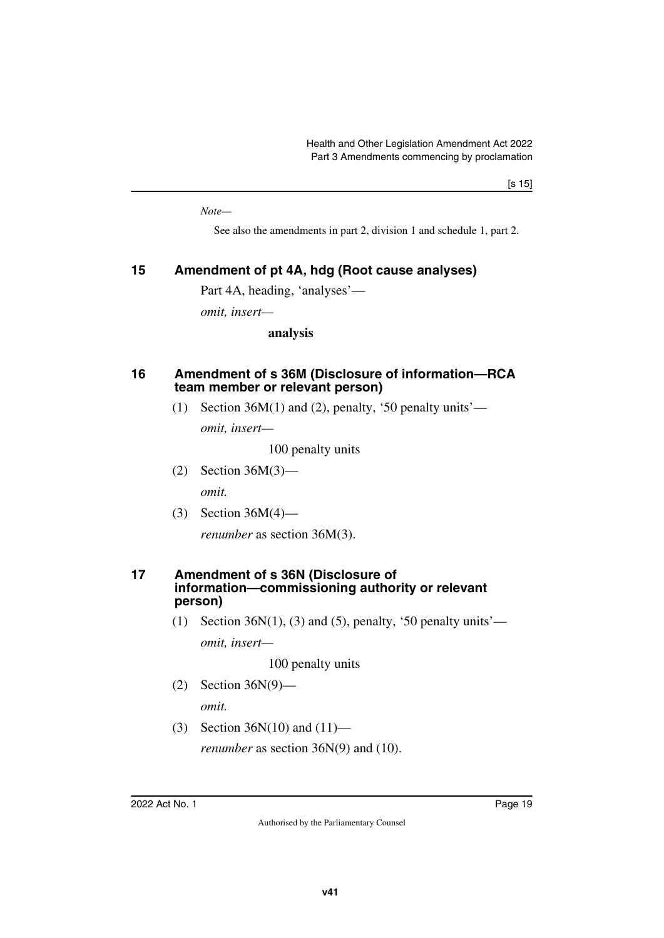*Note—*

See also the amendments in part 2, division 1 and schedule 1, part 2.

## <span id="page-20-0"></span>**15 Amendment of pt 4A, hdg (Root cause analyses)**

<span id="page-20-1"></span>Part 4A, heading, 'analyses'—

*omit, insert—*

**analysis**

## <span id="page-20-3"></span><span id="page-20-2"></span>**16 Amendment of s 36M (Disclosure of information—RCA team member or relevant person)**

(1) Section  $36M(1)$  and (2), penalty, '50 penalty units'—

*omit, insert—*

100 penalty units

- (2) Section 36M(3) *omit.*
- (3) Section 36M(4)—

<span id="page-20-5"></span>*renumber* as section 36M(3).

#### <span id="page-20-4"></span>**17 Amendment of s 36N (Disclosure of information—commissioning authority or relevant person)**

(1) Section 36 $N(1)$ , (3) and (5), penalty, '50 penalty units' *omit, insert—*

100 penalty units

(2) Section 36N(9)—

*omit.*

(3) Section 36N(10) and (11) *renumber* as section 36N(9) and (10).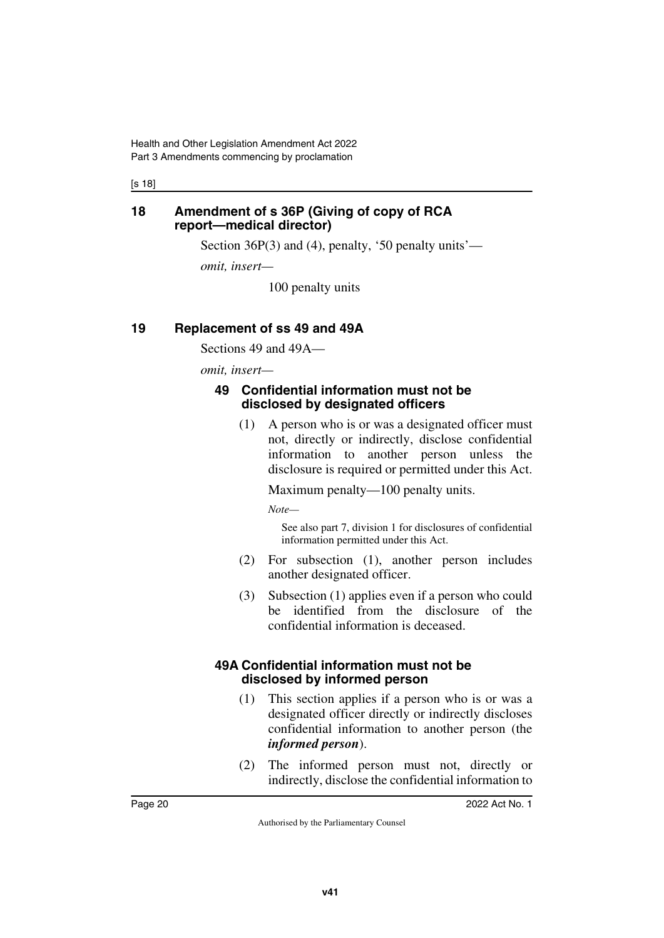[s 18]

## <span id="page-21-1"></span><span id="page-21-0"></span>**18 Amendment of s 36P (Giving of copy of RCA report—medical director)**

Section 36P(3) and (4), penalty, '50 penalty units'—

*omit, insert—*

100 penalty units

## <span id="page-21-2"></span>**19 Replacement of ss 49 and 49A**

<span id="page-21-3"></span>Sections 49 and 49A—

*omit, insert—*

## <span id="page-21-5"></span><span id="page-21-4"></span>**49 Confidential information must not be disclosed by designated officers**

(1) A person who is or was a designated officer must not, directly or indirectly, disclose confidential information to another person unless the disclosure is required or permitted under this Act.

Maximum penalty—100 penalty units.

*Note—*

See also part 7, division 1 for disclosures of confidential information permitted under this Act.

- (2) For subsection (1), another person includes another designated officer.
- (3) Subsection (1) applies even if a person who could be identified from the disclosure of the confidential information is deceased.

## <span id="page-21-7"></span><span id="page-21-6"></span>**49A Confidential information must not be disclosed by informed person**

- (1) This section applies if a person who is or was a designated officer directly or indirectly discloses confidential information to another person (the *informed person*).
- (2) The informed person must not, directly or indirectly, disclose the confidential information to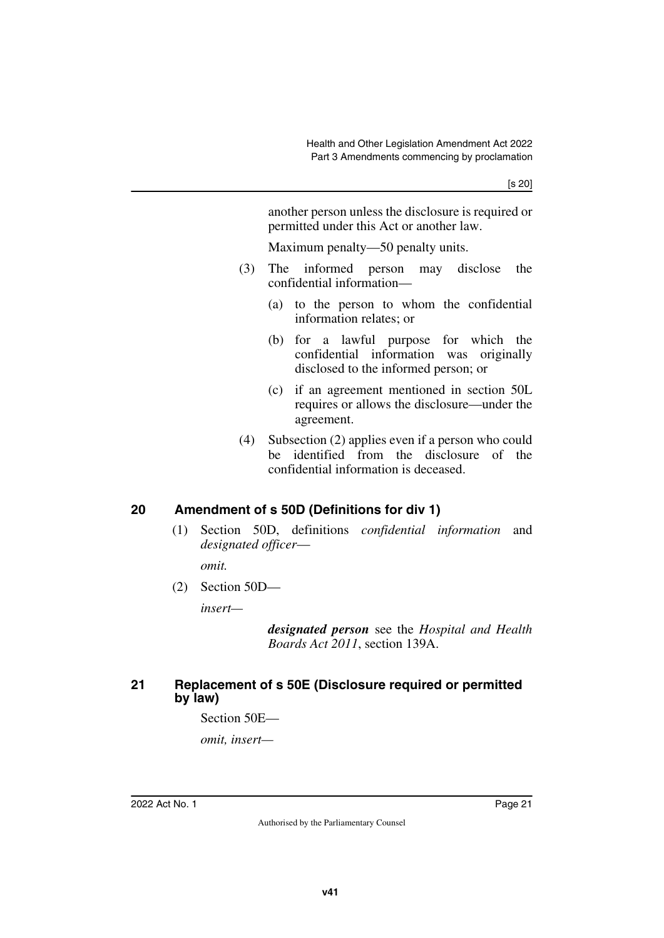another person unless the disclosure is required or permitted under this Act or another law.

Maximum penalty—50 penalty units.

- (3) The informed person may disclose the confidential information—
	- (a) to the person to whom the confidential information relates; or
	- (b) for a lawful purpose for which the confidential information was originally disclosed to the informed person; or
	- (c) if an agreement mentioned in section 50L requires or allows the disclosure—under the agreement.
- (4) Subsection (2) applies even if a person who could be identified from the disclosure of the confidential information is deceased.

## <span id="page-22-0"></span>**20 Amendment of s 50D (Definitions for div 1)**

<span id="page-22-1"></span>(1) Section 50D, definitions *confidential information* and *designated officer*—

*omit.*

(2) Section 50D—

*insert—*

*designated person* see the *Hospital and Health Boards Act 2011*, section 139A.

## <span id="page-22-3"></span><span id="page-22-2"></span>**21 Replacement of s 50E (Disclosure required or permitted by law)**

Section 50E—

*omit, insert—*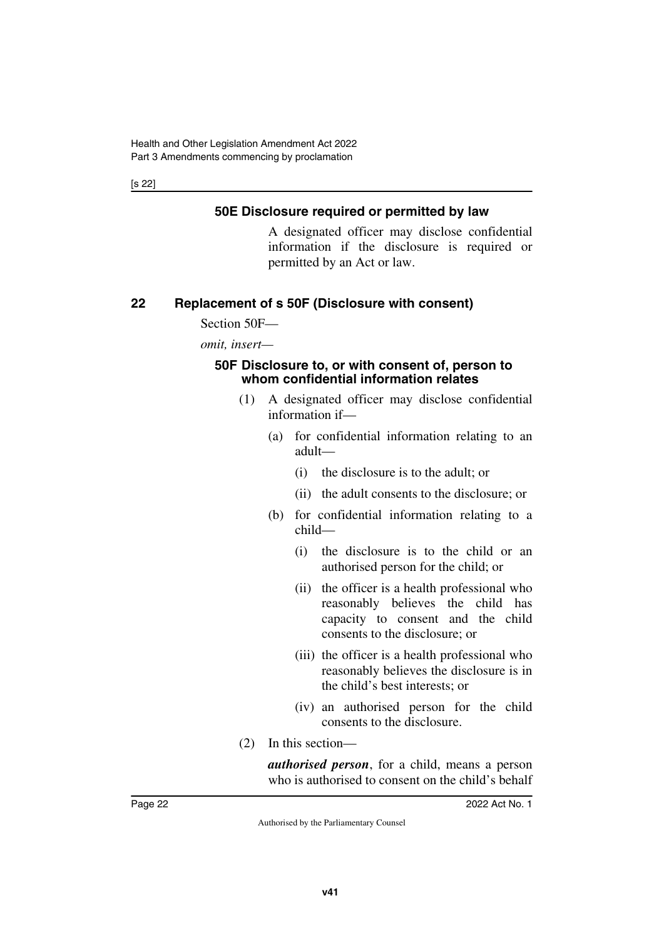[s 22]

## <span id="page-23-1"></span><span id="page-23-0"></span>**50E Disclosure required or permitted by law**

A designated officer may disclose confidential information if the disclosure is required or permitted by an Act or law.

## <span id="page-23-2"></span>**22 Replacement of s 50F (Disclosure with consent)**

<span id="page-23-3"></span>Section 50F—

*omit, insert—*

## <span id="page-23-5"></span><span id="page-23-4"></span>**50F Disclosure to, or with consent of, person to whom confidential information relates**

- (1) A designated officer may disclose confidential information if—
	- (a) for confidential information relating to an adult—
		- (i) the disclosure is to the adult; or
		- (ii) the adult consents to the disclosure; or
	- (b) for confidential information relating to a child—
		- (i) the disclosure is to the child or an authorised person for the child; or
		- (ii) the officer is a health professional who reasonably believes the child has capacity to consent and the child consents to the disclosure; or
		- (iii) the officer is a health professional who reasonably believes the disclosure is in the child's best interests; or
		- (iv) an authorised person for the child consents to the disclosure.
- (2) In this section—

*authorised person*, for a child, means a person who is authorised to consent on the child's behalf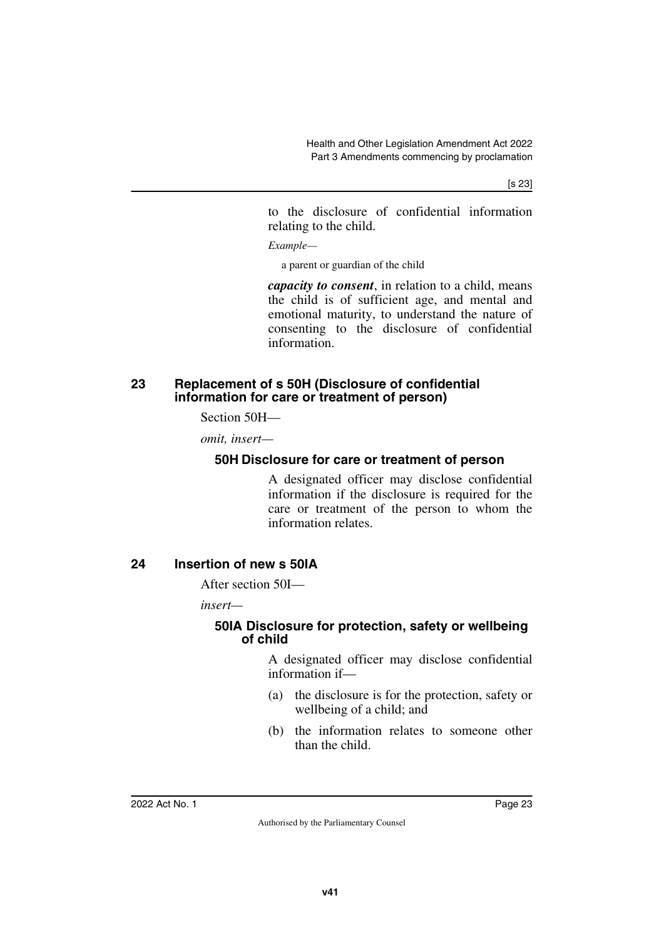[s 23]

to the disclosure of confidential information relating to the child.

*Example—*

a parent or guardian of the child

*capacity to consent*, in relation to a child, means the child is of sufficient age, and mental and emotional maturity, to understand the nature of consenting to the disclosure of confidential information.

## <span id="page-24-1"></span><span id="page-24-0"></span>**23 Replacement of s 50H (Disclosure of confidential information for care or treatment of person)**

Section 50H—

*omit, insert—*

## <span id="page-24-3"></span><span id="page-24-2"></span>**50H Disclosure for care or treatment of person**

A designated officer may disclose confidential information if the disclosure is required for the care or treatment of the person to whom the information relates.

## <span id="page-24-4"></span>**24 Insertion of new s 50IA**

<span id="page-24-5"></span>After section 50I—

*insert—*

## <span id="page-24-7"></span><span id="page-24-6"></span>**50IA Disclosure for protection, safety or wellbeing of child**

A designated officer may disclose confidential information if—

- (a) the disclosure is for the protection, safety or wellbeing of a child; and
- (b) the information relates to someone other than the child.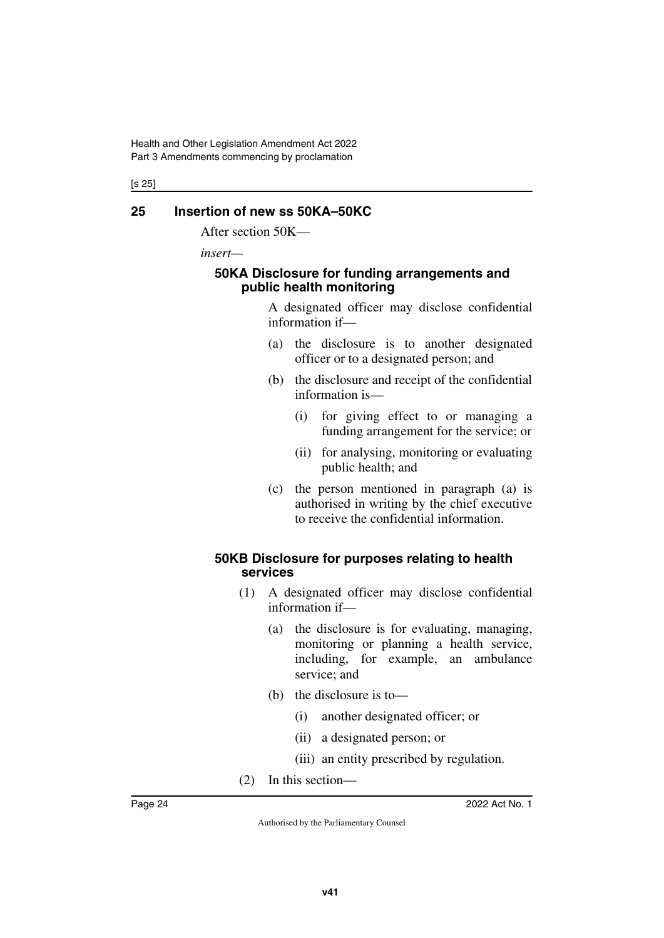[s 25]

## <span id="page-25-0"></span>**25 Insertion of new ss 50KA–50KC**

<span id="page-25-1"></span>After section 50K—

*insert—*

## <span id="page-25-3"></span><span id="page-25-2"></span>**50KA Disclosure for funding arrangements and public health monitoring**

A designated officer may disclose confidential information if—

- (a) the disclosure is to another designated officer or to a designated person; and
- (b) the disclosure and receipt of the confidential information is—
	- (i) for giving effect to or managing a funding arrangement for the service; or
	- (ii) for analysing, monitoring or evaluating public health; and
- (c) the person mentioned in paragraph (a) is authorised in writing by the chief executive to receive the confidential information.

## <span id="page-25-5"></span><span id="page-25-4"></span>**50KB Disclosure for purposes relating to health services**

- (1) A designated officer may disclose confidential information if—
	- (a) the disclosure is for evaluating, managing, monitoring or planning a health service, including, for example, an ambulance service; and
	- (b) the disclosure is to—
		- (i) another designated officer; or
		- (ii) a designated person; or
		- (iii) an entity prescribed by regulation.
- (2) In this section—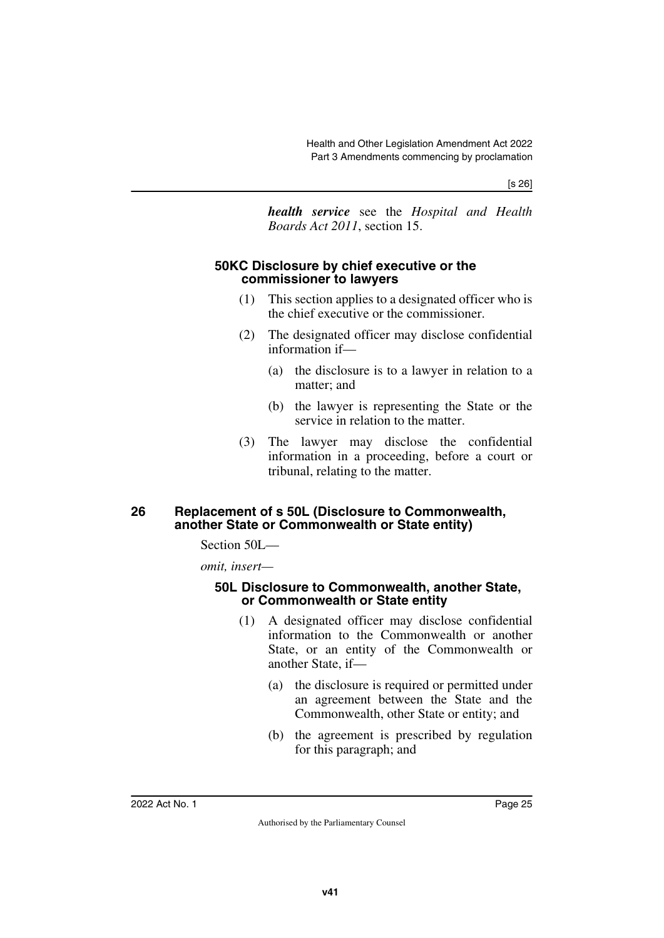[s 26]

*health service* see the *Hospital and Health Boards Act 2011*, section 15.

## <span id="page-26-1"></span><span id="page-26-0"></span>**50KC Disclosure by chief executive or the commissioner to lawyers**

- (1) This section applies to a designated officer who is the chief executive or the commissioner.
- (2) The designated officer may disclose confidential information if—
	- (a) the disclosure is to a lawyer in relation to a matter; and
	- (b) the lawyer is representing the State or the service in relation to the matter.
- (3) The lawyer may disclose the confidential information in a proceeding, before a court or tribunal, relating to the matter.

## <span id="page-26-3"></span><span id="page-26-2"></span>**26 Replacement of s 50L (Disclosure to Commonwealth, another State or Commonwealth or State entity)**

Section 50L—

*omit, insert—*

#### <span id="page-26-5"></span><span id="page-26-4"></span>**50L Disclosure to Commonwealth, another State, or Commonwealth or State entity**

- (1) A designated officer may disclose confidential information to the Commonwealth or another State, or an entity of the Commonwealth or another State, if—
	- (a) the disclosure is required or permitted under an agreement between the State and the Commonwealth, other State or entity; and
	- (b) the agreement is prescribed by regulation for this paragraph; and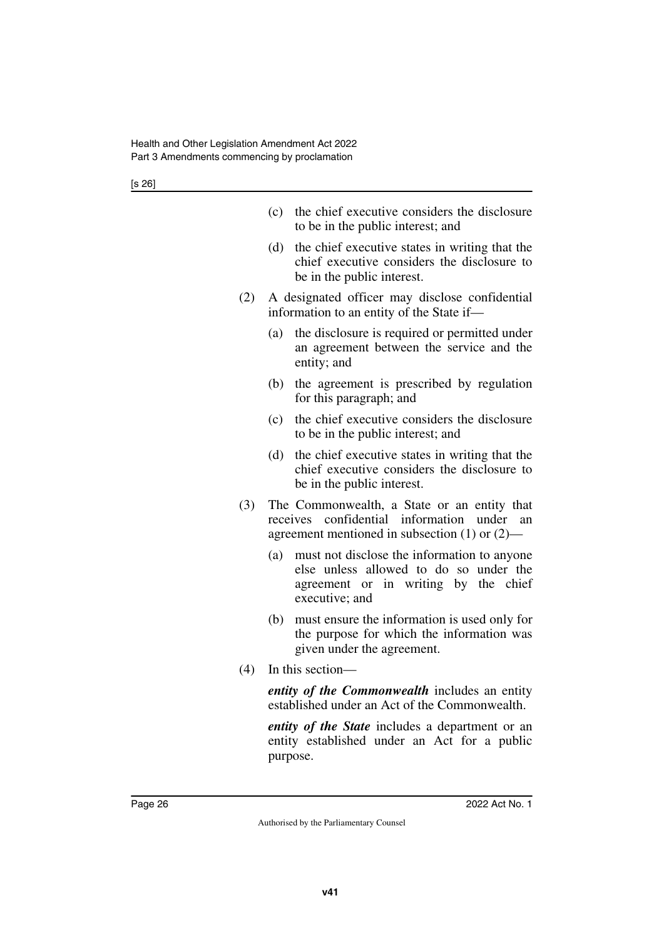[s 26]

|     | (c)      | the chief executive considers the disclosure<br>to be in the public interest; and                                                                  |
|-----|----------|----------------------------------------------------------------------------------------------------------------------------------------------------|
|     | (d)      | the chief executive states in writing that the<br>chief executive considers the disclosure to<br>be in the public interest.                        |
| (2) |          | A designated officer may disclose confidential<br>information to an entity of the State if-                                                        |
|     | (a)      | the disclosure is required or permitted under<br>an agreement between the service and the<br>entity; and                                           |
|     | (b)      | the agreement is prescribed by regulation<br>for this paragraph; and                                                                               |
|     | (c)      | the chief executive considers the disclosure<br>to be in the public interest; and                                                                  |
|     | (d)      | the chief executive states in writing that the<br>chief executive considers the disclosure to<br>be in the public interest.                        |
| (3) |          | The Commonwealth, a State or an entity that<br>receives confidential information under<br>an<br>agreement mentioned in subsection $(1)$ or $(2)$ — |
|     | (a)      | must not disclose the information to anyone<br>else unless allowed to do so under the<br>agreement or in writing by the chief<br>executive; and    |
|     | (b)      | must ensure the information is used only for<br>the purpose for which the information was<br>given under the agreement.                            |
| (4) |          | In this section-                                                                                                                                   |
|     |          | entity of the Commonwealth includes an entity<br>established under an Act of the Commonwealth.                                                     |
|     | purpose. | <i>entity of the State</i> includes a department or an<br>entity established under an Act for a public                                             |
|     |          |                                                                                                                                                    |
|     |          |                                                                                                                                                    |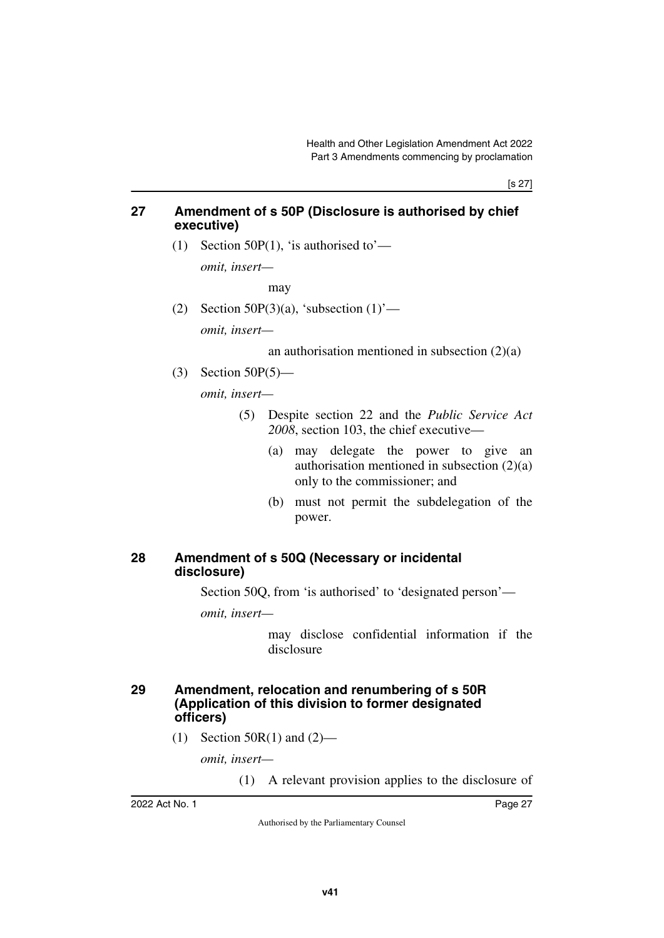[s 27]

## <span id="page-28-0"></span>**27 Amendment of s 50P (Disclosure is authorised by chief executive)**

<span id="page-28-1"></span>(1) Section 50P(1), 'is authorised to'—

*omit, insert—*

may

(2) Section 50P(3)(a), 'subsection  $(1)$ ' *omit, insert—*

an authorisation mentioned in subsection  $(2)(a)$ 

(3) Section 50P(5)—

*omit, insert—*

- (5) Despite section 22 and the *Public Service Act 2008*, section 103, the chief executive—
	- (a) may delegate the power to give an authorisation mentioned in subsection (2)(a) only to the commissioner; and
	- (b) must not permit the subdelegation of the power.

## <span id="page-28-3"></span><span id="page-28-2"></span>**28 Amendment of s 50Q (Necessary or incidental disclosure)**

Section 50Q, from 'is authorised' to 'designated person'—

*omit, insert—*

may disclose confidential information if the disclosure

## <span id="page-28-5"></span><span id="page-28-4"></span>**29 Amendment, relocation and renumbering of s 50R (Application of this division to former designated officers)**

 $(1)$  Section 50R(1) and  $(2)$ —

*omit, insert—*

(1) A relevant provision applies to the disclosure of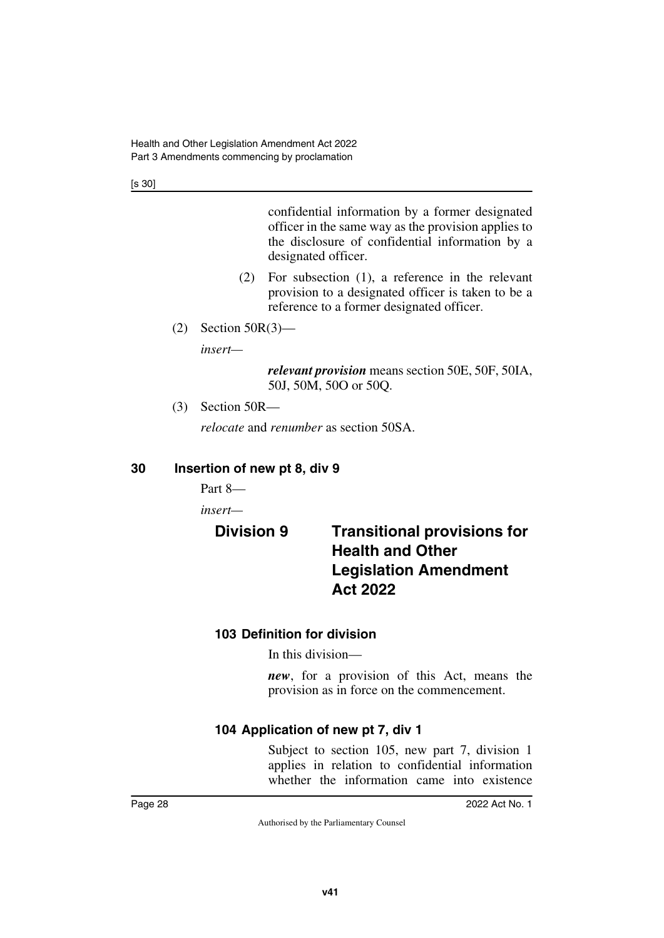[s 30]

confidential information by a former designated officer in the same way as the provision applies to the disclosure of confidential information by a designated officer.

- (2) For subsection (1), a reference in the relevant provision to a designated officer is taken to be a reference to a former designated officer.
- (2) Section 50R(3)—

*insert—*

*relevant provision* means section 50E, 50F, 50IA, 50J, 50M, 50O or 50Q.

(3) Section 50R—

<span id="page-29-1"></span>*relocate* and *renumber* as section 50SA.

## <span id="page-29-0"></span>**30 Insertion of new pt 8, div 9**

Part 8—

*insert—*

# <span id="page-29-3"></span><span id="page-29-2"></span>**Division 9 Transitional provisions for Health and Other Legislation Amendment Act 2022**

## <span id="page-29-5"></span><span id="page-29-4"></span>**103 Definition for division**

In this division—

*new*, for a provision of this Act, means the provision as in force on the commencement.

## <span id="page-29-7"></span><span id="page-29-6"></span>**104 Application of new pt 7, div 1**

Subject to section 105, new part 7, division 1 applies in relation to confidential information whether the information came into existence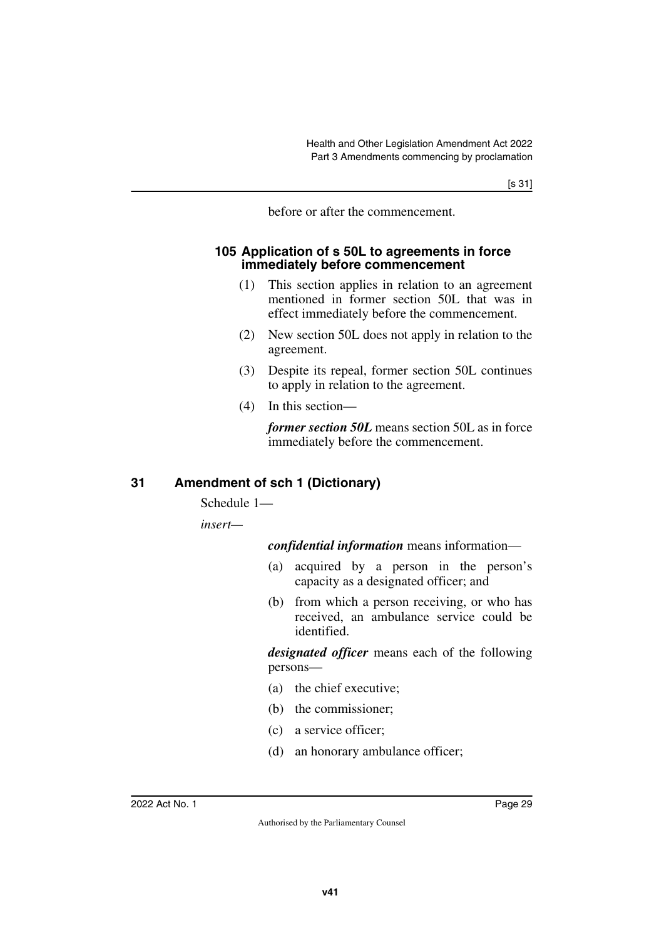before or after the commencement.

## <span id="page-30-1"></span><span id="page-30-0"></span>**105 Application of s 50L to agreements in force immediately before commencement**

- (1) This section applies in relation to an agreement mentioned in former section 50L that was in effect immediately before the commencement.
- (2) New section 50L does not apply in relation to the agreement.
- (3) Despite its repeal, former section 50L continues to apply in relation to the agreement.
- (4) In this section—

*former section 50L* means section 50L as in force immediately before the commencement.

## <span id="page-30-2"></span>**31 Amendment of sch 1 (Dictionary)**

<span id="page-30-3"></span>Schedule 1—

*insert—*

*confidential information* means information—

- (a) acquired by a person in the person's capacity as a designated officer; and
- (b) from which a person receiving, or who has received, an ambulance service could be identified.

*designated officer* means each of the following persons—

- (a) the chief executive;
- (b) the commissioner;
- (c) a service officer;
- (d) an honorary ambulance officer;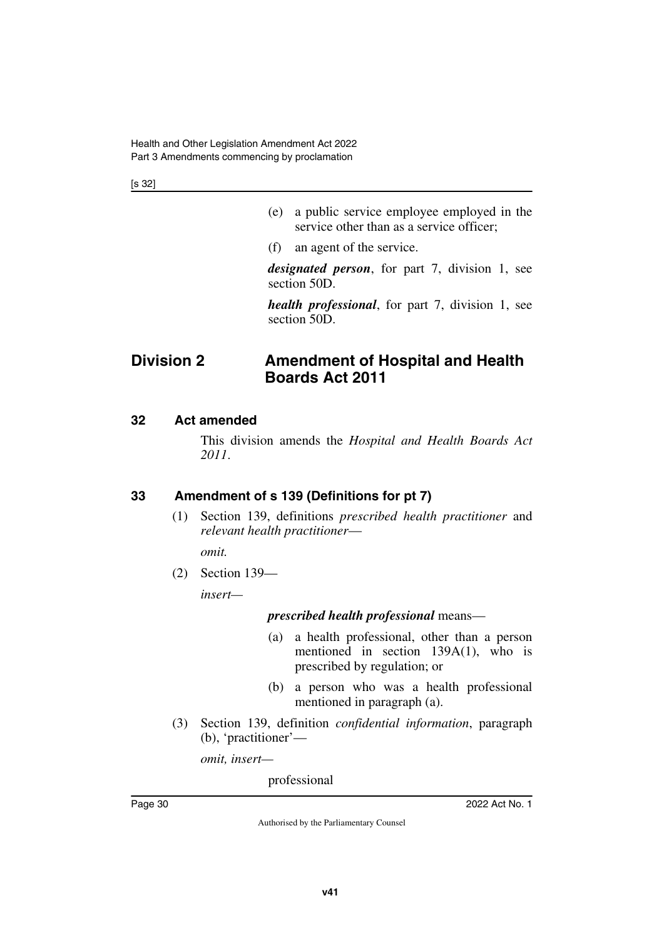[s 32]

- (e) a public service employee employed in the service other than as a service officer;
- (f) an agent of the service.

*designated person*, for part 7, division 1, see section 50D.

<span id="page-31-1"></span>*health professional*, for part 7, division 1, see section 50D.

# <span id="page-31-0"></span>**Division 2 Amendment of Hospital and Health Boards Act 2011**

## <span id="page-31-2"></span>**32 Act amended**

<span id="page-31-3"></span>This division amends the *Hospital and Health Boards Act 2011*.

## <span id="page-31-4"></span>**33 Amendment of s 139 (Definitions for pt 7)**

<span id="page-31-5"></span>(1) Section 139, definitions *prescribed health practitioner* and *relevant health practitioner*—

*omit.*

(2) Section 139—

*insert—*

## *prescribed health professional* means—

- (a) a health professional, other than a person mentioned in section 139A(1), who is prescribed by regulation; or
- (b) a person who was a health professional mentioned in paragraph (a).
- (3) Section 139, definition *confidential information*, paragraph (b), 'practitioner'—

*omit, insert—*

professional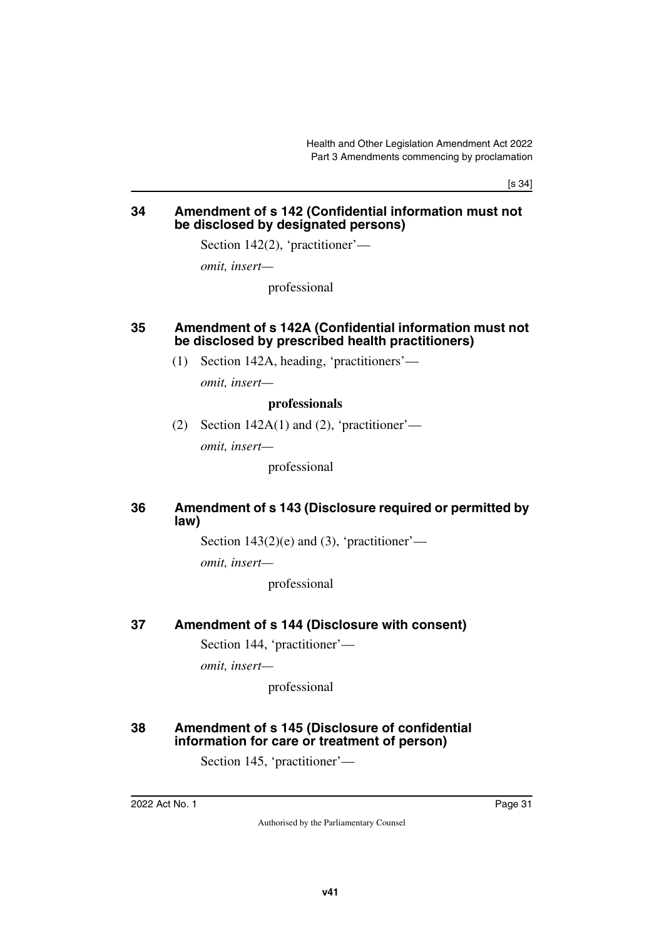[s 34]

## <span id="page-32-1"></span><span id="page-32-0"></span>**34 Amendment of s 142 (Confidential information must not be disclosed by designated persons)**

Section 142(2), 'practitioner'—

*omit, insert—*

professional

## <span id="page-32-3"></span><span id="page-32-2"></span>**35 Amendment of s 142A (Confidential information must not be disclosed by prescribed health practitioners)**

(1) Section 142A, heading, 'practitioners'—

*omit, insert—*

#### **professionals**

(2) Section  $142A(1)$  and (2), 'practitioner'—

*omit, insert—*

professional

## <span id="page-32-5"></span><span id="page-32-4"></span>**36 Amendment of s 143 (Disclosure required or permitted by law)**

Section  $143(2)(e)$  and (3), 'practitioner'—

*omit, insert—*

professional

## <span id="page-32-6"></span>**37 Amendment of s 144 (Disclosure with consent)**

<span id="page-32-7"></span>Section 144, 'practitioner'—

*omit, insert—*

professional

## <span id="page-32-9"></span><span id="page-32-8"></span>**38 Amendment of s 145 (Disclosure of confidential information for care or treatment of person)**

Section 145, 'practitioner'—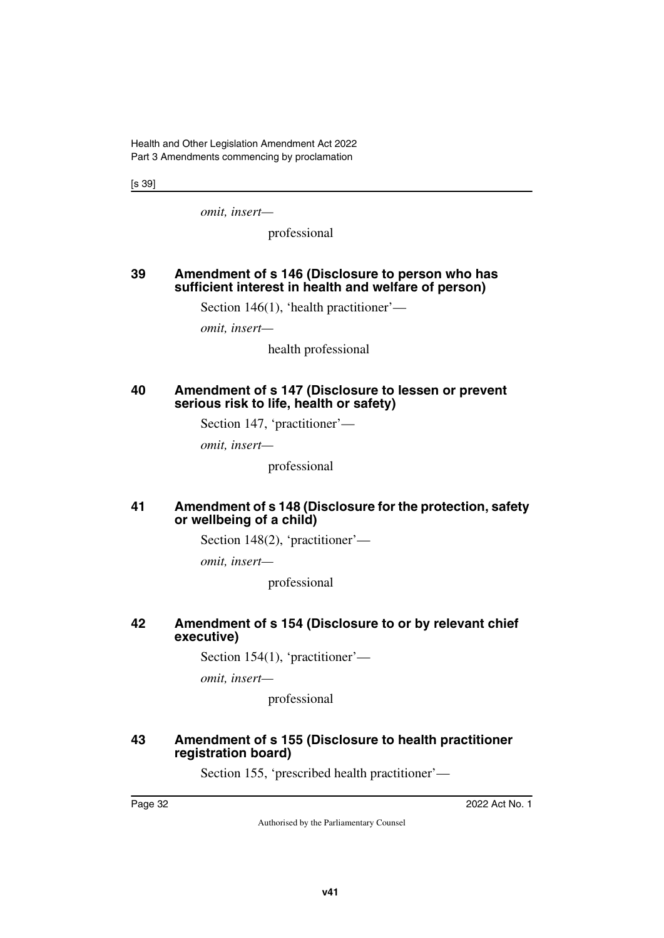Health and Other Legislation Amendment Act 2022 Part 3 Amendments commencing by proclamation

[s 39]

*omit, insert—*

professional

## <span id="page-33-1"></span><span id="page-33-0"></span>**39 Amendment of s 146 (Disclosure to person who has sufficient interest in health and welfare of person)**

Section 146(1), 'health practitioner'—

*omit, insert—*

health professional

#### <span id="page-33-3"></span><span id="page-33-2"></span>**40 Amendment of s 147 (Disclosure to lessen or prevent serious risk to life, health or safety)**

Section 147, 'practitioner'—

*omit, insert—*

professional

#### <span id="page-33-5"></span><span id="page-33-4"></span>**41 Amendment of s 148 (Disclosure for the protection, safety or wellbeing of a child)**

Section 148(2), 'practitioner'—

*omit, insert—*

professional

## <span id="page-33-7"></span><span id="page-33-6"></span>**42 Amendment of s 154 (Disclosure to or by relevant chief executive)**

Section 154(1), 'practitioner'—

*omit, insert—*

professional

#### <span id="page-33-9"></span><span id="page-33-8"></span>**43 Amendment of s 155 (Disclosure to health practitioner registration board)**

Section 155, 'prescribed health practitioner'—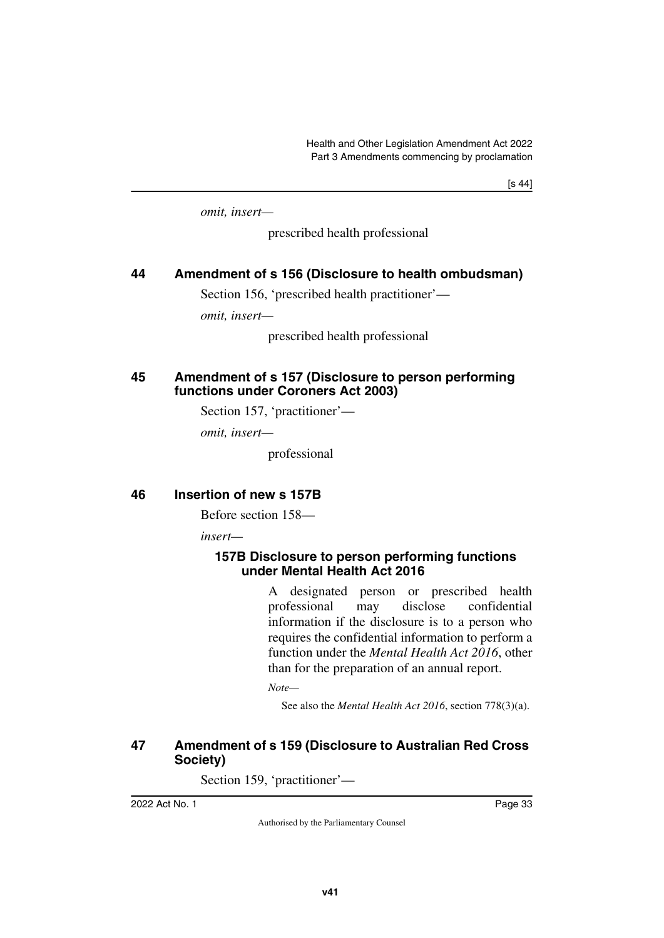[s 44]

*omit, insert—*

prescribed health professional

## <span id="page-34-0"></span>**44 Amendment of s 156 (Disclosure to health ombudsman)**

<span id="page-34-1"></span>Section 156, 'prescribed health practitioner'—

*omit, insert—*

prescribed health professional

## <span id="page-34-3"></span><span id="page-34-2"></span>**45 Amendment of s 157 (Disclosure to person performing functions under Coroners Act 2003)**

Section 157, 'practitioner'—

*omit, insert—*

professional

## <span id="page-34-4"></span>**46 Insertion of new s 157B**

<span id="page-34-5"></span>Before section 158—

*insert—*

## <span id="page-34-7"></span><span id="page-34-6"></span>**157B Disclosure to person performing functions under Mental Health Act 2016**

A designated person or prescribed health professional may disclose confidential information if the disclosure is to a person who requires the confidential information to perform a function under the *Mental Health Act 2016*, other than for the preparation of an annual report.

*Note—*

See also the *Mental Health Act 2016*, section 778(3)(a).

## <span id="page-34-9"></span><span id="page-34-8"></span>**47 Amendment of s 159 (Disclosure to Australian Red Cross Society)**

Section 159, 'practitioner'—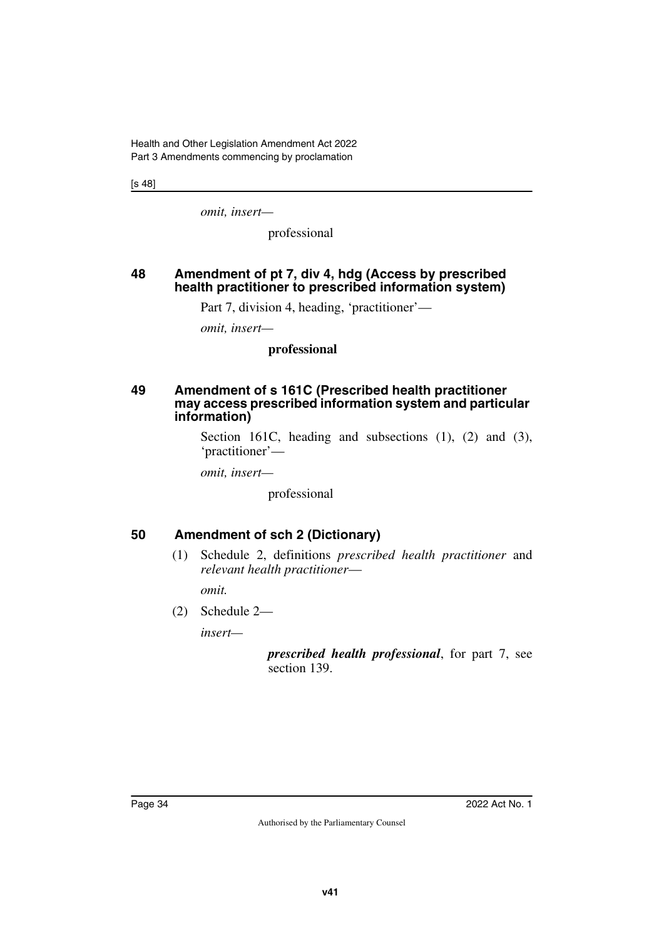[s 48]

*omit, insert—*

professional

## <span id="page-35-1"></span><span id="page-35-0"></span>**48 Amendment of pt 7, div 4, hdg (Access by prescribed health practitioner to prescribed information system)**

Part 7, division 4, heading, 'practitioner'—

*omit, insert—*

## **professional**

#### <span id="page-35-3"></span><span id="page-35-2"></span>**49 Amendment of s 161C (Prescribed health practitioner may access prescribed information system and particular information)**

Section 161C, heading and subsections (1), (2) and (3), 'practitioner'—

*omit, insert—*

professional

## <span id="page-35-4"></span>**50 Amendment of sch 2 (Dictionary)**

<span id="page-35-5"></span>(1) Schedule 2, definitions *prescribed health practitioner* and *relevant health practitioner*—

*omit.*

(2) Schedule 2—

*insert—*

*prescribed health professional*, for part 7, see section 139.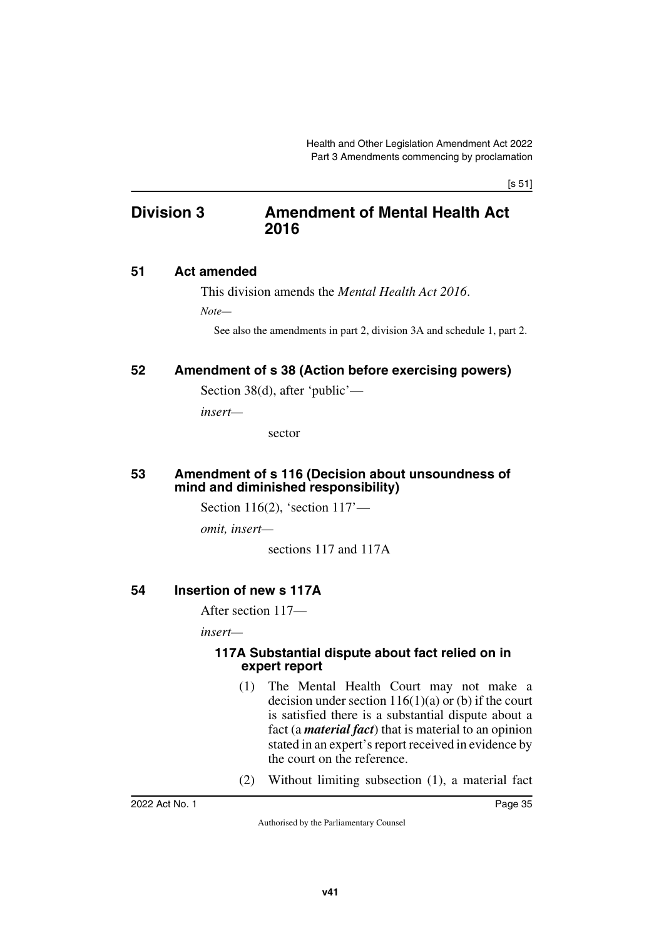# **Division 3 Amendment of Mental Health Act 2016**

## **51 Act amended**

This division amends the *Mental Health Act 2016*.

*Note—*

See also the amendments in part 2, division 3A and schedule 1, part 2.

# **52 Amendment of s 38 (Action before exercising powers)**

Section 38(d), after 'public'—

*insert—*

sector

#### **53 Amendment of s 116 (Decision about unsoundness of mind and diminished responsibility)**

Section 116(2), 'section 117'—

*omit, insert—*

sections 117 and 117A

## **54 Insertion of new s 117A**

After section 117—

*insert—*

#### **117A Substantial dispute about fact relied on in expert report**

- (1) The Mental Health Court may not make a decision under section  $116(1)(a)$  or (b) if the court is satisfied there is a substantial dispute about a fact (a *material fact*) that is material to an opinion stated in an expert's report received in evidence by the court on the reference.
- (2) Without limiting subsection (1), a material fact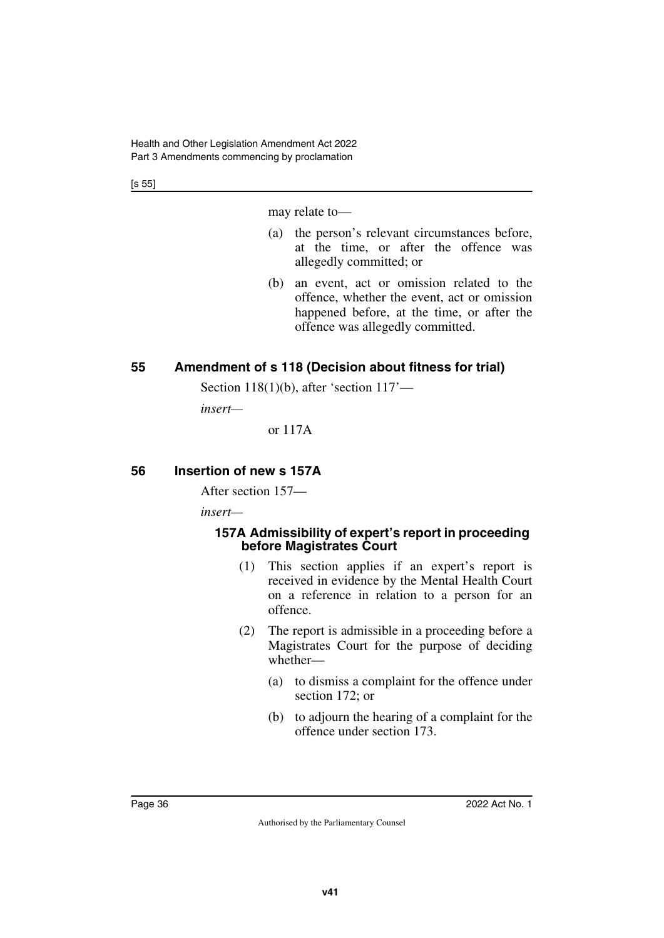[s 55]

may relate to—

- (a) the person's relevant circumstances before, at the time, or after the offence was allegedly committed; or
- (b) an event, act or omission related to the offence, whether the event, act or omission happened before, at the time, or after the offence was allegedly committed.

# **55 Amendment of s 118 (Decision about fitness for trial)**

Section 118(1)(b), after 'section 117'—

*insert—*

or 117A

# **56 Insertion of new s 157A**

After section 157—

*insert—*

### **157A Admissibility of expert's report in proceeding before Magistrates Court**

- (1) This section applies if an expert's report is received in evidence by the Mental Health Court on a reference in relation to a person for an offence.
- (2) The report is admissible in a proceeding before a Magistrates Court for the purpose of deciding whether—
	- (a) to dismiss a complaint for the offence under section 172; or
	- (b) to adjourn the hearing of a complaint for the offence under section 173.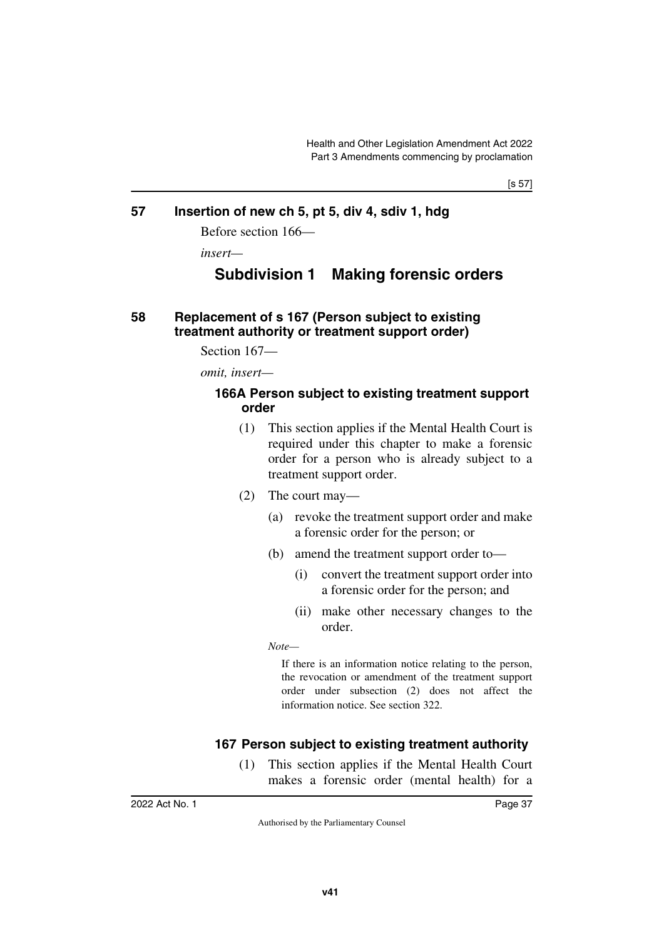[s 57]

### **57 Insertion of new ch 5, pt 5, div 4, sdiv 1, hdg**

Before section 166—

*insert—*

# **Subdivision 1 Making forensic orders**

### **58 Replacement of s 167 (Person subject to existing treatment authority or treatment support order)**

Section 167—

*omit, insert—*

#### **166A Person subject to existing treatment support order**

- (1) This section applies if the Mental Health Court is required under this chapter to make a forensic order for a person who is already subject to a treatment support order.
- (2) The court may—
	- (a) revoke the treatment support order and make a forensic order for the person; or
	- (b) amend the treatment support order to—
		- (i) convert the treatment support order into a forensic order for the person; and
		- (ii) make other necessary changes to the order.

*Note—*

If there is an information notice relating to the person, the revocation or amendment of the treatment support order under subsection (2) does not affect the information notice. See section 322.

## **167 Person subject to existing treatment authority**

(1) This section applies if the Mental Health Court makes a forensic order (mental health) for a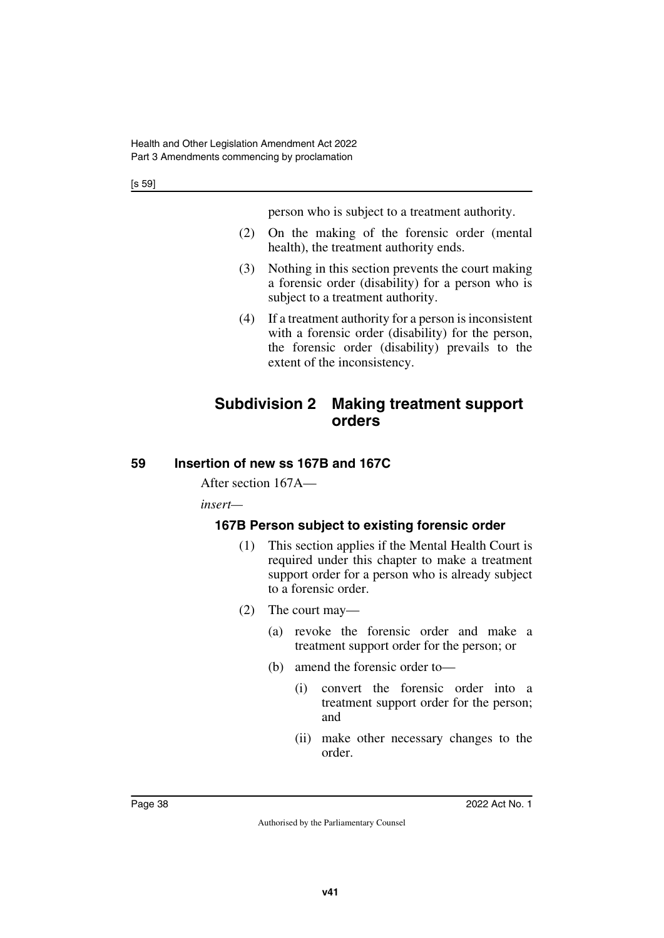person who is subject to a treatment authority.

- (2) On the making of the forensic order (mental health), the treatment authority ends.
- (3) Nothing in this section prevents the court making a forensic order (disability) for a person who is subject to a treatment authority.
- (4) If a treatment authority for a person is inconsistent with a forensic order (disability) for the person, the forensic order (disability) prevails to the extent of the inconsistency.

# **Subdivision 2 Making treatment support orders**

# **59 Insertion of new ss 167B and 167C**

After section 167A—

*insert—*

# **167B Person subject to existing forensic order**

- (1) This section applies if the Mental Health Court is required under this chapter to make a treatment support order for a person who is already subject to a forensic order.
- (2) The court may—
	- (a) revoke the forensic order and make a treatment support order for the person; or
	- (b) amend the forensic order to—
		- (i) convert the forensic order into a treatment support order for the person; and
		- (ii) make other necessary changes to the order.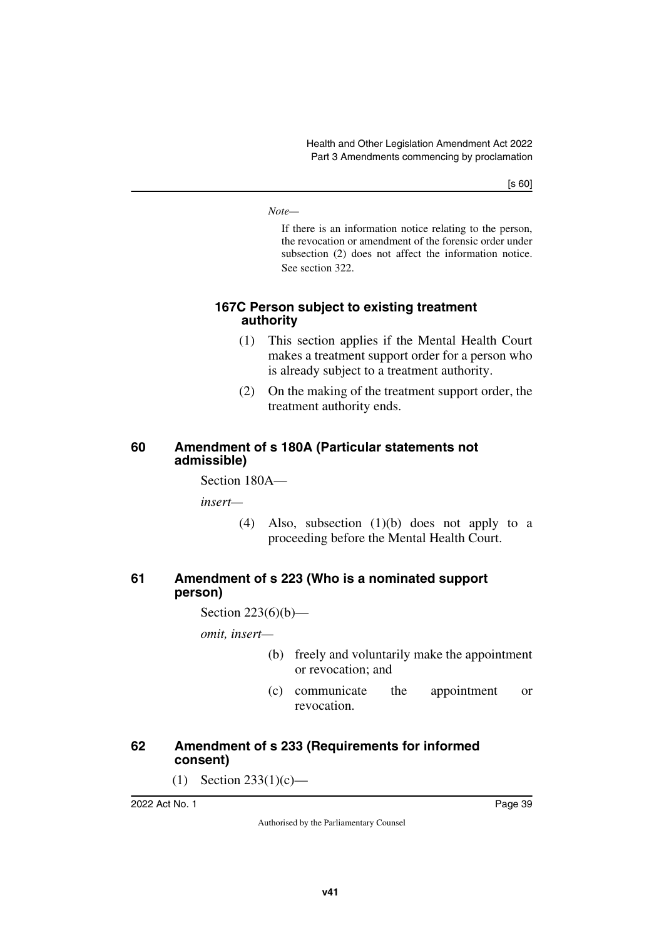*Note—*

If there is an information notice relating to the person, the revocation or amendment of the forensic order under subsection (2) does not affect the information notice. See section 322.

### **167C Person subject to existing treatment authority**

- (1) This section applies if the Mental Health Court makes a treatment support order for a person who is already subject to a treatment authority.
- (2) On the making of the treatment support order, the treatment authority ends.

#### **60 Amendment of s 180A (Particular statements not admissible)**

Section 180A—

*insert—*

(4) Also, subsection (1)(b) does not apply to a proceeding before the Mental Health Court.

### **61 Amendment of s 223 (Who is a nominated support person)**

Section 223(6)(b)—

*omit, insert—*

- (b) freely and voluntarily make the appointment or revocation; and
- (c) communicate the appointment or revocation.

## **62 Amendment of s 233 (Requirements for informed consent)**

 $(1)$  Section 233(1)(c)—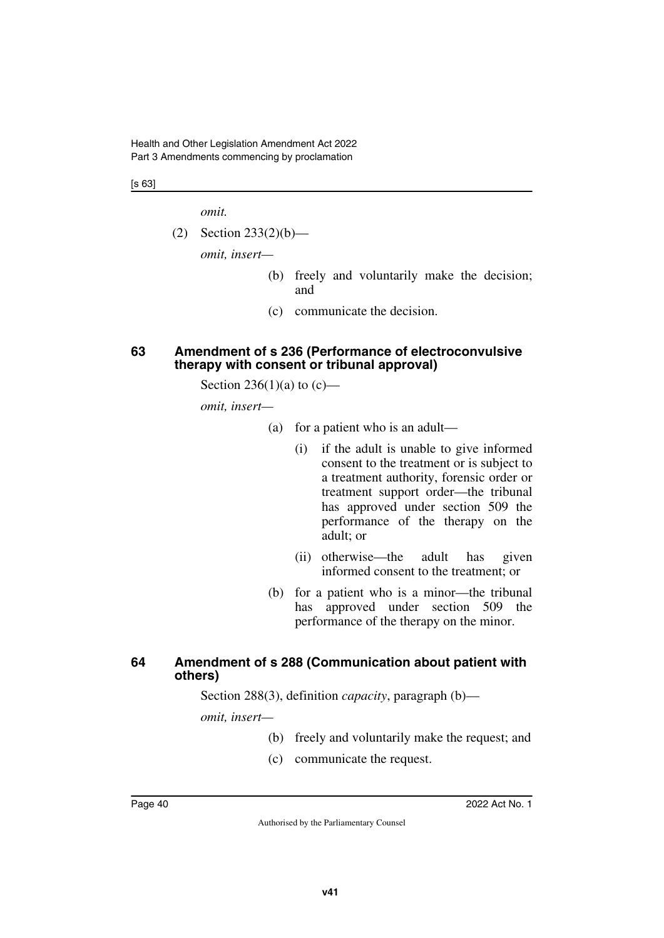Health and Other Legislation Amendment Act 2022 Part 3 Amendments commencing by proclamation

[s 63]

*omit.*

(2) Section 233(2)(b)—

*omit, insert—*

- (b) freely and voluntarily make the decision; and
- (c) communicate the decision.

#### **63 Amendment of s 236 (Performance of electroconvulsive therapy with consent or tribunal approval)**

Section 236(1)(a) to  $(c)$ —

*omit, insert—*

- (a) for a patient who is an adult—
	- (i) if the adult is unable to give informed consent to the treatment or is subject to a treatment authority, forensic order or treatment support order—the tribunal has approved under section 509 the performance of the therapy on the adult; or
	- (ii) otherwise—the adult has given informed consent to the treatment; or
- (b) for a patient who is a minor—the tribunal has approved under section 509 the performance of the therapy on the minor.

#### **64 Amendment of s 288 (Communication about patient with others)**

Section 288(3), definition *capacity*, paragraph (b)—

*omit, insert—*

- (b) freely and voluntarily make the request; and
- (c) communicate the request.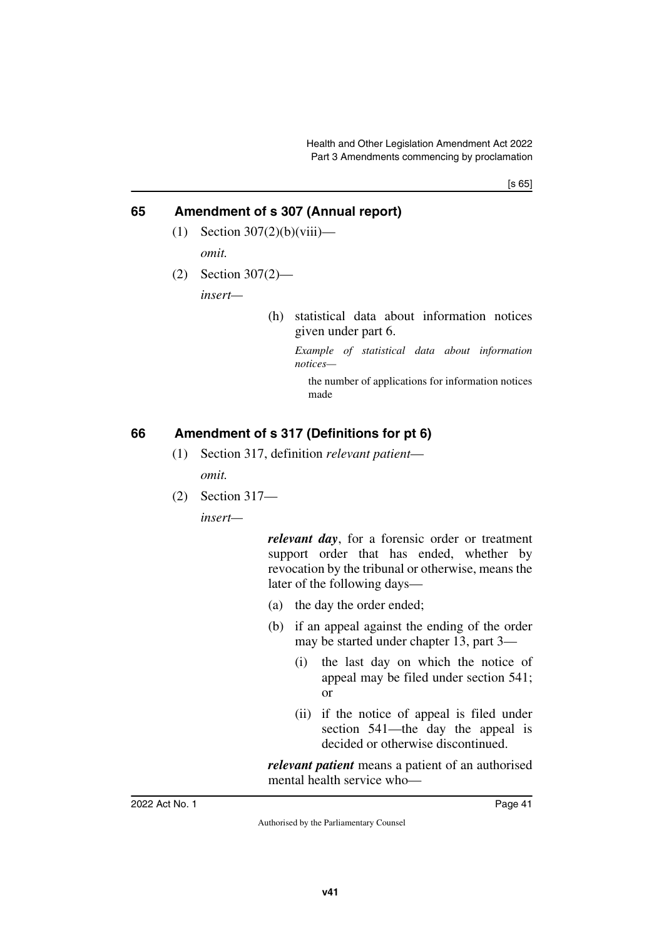[s 65]

# **65 Amendment of s 307 (Annual report)**

- $(1)$  Section 307 $(2)(b)(viii)$  *omit.*
- (2) Section 307(2)—

*insert—*

(h) statistical data about information notices given under part 6.

> *Example of statistical data about information notices—*

the number of applications for information notices made

# **66 Amendment of s 317 (Definitions for pt 6)**

- (1) Section 317, definition *relevant patient omit.*
- (2) Section 317—

*insert—*

*relevant day*, for a forensic order or treatment support order that has ended, whether by revocation by the tribunal or otherwise, means the later of the following days—

- (a) the day the order ended;
- (b) if an appeal against the ending of the order may be started under chapter 13, part 3—
	- (i) the last day on which the notice of appeal may be filed under section 541; or
	- (ii) if the notice of appeal is filed under section 541—the day the appeal is decided or otherwise discontinued.

*relevant patient* means a patient of an authorised mental health service who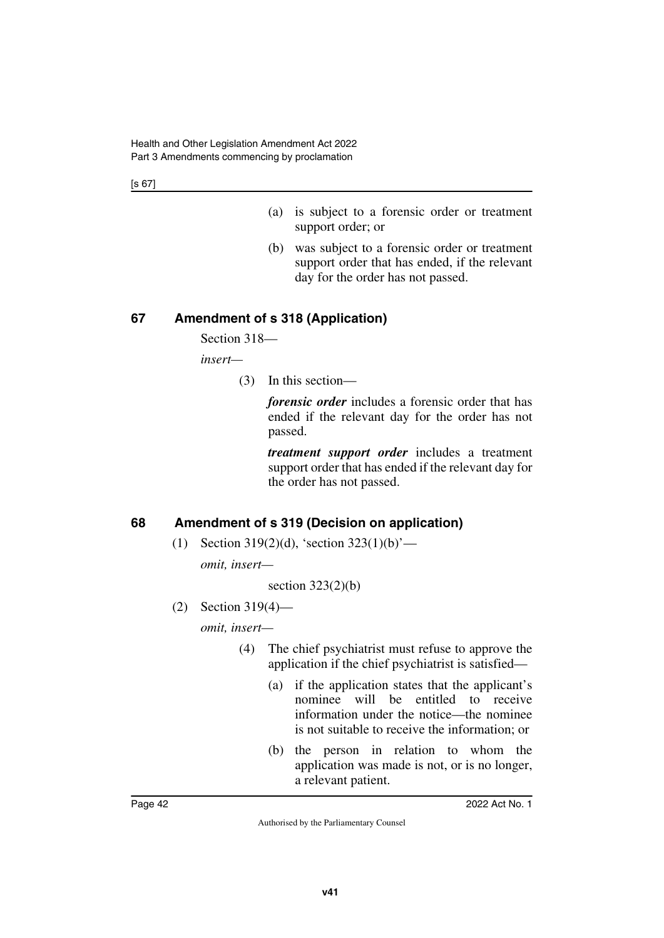[s 67]

- (a) is subject to a forensic order or treatment support order; or
- (b) was subject to a forensic order or treatment support order that has ended, if the relevant day for the order has not passed.

## **67 Amendment of s 318 (Application)**

Section 318—

*insert—*

(3) In this section—

*forensic order* includes a forensic order that has ended if the relevant day for the order has not passed.

*treatment support order* includes a treatment support order that has ended if the relevant day for the order has not passed.

# **68 Amendment of s 319 (Decision on application)**

(1) Section 319(2)(d), 'section  $323(1)(b)$ '—

*omit, insert—*

section  $323(2)(b)$ 

(2) Section 319(4)—

*omit, insert—*

- (4) The chief psychiatrist must refuse to approve the application if the chief psychiatrist is satisfied—
	- (a) if the application states that the applicant's nominee will be entitled to receive information under the notice—the nominee is not suitable to receive the information; or
	- (b) the person in relation to whom the application was made is not, or is no longer, a relevant patient.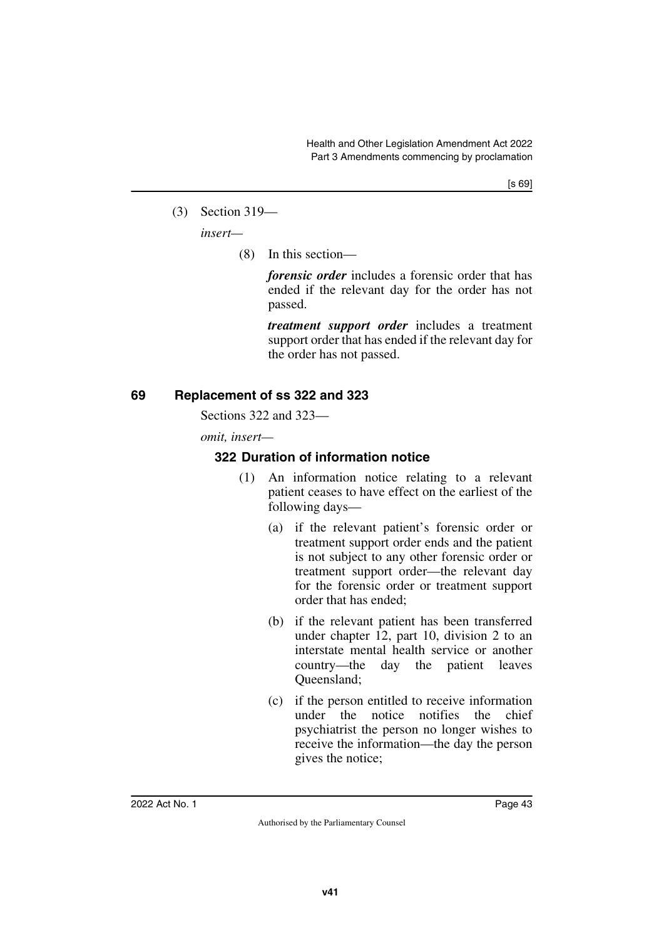(3) Section 319—

*insert—*

(8) In this section—

*forensic order* includes a forensic order that has ended if the relevant day for the order has not passed.

*treatment support order* includes a treatment support order that has ended if the relevant day for the order has not passed.

# **69 Replacement of ss 322 and 323**

Sections 322 and 323—

*omit, insert—*

# **322 Duration of information notice**

- (1) An information notice relating to a relevant patient ceases to have effect on the earliest of the following days—
	- (a) if the relevant patient's forensic order or treatment support order ends and the patient is not subject to any other forensic order or treatment support order—the relevant day for the forensic order or treatment support order that has ended;
	- (b) if the relevant patient has been transferred under chapter 12, part 10, division 2 to an interstate mental health service or another country—the day the patient leaves Queensland;
	- (c) if the person entitled to receive information under the notice notifies the chief psychiatrist the person no longer wishes to receive the information—the day the person gives the notice;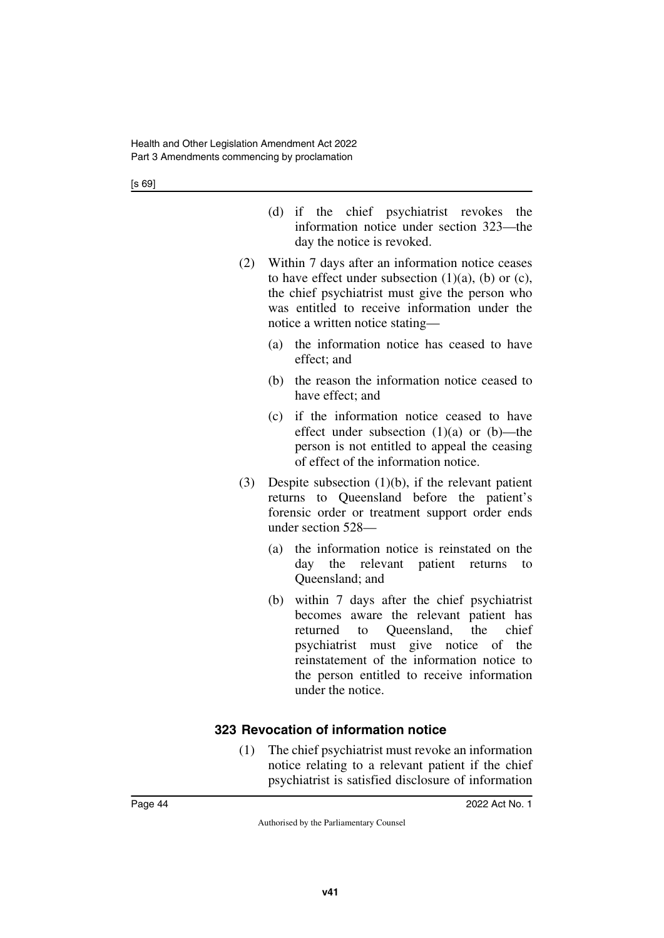[s 69]

- (d) if the chief psychiatrist revokes the information notice under section 323—the day the notice is revoked.
- (2) Within 7 days after an information notice ceases to have effect under subsection  $(1)(a)$ ,  $(b)$  or  $(c)$ , the chief psychiatrist must give the person who was entitled to receive information under the notice a written notice stating—
	- (a) the information notice has ceased to have effect; and
	- (b) the reason the information notice ceased to have effect; and
	- (c) if the information notice ceased to have effect under subsection  $(1)(a)$  or  $(b)$ —the person is not entitled to appeal the ceasing of effect of the information notice.
- (3) Despite subsection (1)(b), if the relevant patient returns to Queensland before the patient's forensic order or treatment support order ends under section 528—
	- (a) the information notice is reinstated on the day the relevant patient returns to Queensland; and
	- (b) within 7 days after the chief psychiatrist becomes aware the relevant patient has returned to Queensland, the chief psychiatrist must give notice of the reinstatement of the information notice to the person entitled to receive information under the notice.

## **323 Revocation of information notice**

(1) The chief psychiatrist must revoke an information notice relating to a relevant patient if the chief psychiatrist is satisfied disclosure of information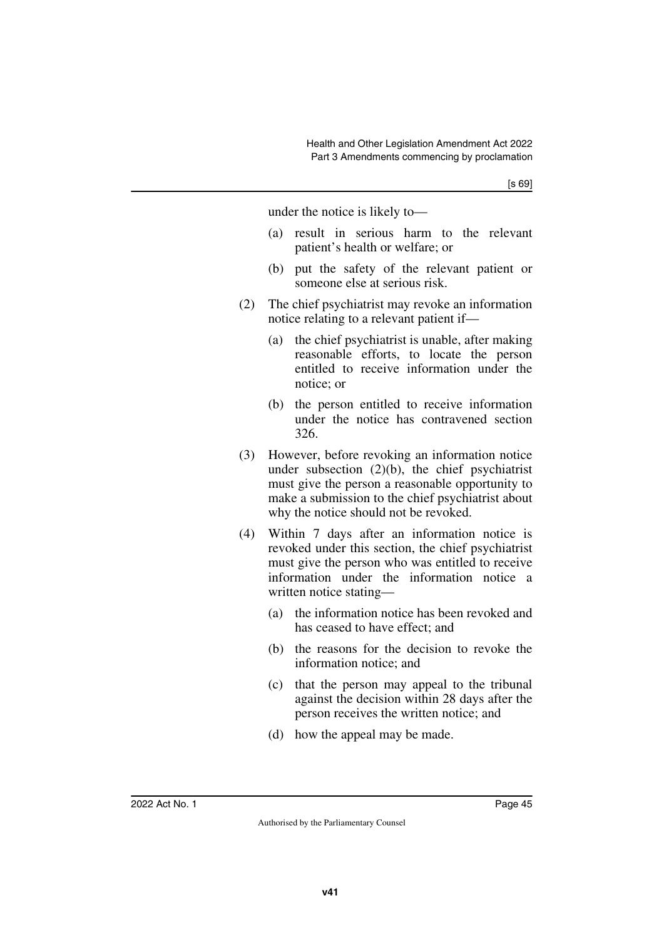under the notice is likely to—

- (a) result in serious harm to the relevant patient's health or welfare; or
- (b) put the safety of the relevant patient or someone else at serious risk.
- (2) The chief psychiatrist may revoke an information notice relating to a relevant patient if—
	- (a) the chief psychiatrist is unable, after making reasonable efforts, to locate the person entitled to receive information under the notice; or
	- (b) the person entitled to receive information under the notice has contravened section 326.
- (3) However, before revoking an information notice under subsection (2)(b), the chief psychiatrist must give the person a reasonable opportunity to make a submission to the chief psychiatrist about why the notice should not be revoked.
- (4) Within 7 days after an information notice is revoked under this section, the chief psychiatrist must give the person who was entitled to receive information under the information notice a written notice stating—
	- (a) the information notice has been revoked and has ceased to have effect; and
	- (b) the reasons for the decision to revoke the information notice; and
	- (c) that the person may appeal to the tribunal against the decision within 28 days after the person receives the written notice; and
	- (d) how the appeal may be made.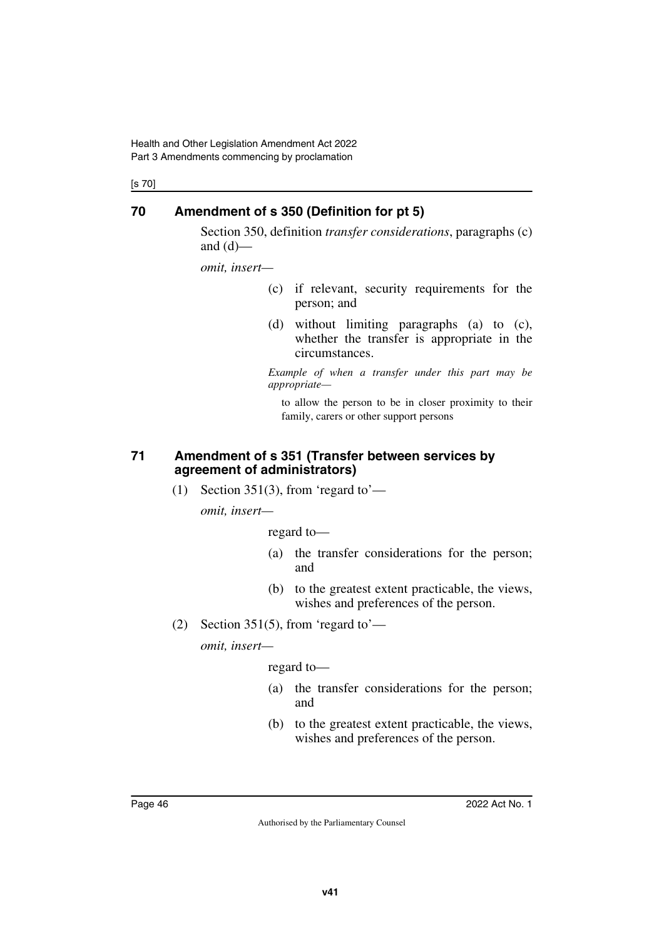Health and Other Legislation Amendment Act 2022 Part 3 Amendments commencing by proclamation

[s 70]

### **70 Amendment of s 350 (Definition for pt 5)**

Section 350, definition *transfer considerations*, paragraphs (c) and  $(d)$ —

*omit, insert—*

- (c) if relevant, security requirements for the person; and
- (d) without limiting paragraphs (a) to (c), whether the transfer is appropriate in the circumstances.

*Example of when a transfer under this part may be appropriate—*

to allow the person to be in closer proximity to their family, carers or other support persons

#### **71 Amendment of s 351 (Transfer between services by agreement of administrators)**

(1) Section 351(3), from 'regard to'—

*omit, insert—*

regard to—

- (a) the transfer considerations for the person; and
- (b) to the greatest extent practicable, the views, wishes and preferences of the person.
- (2) Section 351(5), from 'regard to'—

*omit, insert—*

regard to—

- (a) the transfer considerations for the person; and
- (b) to the greatest extent practicable, the views, wishes and preferences of the person.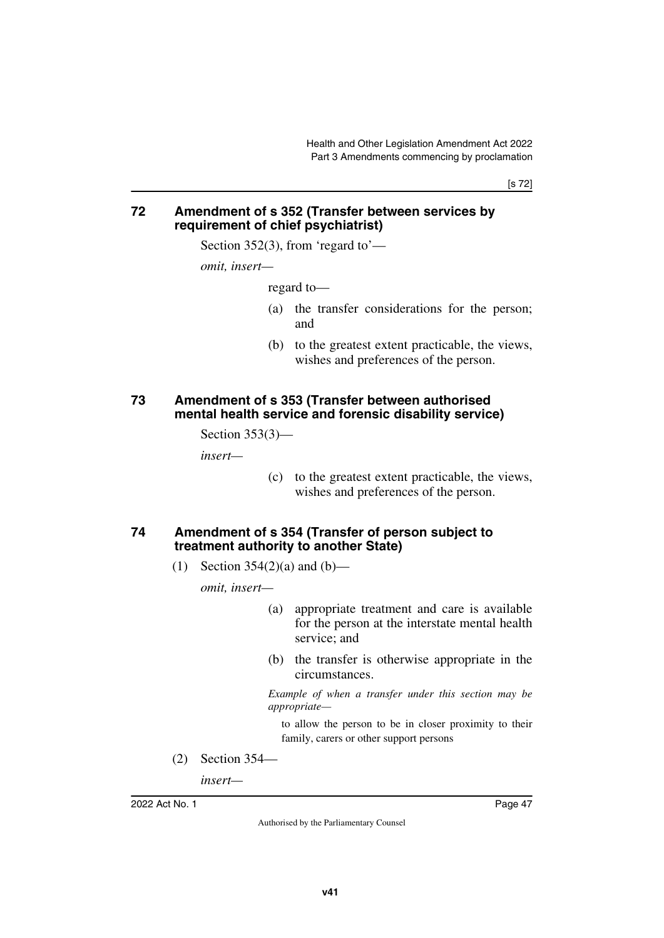[s 72]

#### **72 Amendment of s 352 (Transfer between services by requirement of chief psychiatrist)**

Section 352(3), from 'regard to'—

*omit, insert—*

regard to—

- (a) the transfer considerations for the person; and
- (b) to the greatest extent practicable, the views, wishes and preferences of the person.

#### **73 Amendment of s 353 (Transfer between authorised mental health service and forensic disability service)**

Section 353(3)—

*insert—*

(c) to the greatest extent practicable, the views, wishes and preferences of the person.

### **74 Amendment of s 354 (Transfer of person subject to treatment authority to another State)**

(1) Section  $354(2)(a)$  and  $(b)$ —

*omit, insert—*

- (a) appropriate treatment and care is available for the person at the interstate mental health service; and
- (b) the transfer is otherwise appropriate in the circumstances.

*Example of when a transfer under this section may be appropriate—*

to allow the person to be in closer proximity to their family, carers or other support persons

(2) Section 354—

*insert—*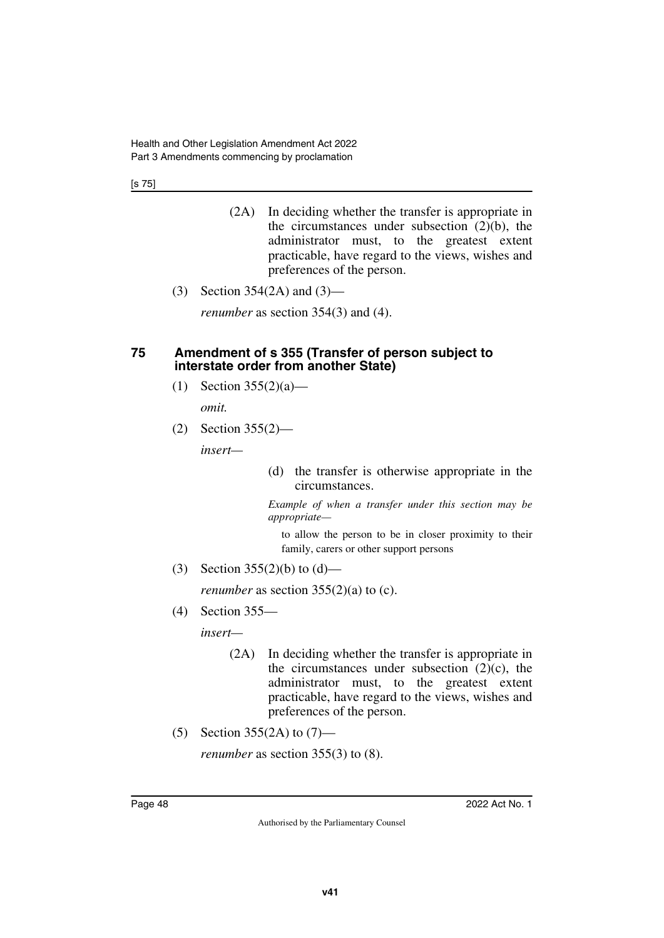[s 75]

- (2A) In deciding whether the transfer is appropriate in the circumstances under subsection  $(2)(b)$ , the administrator must, to the greatest extent practicable, have regard to the views, wishes and preferences of the person.
- (3) Section 354(2A) and (3)—

*renumber* as section 354(3) and (4).

#### **75 Amendment of s 355 (Transfer of person subject to interstate order from another State)**

(1) Section  $355(2)(a)$ —

*omit.*

(2) Section 355(2)—

*insert—*

(d) the transfer is otherwise appropriate in the circumstances.

*Example of when a transfer under this section may be appropriate—*

to allow the person to be in closer proximity to their family, carers or other support persons

(3) Section  $355(2)(b)$  to  $(d)$ —

*renumber* as section  $355(2)(a)$  to (c).

(4) Section 355—

*insert—*

- (2A) In deciding whether the transfer is appropriate in the circumstances under subsection  $(2)(c)$ , the administrator must, to the greatest extent practicable, have regard to the views, wishes and preferences of the person.
- (5) Section 355(2A) to (7)—

*renumber* as section 355(3) to (8).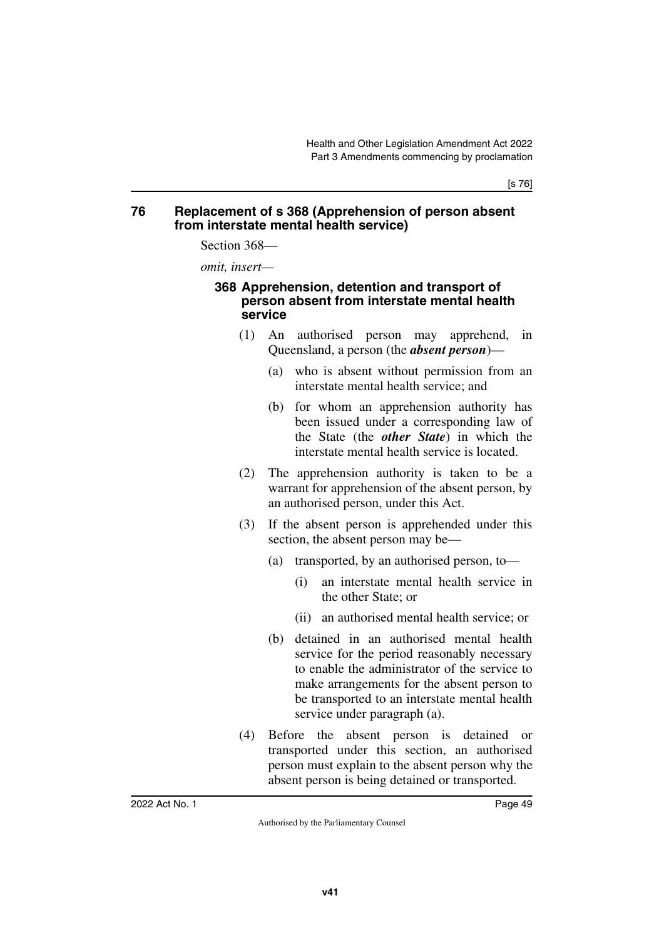#### **76 Replacement of s 368 (Apprehension of person absent from interstate mental health service)**

Section 368—

*omit, insert—*

#### **368 Apprehension, detention and transport of person absent from interstate mental health service**

- (1) An authorised person may apprehend, in Queensland, a person (the *absent person*)—
	- (a) who is absent without permission from an interstate mental health service; and
	- (b) for whom an apprehension authority has been issued under a corresponding law of the State (the *other State*) in which the interstate mental health service is located.
- (2) The apprehension authority is taken to be a warrant for apprehension of the absent person, by an authorised person, under this Act.
- (3) If the absent person is apprehended under this section, the absent person may be—
	- (a) transported, by an authorised person, to—
		- (i) an interstate mental health service in the other State; or
		- (ii) an authorised mental health service; or
	- (b) detained in an authorised mental health service for the period reasonably necessary to enable the administrator of the service to make arrangements for the absent person to be transported to an interstate mental health service under paragraph (a).
- (4) Before the absent person is detained or transported under this section, an authorised person must explain to the absent person why the absent person is being detained or transported.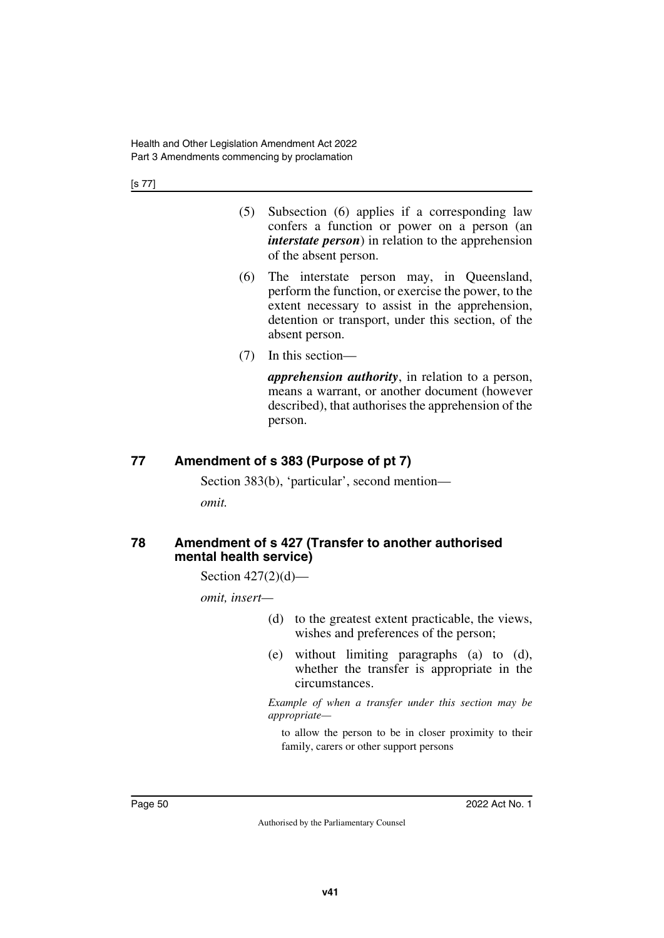[s 77]

- (5) Subsection (6) applies if a corresponding law confers a function or power on a person (an *interstate person*) in relation to the apprehension of the absent person.
- (6) The interstate person may, in Queensland, perform the function, or exercise the power, to the extent necessary to assist in the apprehension, detention or transport, under this section, of the absent person.
- (7) In this section—

*apprehension authority*, in relation to a person, means a warrant, or another document (however described), that authorises the apprehension of the person.

# **77 Amendment of s 383 (Purpose of pt 7)**

Section 383(b), 'particular', second mention—

*omit.*

#### **78 Amendment of s 427 (Transfer to another authorised mental health service)**

Section 427(2)(d)—

*omit, insert—*

- (d) to the greatest extent practicable, the views, wishes and preferences of the person;
- (e) without limiting paragraphs (a) to (d), whether the transfer is appropriate in the circumstances.

*Example of when a transfer under this section may be appropriate—*

to allow the person to be in closer proximity to their family, carers or other support persons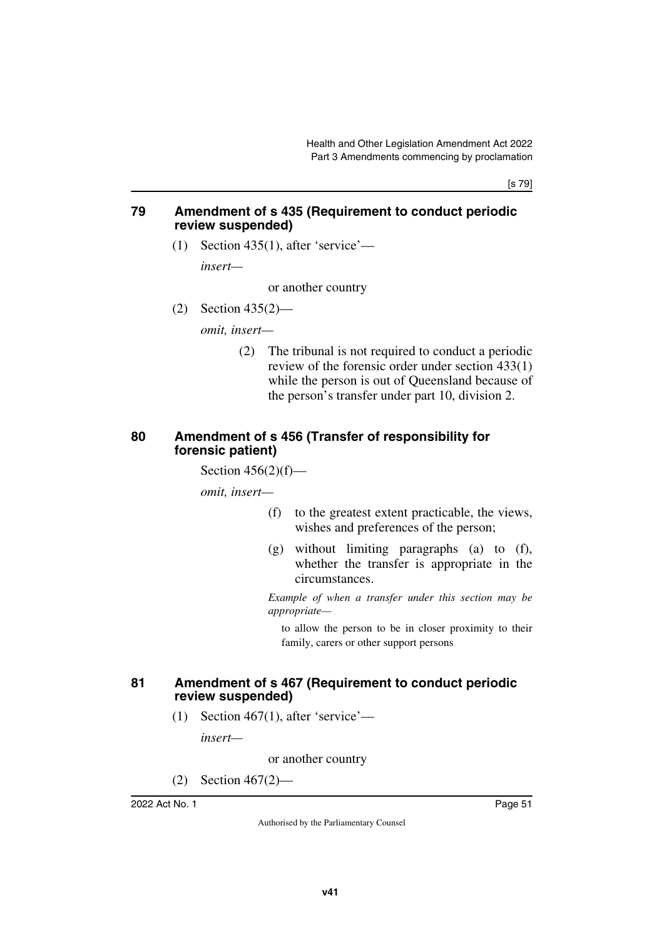[s 79]

#### **79 Amendment of s 435 (Requirement to conduct periodic review suspended)**

(1) Section 435(1), after 'service'—

*insert—*

or another country

(2) Section 435(2)—

*omit, insert—*

(2) The tribunal is not required to conduct a periodic review of the forensic order under section 433(1) while the person is out of Queensland because of the person's transfer under part 10, division 2.

### **80 Amendment of s 456 (Transfer of responsibility for forensic patient)**

Section  $456(2)(f)$ —

*omit, insert—*

- (f) to the greatest extent practicable, the views, wishes and preferences of the person;
- (g) without limiting paragraphs (a) to (f), whether the transfer is appropriate in the circumstances.

*Example of when a transfer under this section may be appropriate—*

to allow the person to be in closer proximity to their family, carers or other support persons

#### **81 Amendment of s 467 (Requirement to conduct periodic review suspended)**

(1) Section 467(1), after 'service'—

*insert—*

or another country

(2) Section 467(2)—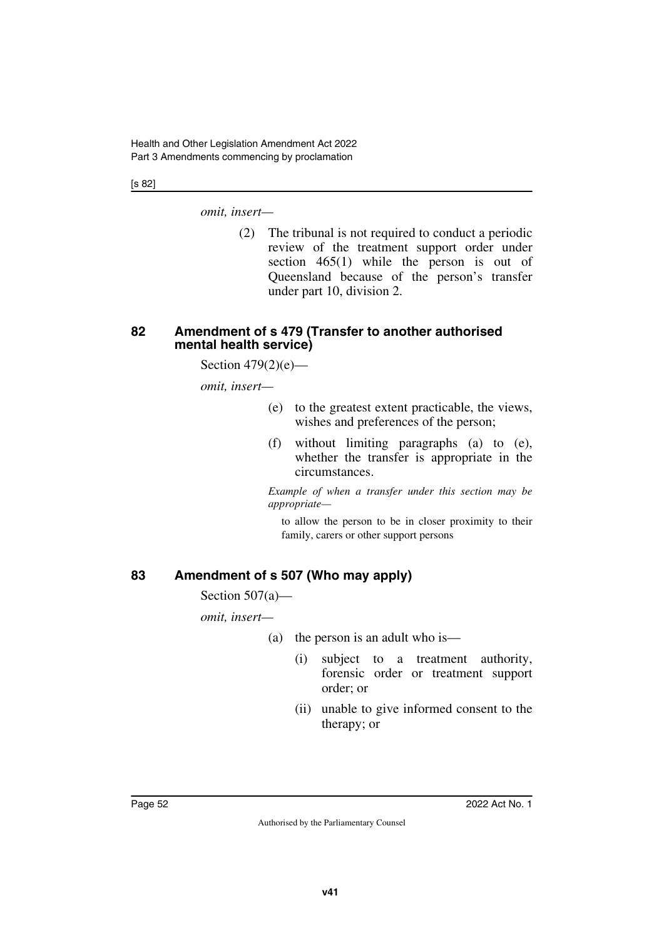[s 82]

*omit, insert—*

(2) The tribunal is not required to conduct a periodic review of the treatment support order under section 465(1) while the person is out of Queensland because of the person's transfer under part 10, division 2.

#### **82 Amendment of s 479 (Transfer to another authorised mental health service)**

Section  $479(2)(e)$ —

*omit, insert—*

- (e) to the greatest extent practicable, the views, wishes and preferences of the person;
- (f) without limiting paragraphs (a) to (e), whether the transfer is appropriate in the circumstances.

*Example of when a transfer under this section may be appropriate—*

to allow the person to be in closer proximity to their family, carers or other support persons

# **83 Amendment of s 507 (Who may apply)**

Section 507(a)—

*omit, insert—*

- (a) the person is an adult who is—
	- (i) subject to a treatment authority, forensic order or treatment support order; or
	- (ii) unable to give informed consent to the therapy; or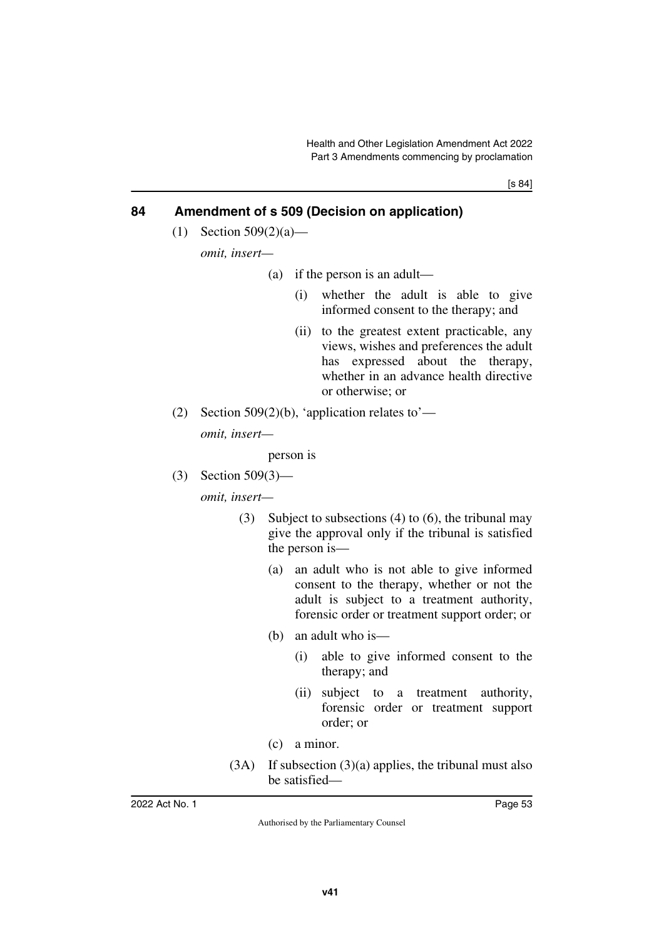# **84 Amendment of s 509 (Decision on application)**

(1) Section 509(2)(a)—

*omit, insert—*

- (a) if the person is an adult—
	- (i) whether the adult is able to give informed consent to the therapy; and
	- (ii) to the greatest extent practicable, any views, wishes and preferences the adult has expressed about the therapy, whether in an advance health directive or otherwise; or
- (2) Section 509(2)(b), 'application relates to'—

*omit, insert—*

person is

(3) Section 509(3)—

*omit, insert—*

- (3) Subject to subsections (4) to (6), the tribunal may give the approval only if the tribunal is satisfied the person is—
	- (a) an adult who is not able to give informed consent to the therapy, whether or not the adult is subject to a treatment authority, forensic order or treatment support order; or
	- (b) an adult who is—
		- (i) able to give informed consent to the therapy; and
		- (ii) subject to a treatment authority, forensic order or treatment support order; or
	- (c) a minor.
- (3A) If subsection (3)(a) applies, the tribunal must also be satisfied—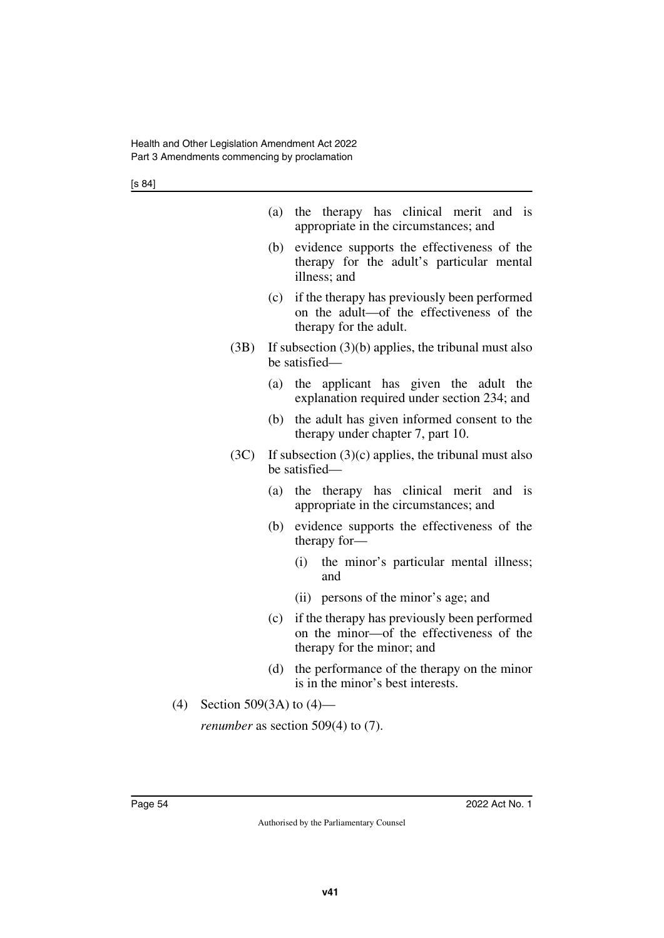|     |                            | (a) | the therapy has clinical merit and is<br>appropriate in the circumstances; and                                         |
|-----|----------------------------|-----|------------------------------------------------------------------------------------------------------------------------|
|     |                            | (b) | evidence supports the effectiveness of the<br>therapy for the adult's particular mental<br>illness; and                |
|     |                            | (c) | if the therapy has previously been performed<br>on the adult-of the effectiveness of the<br>therapy for the adult.     |
|     | (3B)                       |     | If subsection $(3)(b)$ applies, the tribunal must also<br>be satisfied—                                                |
|     |                            | (a) | the applicant has given the adult the<br>explanation required under section 234; and                                   |
|     |                            | (b) | the adult has given informed consent to the<br>therapy under chapter 7, part 10.                                       |
|     | (3C)                       |     | If subsection $(3)(c)$ applies, the tribunal must also<br>be satisfied—                                                |
|     |                            | (a) | the therapy has clinical merit and<br><i>is</i><br>appropriate in the circumstances; and                               |
|     |                            | (b) | evidence supports the effectiveness of the<br>therapy for-                                                             |
|     |                            |     | the minor's particular mental illness;<br>(i)<br>and                                                                   |
|     |                            |     | persons of the minor's age; and<br>(ii)                                                                                |
|     |                            | (c) | if the therapy has previously been performed<br>on the minor-of the effectiveness of the<br>therapy for the minor; and |
|     |                            | (d) | the performance of the therapy on the minor<br>is in the minor's best interests.                                       |
| (4) | Section 509(3A) to $(4)$ — |     |                                                                                                                        |
|     |                            |     | <i>renumber</i> as section $509(4)$ to $(7)$ .                                                                         |
|     |                            |     |                                                                                                                        |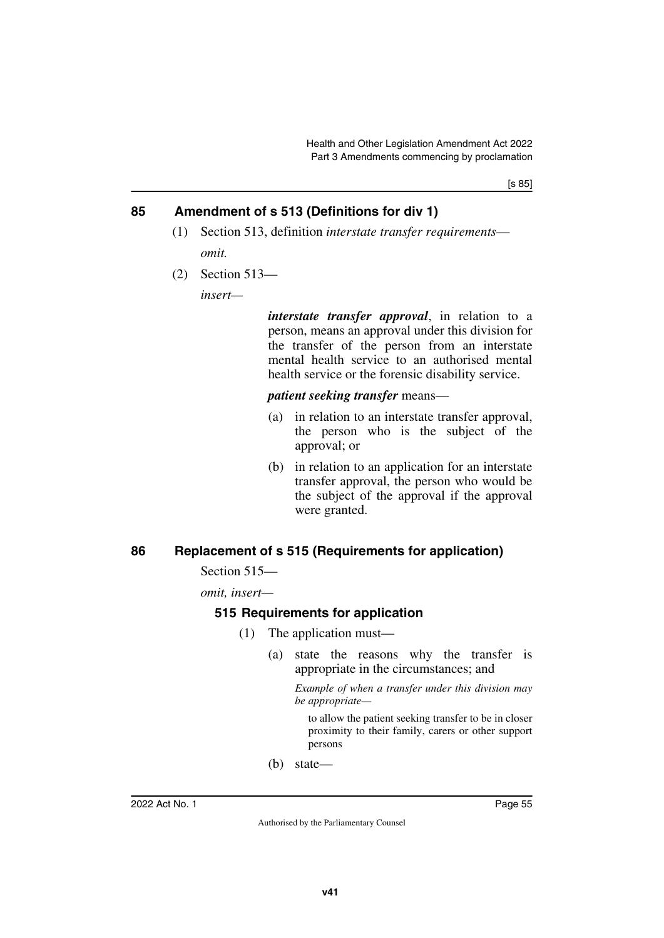# **85 Amendment of s 513 (Definitions for div 1)**

- (1) Section 513, definition *interstate transfer requirements omit.*
- (2) Section 513—

*insert—*

*interstate transfer approval*, in relation to a person, means an approval under this division for the transfer of the person from an interstate mental health service to an authorised mental health service or the forensic disability service.

*patient seeking transfer* means—

- (a) in relation to an interstate transfer approval, the person who is the subject of the approval; or
- (b) in relation to an application for an interstate transfer approval, the person who would be the subject of the approval if the approval were granted.

# **86 Replacement of s 515 (Requirements for application)**

Section 515—

*omit, insert—*

## **515 Requirements for application**

- (1) The application must—
	- (a) state the reasons why the transfer is appropriate in the circumstances; and

*Example of when a transfer under this division may be appropriate—*

to allow the patient seeking transfer to be in closer proximity to their family, carers or other support persons

(b) state—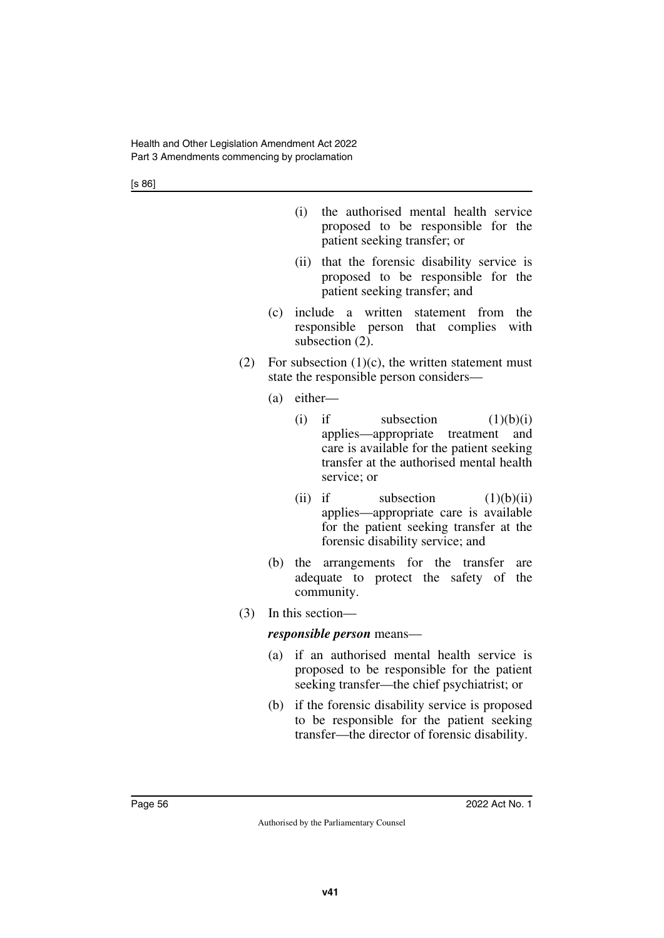[s 86]

- (i) the authorised mental health service proposed to be responsible for the patient seeking transfer; or
- (ii) that the forensic disability service is proposed to be responsible for the patient seeking transfer; and
- (c) include a written statement from the responsible person that complies with subsection (2).
- (2) For subsection  $(1)(c)$ , the written statement must state the responsible person considers—
	- (a) either—
		- (i) if subsection  $(1)(b)(i)$ applies—appropriate treatment and care is available for the patient seeking transfer at the authorised mental health service; or
		- (ii) if subsection  $(1)(b)(ii)$ applies—appropriate care is available for the patient seeking transfer at the forensic disability service; and
	- (b) the arrangements for the transfer are adequate to protect the safety of the community.
- (3) In this section—

#### *responsible person* means—

- (a) if an authorised mental health service is proposed to be responsible for the patient seeking transfer—the chief psychiatrist; or
- (b) if the forensic disability service is proposed to be responsible for the patient seeking transfer—the director of forensic disability.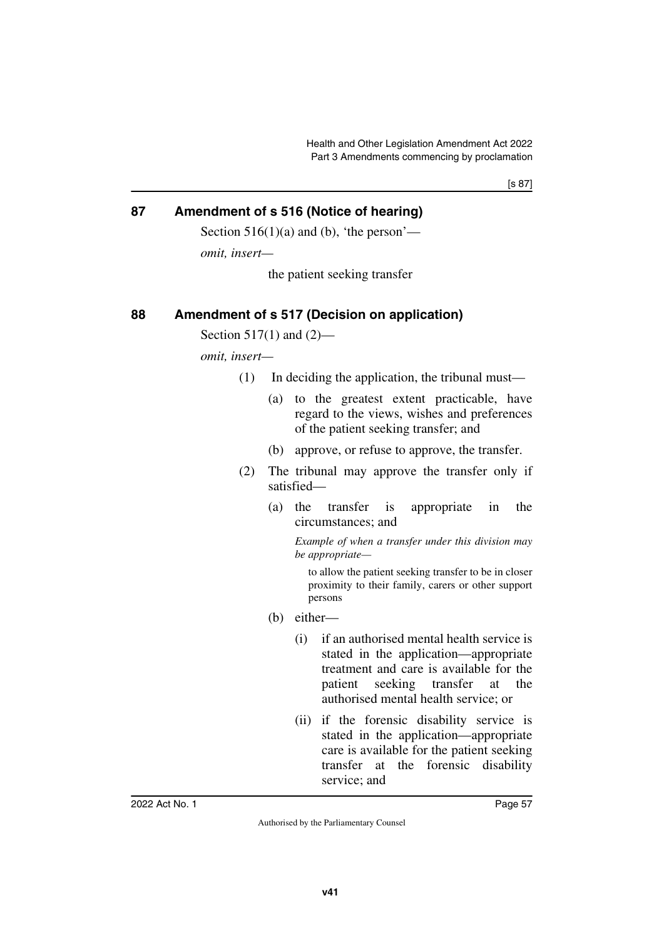[s 87]

# **87 Amendment of s 516 (Notice of hearing)**

Section  $516(1)(a)$  and (b), 'the person'—

*omit, insert—*

the patient seeking transfer

## **88 Amendment of s 517 (Decision on application)**

Section 517(1) and  $(2)$ —

*omit, insert—*

- (1) In deciding the application, the tribunal must—
	- (a) to the greatest extent practicable, have regard to the views, wishes and preferences of the patient seeking transfer; and
	- (b) approve, or refuse to approve, the transfer.
- (2) The tribunal may approve the transfer only if satisfied—
	- (a) the transfer is appropriate in the circumstances; and

*Example of when a transfer under this division may be appropriate—*

to allow the patient seeking transfer to be in closer proximity to their family, carers or other support persons

- (b) either—
	- (i) if an authorised mental health service is stated in the application—appropriate treatment and care is available for the patient seeking transfer at the authorised mental health service; or
	- (ii) if the forensic disability service is stated in the application—appropriate care is available for the patient seeking transfer at the forensic disability service; and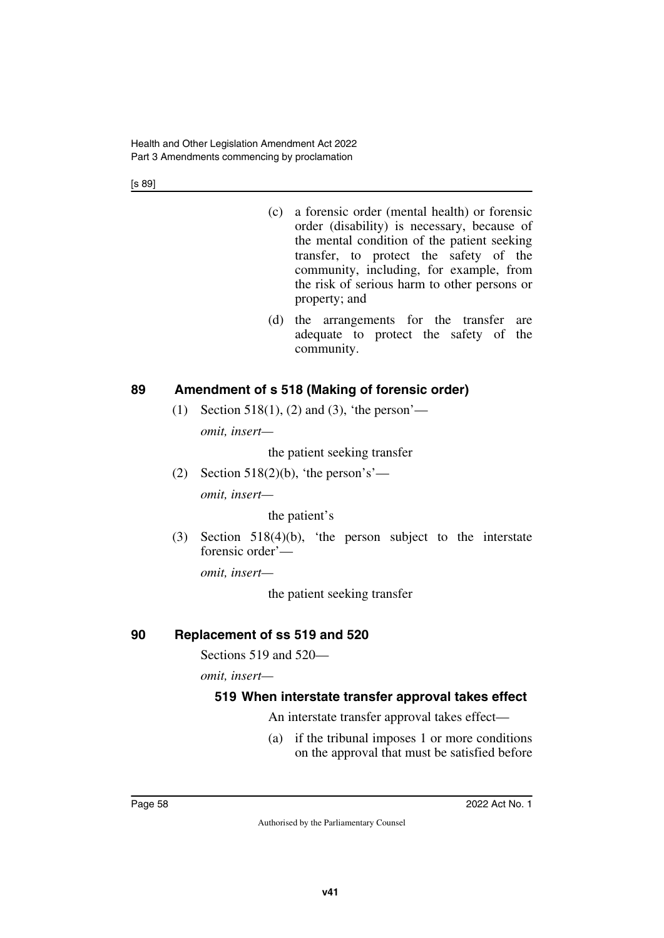[s 89]

- (c) a forensic order (mental health) or forensic order (disability) is necessary, because of the mental condition of the patient seeking transfer, to protect the safety of the community, including, for example, from the risk of serious harm to other persons or property; and
- (d) the arrangements for the transfer are adequate to protect the safety of the community.

# **89 Amendment of s 518 (Making of forensic order)**

(1) Section 518(1), (2) and (3), 'the person' *omit, insert—*

the patient seeking transfer

(2) Section 518(2)(b), 'the person's' *omit, insert—*

the patient's

(3) Section 518(4)(b), 'the person subject to the interstate forensic order'—

*omit, insert—*

the patient seeking transfer

## **90 Replacement of ss 519 and 520**

Sections 519 and 520—

*omit, insert—*

## **519 When interstate transfer approval takes effect**

An interstate transfer approval takes effect—

(a) if the tribunal imposes 1 or more conditions on the approval that must be satisfied before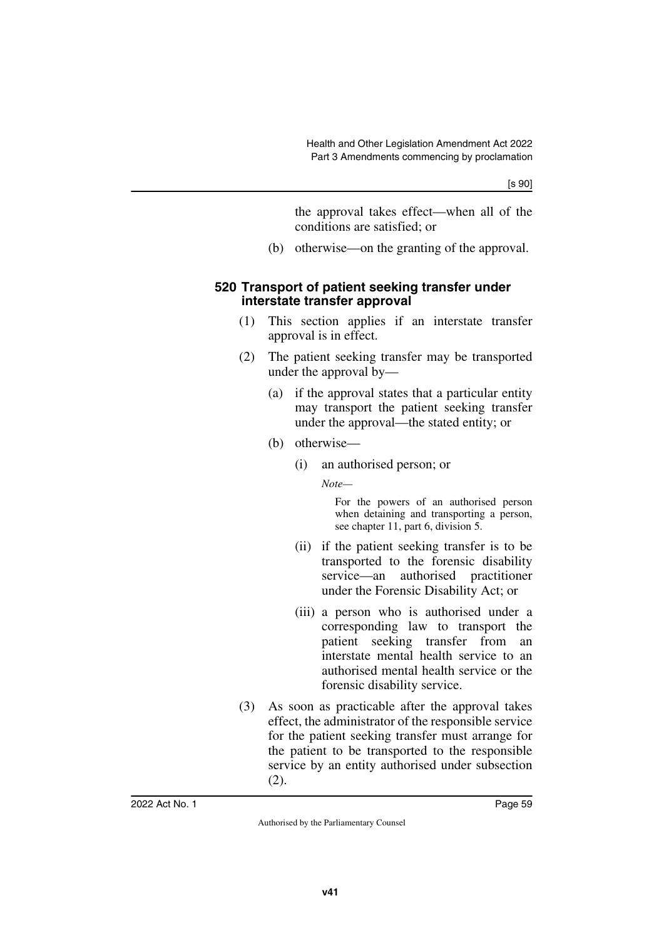the approval takes effect—when all of the conditions are satisfied; or

(b) otherwise—on the granting of the approval.

### **520 Transport of patient seeking transfer under interstate transfer approval**

- (1) This section applies if an interstate transfer approval is in effect.
- (2) The patient seeking transfer may be transported under the approval by—
	- (a) if the approval states that a particular entity may transport the patient seeking transfer under the approval—the stated entity; or
	- (b) otherwise—
		- (i) an authorised person; or

*Note—*

For the powers of an authorised person when detaining and transporting a person, see chapter 11, part 6, division 5.

- (ii) if the patient seeking transfer is to be transported to the forensic disability service—an authorised practitioner under the Forensic Disability Act; or
- (iii) a person who is authorised under a corresponding law to transport the patient seeking transfer from an interstate mental health service to an authorised mental health service or the forensic disability service.
- (3) As soon as practicable after the approval takes effect, the administrator of the responsible service for the patient seeking transfer must arrange for the patient to be transported to the responsible service by an entity authorised under subsection (2).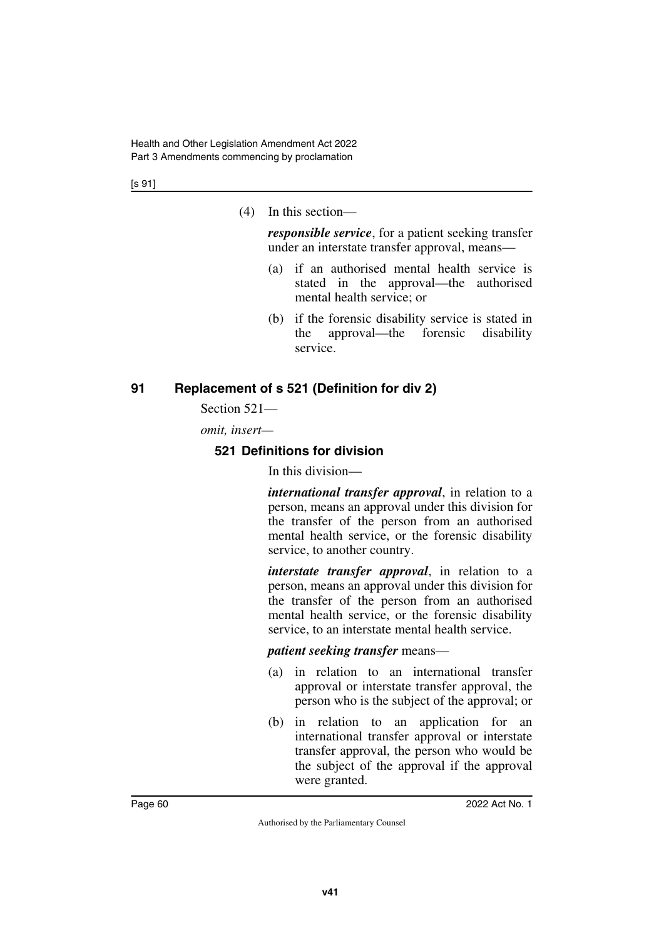[s 91]

(4) In this section—

*responsible service*, for a patient seeking transfer under an interstate transfer approval, means—

- (a) if an authorised mental health service is stated in the approval—the authorised mental health service; or
- (b) if the forensic disability service is stated in the approval—the forensic disability service.

# **91 Replacement of s 521 (Definition for div 2)**

Section 521—

*omit, insert—*

# **521 Definitions for division**

In this division—

*international transfer approval*, in relation to a person, means an approval under this division for the transfer of the person from an authorised mental health service, or the forensic disability service, to another country.

*interstate transfer approval*, in relation to a person, means an approval under this division for the transfer of the person from an authorised mental health service, or the forensic disability service, to an interstate mental health service.

*patient seeking transfer* means—

- (a) in relation to an international transfer approval or interstate transfer approval, the person who is the subject of the approval; or
- (b) in relation to an application for an international transfer approval or interstate transfer approval, the person who would be the subject of the approval if the approval were granted.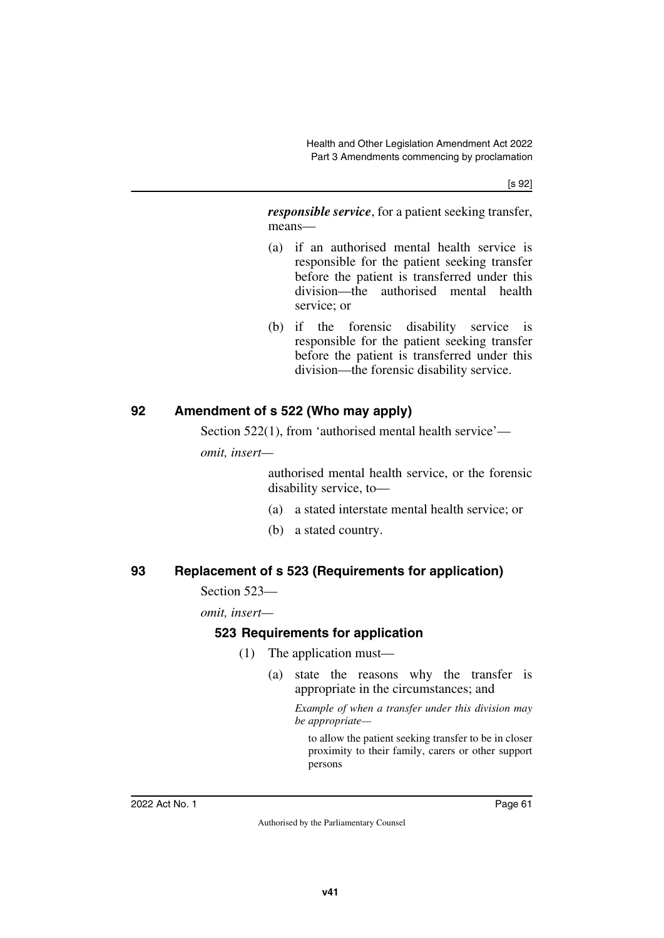[s 92]

*responsible service*, for a patient seeking transfer, means—

- (a) if an authorised mental health service is responsible for the patient seeking transfer before the patient is transferred under this division—the authorised mental health service; or
- (b) if the forensic disability service is responsible for the patient seeking transfer before the patient is transferred under this division—the forensic disability service.

# **92 Amendment of s 522 (Who may apply)**

Section 522(1), from 'authorised mental health service'—

*omit, insert—*

authorised mental health service, or the forensic disability service, to—

- (a) a stated interstate mental health service; or
- (b) a stated country.

## **93 Replacement of s 523 (Requirements for application)**

#### Section 523—

*omit, insert—*

# **523 Requirements for application**

- (1) The application must—
	- (a) state the reasons why the transfer is appropriate in the circumstances; and

*Example of when a transfer under this division may be appropriate—*

to allow the patient seeking transfer to be in closer proximity to their family, carers or other support persons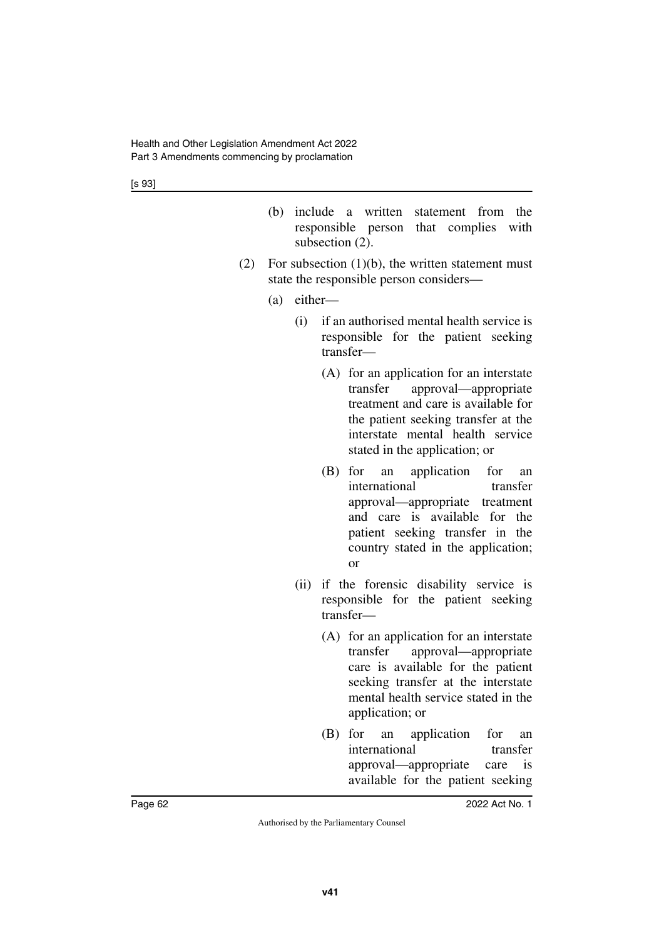- (b) include a written statement from the responsible person that complies with subsection  $(2)$ .
- (2) For subsection  $(1)(b)$ , the written statement must state the responsible person considers—
	- (a) either—
		- (i) if an authorised mental health service is responsible for the patient seeking transfer—
			- (A) for an application for an interstate transfer approval—appropriate treatment and care is available for the patient seeking transfer at the interstate mental health service stated in the application; or
			- (B) for an application for an international transfer approval—appropriate treatment and care is available for the patient seeking transfer in the country stated in the application; or
		- (ii) if the forensic disability service is responsible for the patient seeking transfer—
			- (A) for an application for an interstate transfer approval—appropriate care is available for the patient seeking transfer at the interstate mental health service stated in the application; or
			- (B) for an application for an international transfer approval—appropriate care is available for the patient seeking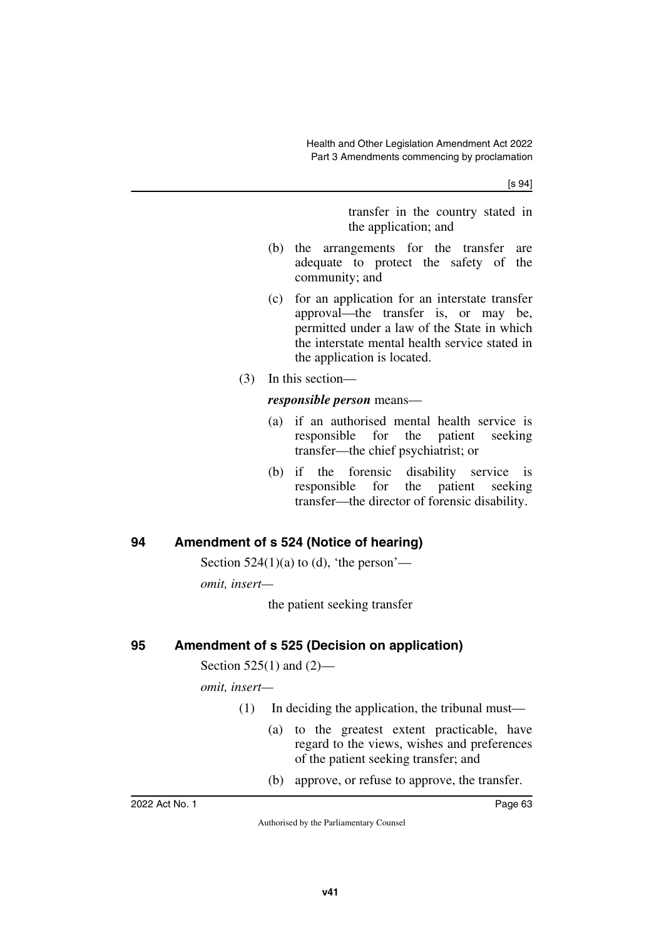[s 94]

transfer in the country stated in the application; and

- (b) the arrangements for the transfer are adequate to protect the safety of the community; and
- (c) for an application for an interstate transfer approval—the transfer is, or may be, permitted under a law of the State in which the interstate mental health service stated in the application is located.
- (3) In this section—

#### *responsible person* means—

- (a) if an authorised mental health service is responsible for the patient seeking transfer—the chief psychiatrist; or
- (b) if the forensic disability service is responsible for the patient seeking transfer—the director of forensic disability.

# **94 Amendment of s 524 (Notice of hearing)**

Section  $524(1)(a)$  to (d), 'the person'—

*omit, insert—*

the patient seeking transfer

# **95 Amendment of s 525 (Decision on application)**

Section 525(1) and (2)—

*omit, insert—*

- (1) In deciding the application, the tribunal must—
	- (a) to the greatest extent practicable, have regard to the views, wishes and preferences of the patient seeking transfer; and
	- (b) approve, or refuse to approve, the transfer.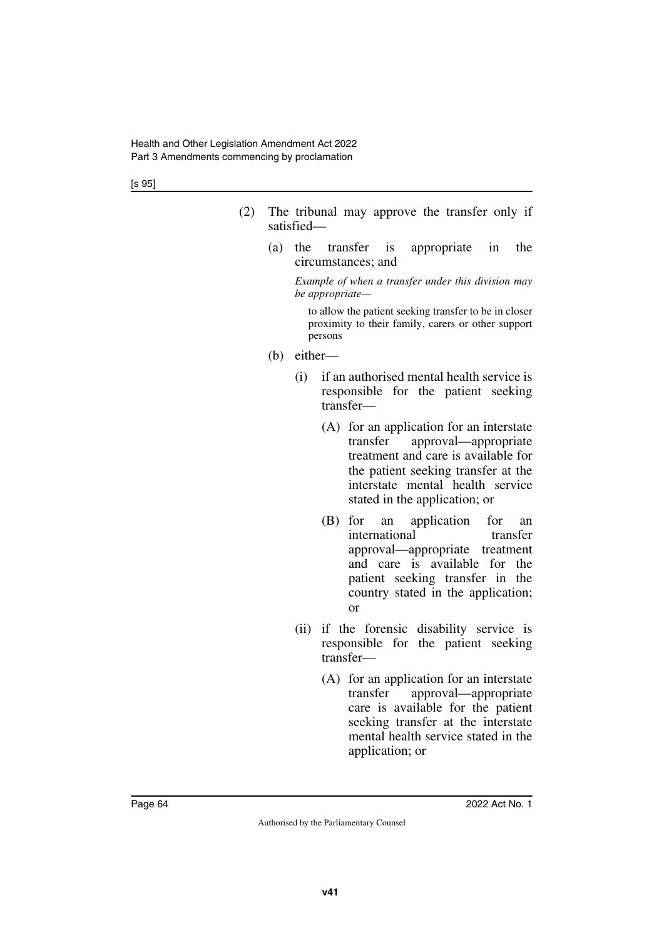[s 95]

- (2) The tribunal may approve the transfer only if satisfied—
	- (a) the transfer is appropriate in the circumstances; and

*Example of when a transfer under this division may be appropriate—*

to allow the patient seeking transfer to be in closer proximity to their family, carers or other support persons

- (b) either—
	- (i) if an authorised mental health service is responsible for the patient seeking transfer—
		- (A) for an application for an interstate transfer approval—appropriate treatment and care is available for the patient seeking transfer at the interstate mental health service stated in the application; or
		- (B) for an application for an international transfer approval—appropriate treatment and care is available for the patient seeking transfer in the country stated in the application; or
	- (ii) if the forensic disability service is responsible for the patient seeking transfer—
		- (A) for an application for an interstate transfer approval—appropriate care is available for the patient seeking transfer at the interstate mental health service stated in the application; or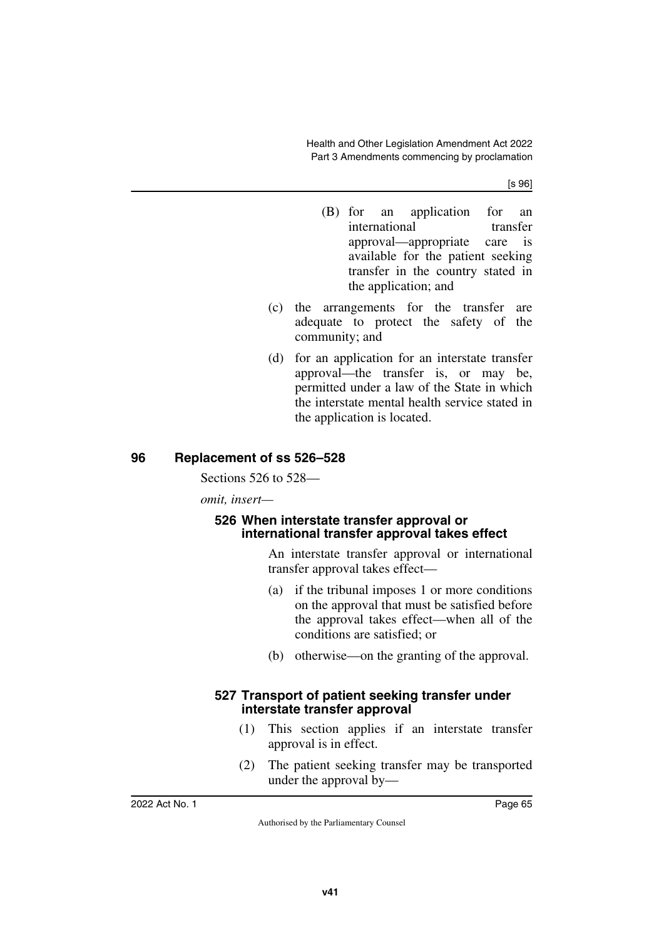[s 96]

- (B) for an application for an international transfer approval—appropriate care is available for the patient seeking transfer in the country stated in the application; and
- (c) the arrangements for the transfer are adequate to protect the safety of the community; and
- (d) for an application for an interstate transfer approval—the transfer is, or may be, permitted under a law of the State in which the interstate mental health service stated in the application is located.

## **96 Replacement of ss 526–528**

Sections 526 to 528—

*omit, insert—*

### **526 When interstate transfer approval or international transfer approval takes effect**

An interstate transfer approval or international transfer approval takes effect—

- (a) if the tribunal imposes 1 or more conditions on the approval that must be satisfied before the approval takes effect—when all of the conditions are satisfied; or
- (b) otherwise—on the granting of the approval.

#### **527 Transport of patient seeking transfer under interstate transfer approval**

- (1) This section applies if an interstate transfer approval is in effect.
- (2) The patient seeking transfer may be transported under the approval by—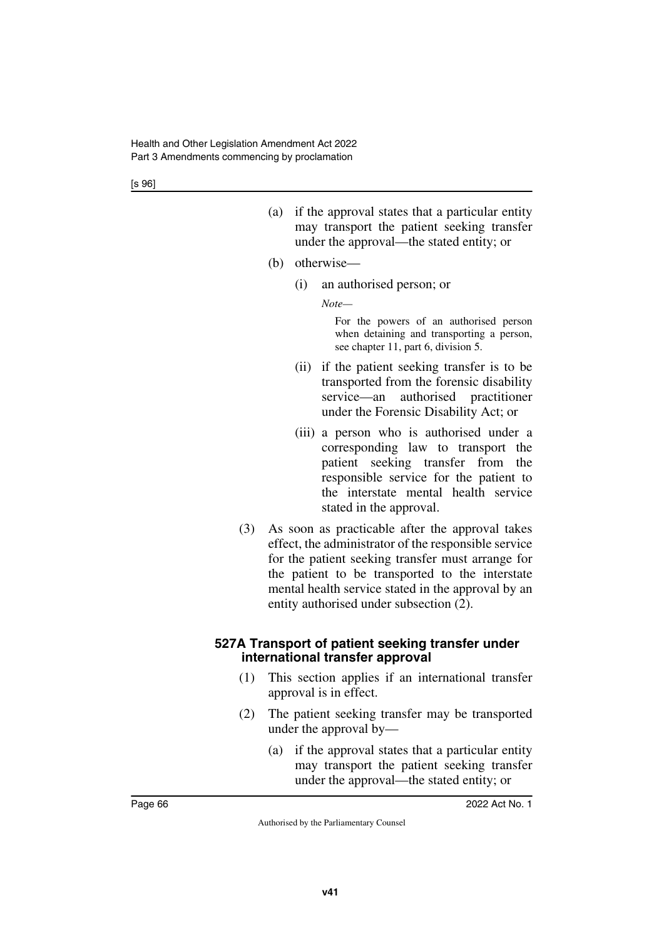- (a) if the approval states that a particular entity may transport the patient seeking transfer under the approval—the stated entity; or
- (b) otherwise—
	- (i) an authorised person; or

*Note—*

For the powers of an authorised person when detaining and transporting a person, see chapter 11, part 6, division 5.

- (ii) if the patient seeking transfer is to be transported from the forensic disability service—an authorised practitioner under the Forensic Disability Act; or
- (iii) a person who is authorised under a corresponding law to transport the patient seeking transfer from the responsible service for the patient to the interstate mental health service stated in the approval.
- (3) As soon as practicable after the approval takes effect, the administrator of the responsible service for the patient seeking transfer must arrange for the patient to be transported to the interstate mental health service stated in the approval by an entity authorised under subsection (2).

#### **527A Transport of patient seeking transfer under international transfer approval**

- (1) This section applies if an international transfer approval is in effect.
- (2) The patient seeking transfer may be transported under the approval by—
	- (a) if the approval states that a particular entity may transport the patient seeking transfer under the approval—the stated entity; or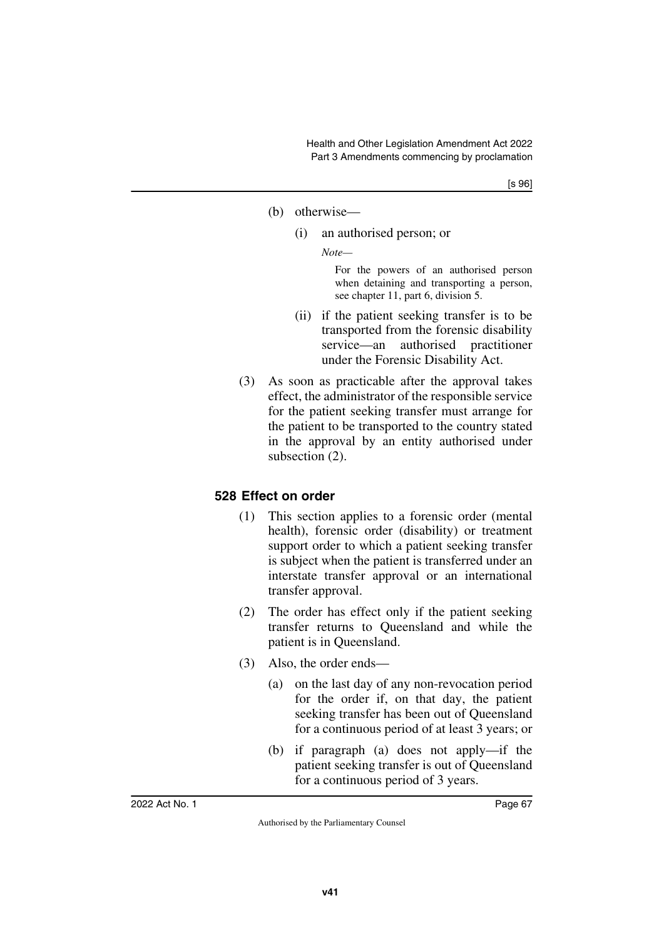#### (b) otherwise—

(i) an authorised person; or

*Note—*

For the powers of an authorised person when detaining and transporting a person, see chapter 11, part 6, division 5.

- (ii) if the patient seeking transfer is to be transported from the forensic disability service—an authorised practitioner under the Forensic Disability Act.
- (3) As soon as practicable after the approval takes effect, the administrator of the responsible service for the patient seeking transfer must arrange for the patient to be transported to the country stated in the approval by an entity authorised under subsection (2).

# **528 Effect on order**

- (1) This section applies to a forensic order (mental health), forensic order (disability) or treatment support order to which a patient seeking transfer is subject when the patient is transferred under an interstate transfer approval or an international transfer approval.
- (2) The order has effect only if the patient seeking transfer returns to Queensland and while the patient is in Queensland.
- (3) Also, the order ends—
	- (a) on the last day of any non-revocation period for the order if, on that day, the patient seeking transfer has been out of Queensland for a continuous period of at least 3 years; or
	- (b) if paragraph (a) does not apply—if the patient seeking transfer is out of Queensland for a continuous period of 3 years.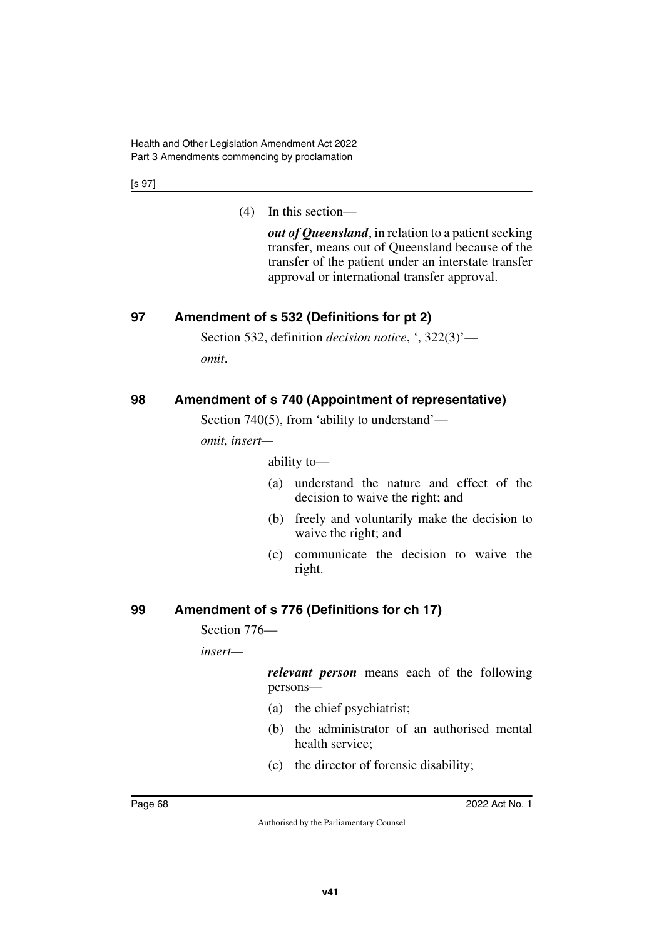Health and Other Legislation Amendment Act 2022 Part 3 Amendments commencing by proclamation

[s 97]

(4) In this section—

*out of Queensland*, in relation to a patient seeking transfer, means out of Queensland because of the transfer of the patient under an interstate transfer approval or international transfer approval.

## **97 Amendment of s 532 (Definitions for pt 2)**

Section 532, definition *decision notice*, ', 322(3)'—

*omit*.

## **98 Amendment of s 740 (Appointment of representative)**

Section 740(5), from 'ability to understand'—

*omit, insert—*

ability to—

- (a) understand the nature and effect of the decision to waive the right; and
- (b) freely and voluntarily make the decision to waive the right; and
- (c) communicate the decision to waive the right.

# **99 Amendment of s 776 (Definitions for ch 17)**

Section 776—

*insert—*

*relevant person* means each of the following persons—

- (a) the chief psychiatrist;
- (b) the administrator of an authorised mental health service;
- (c) the director of forensic disability;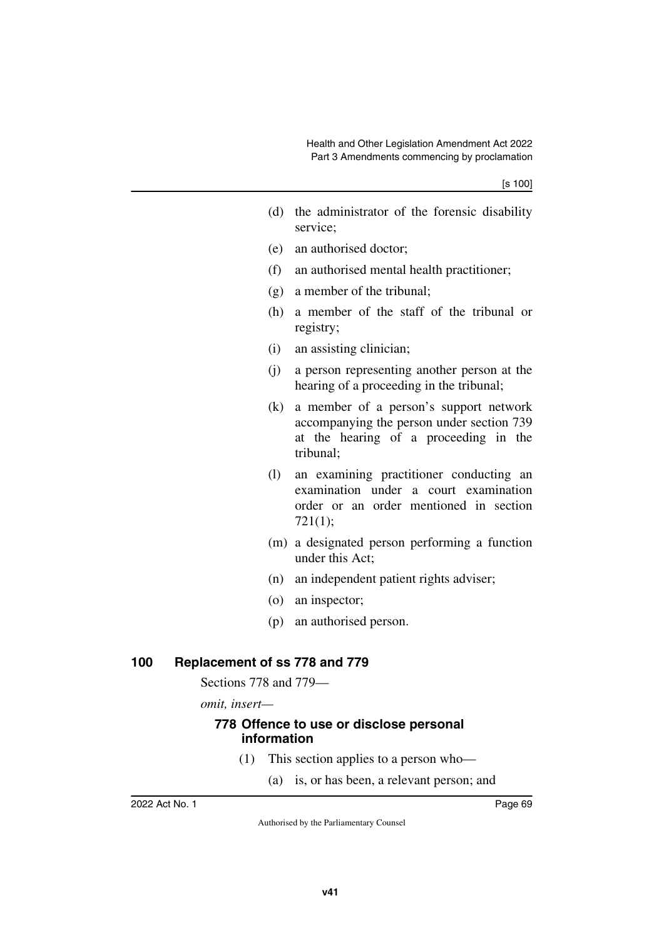- (d) the administrator of the forensic disability service;
- (e) an authorised doctor;
- (f) an authorised mental health practitioner;
- (g) a member of the tribunal;
- (h) a member of the staff of the tribunal or registry;
- (i) an assisting clinician;
- (j) a person representing another person at the hearing of a proceeding in the tribunal;
- (k) a member of a person's support network accompanying the person under section 739 at the hearing of a proceeding in the tribunal;
- (l) an examining practitioner conducting an examination under a court examination order or an order mentioned in section 721(1);
- (m) a designated person performing a function under this Act;
- (n) an independent patient rights adviser;
- (o) an inspector;
- (p) an authorised person.

#### **100 Replacement of ss 778 and 779**

Sections 778 and 779—

*omit, insert—*

#### **778 Offence to use or disclose personal information**

- (1) This section applies to a person who—
	- (a) is, or has been, a relevant person; and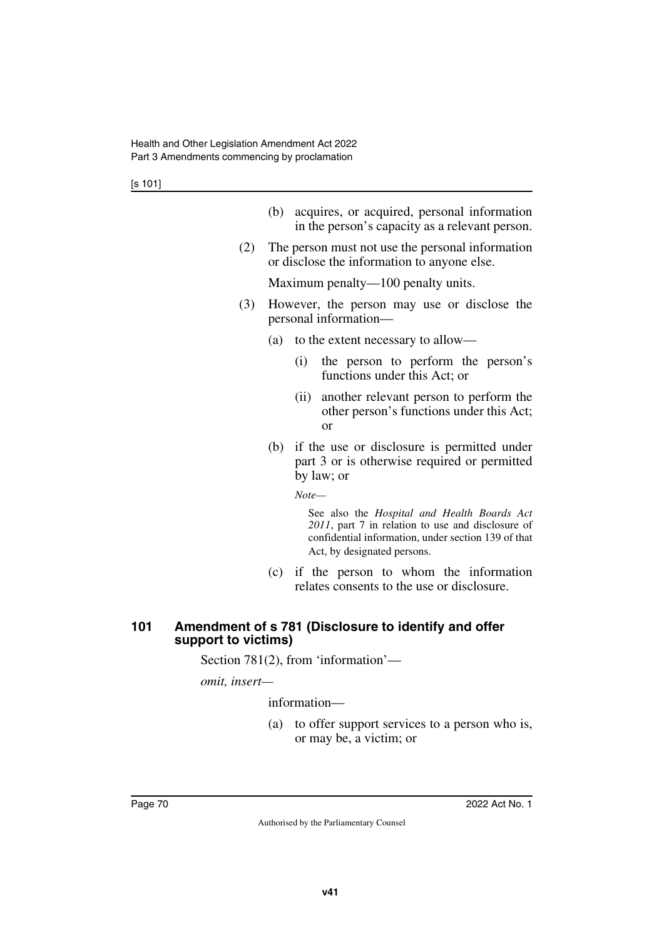| (b) acquires, or acquired, personal information |
|-------------------------------------------------|
| in the person's capacity as a relevant person.  |

(2) The person must not use the personal information or disclose the information to anyone else.

Maximum penalty—100 penalty units.

- (3) However, the person may use or disclose the personal information—
	- (a) to the extent necessary to allow—
		- (i) the person to perform the person's functions under this Act; or
		- (ii) another relevant person to perform the other person's functions under this Act; or
	- (b) if the use or disclosure is permitted under part 3 or is otherwise required or permitted by law; or

*Note—*

See also the *Hospital and Health Boards Act 2011*, part 7 in relation to use and disclosure of confidential information, under section 139 of that Act, by designated persons.

(c) if the person to whom the information relates consents to the use or disclosure.

### **101 Amendment of s 781 (Disclosure to identify and offer support to victims)**

Section 781(2), from 'information'—

*omit, insert—*

information—

(a) to offer support services to a person who is, or may be, a victim; or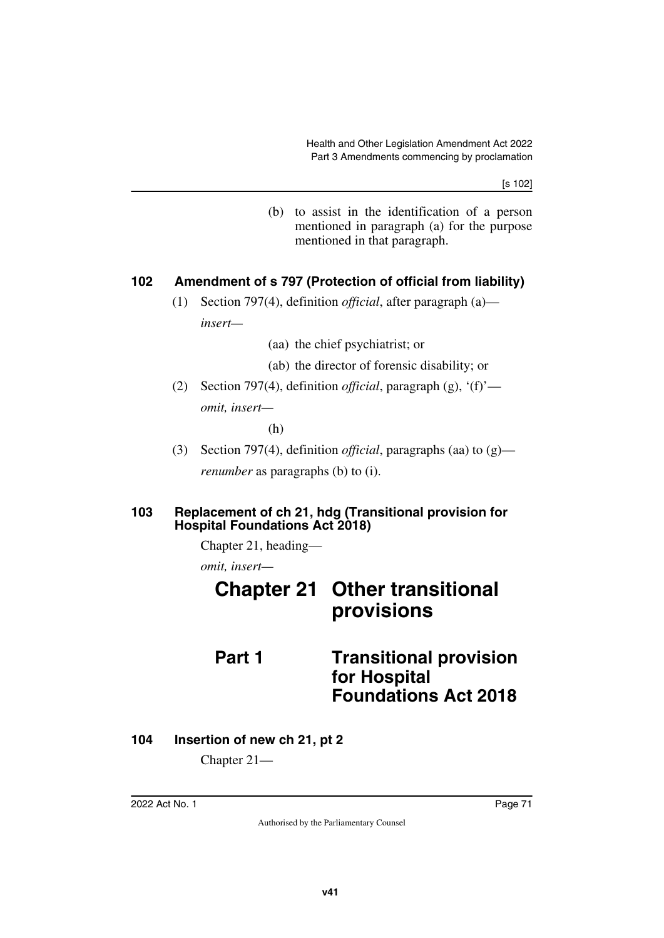[s 102]

(b) to assist in the identification of a person mentioned in paragraph (a) for the purpose mentioned in that paragraph.

#### **102 Amendment of s 797 (Protection of official from liability)**

- (1) Section 797(4), definition *official*, after paragraph (a) *insert—*
	- (aa) the chief psychiatrist; or
	- (ab) the director of forensic disability; or
- (2) Section 797(4), definition *official*, paragraph (g), '(f)' *omit, insert—*

(h)

(3) Section 797(4), definition *official*, paragraphs (aa) to (g) *renumber* as paragraphs (b) to (i).

#### **103 Replacement of ch 21, hdg (Transitional provision for Hospital Foundations Act 2018)**

Chapter 21, heading—

*omit, insert—*

# **Chapter 21 Other transitional provisions Part 1 Transitional provision**

# **for Hospital Foundations Act 2018**

**104 Insertion of new ch 21, pt 2**

Chapter 21—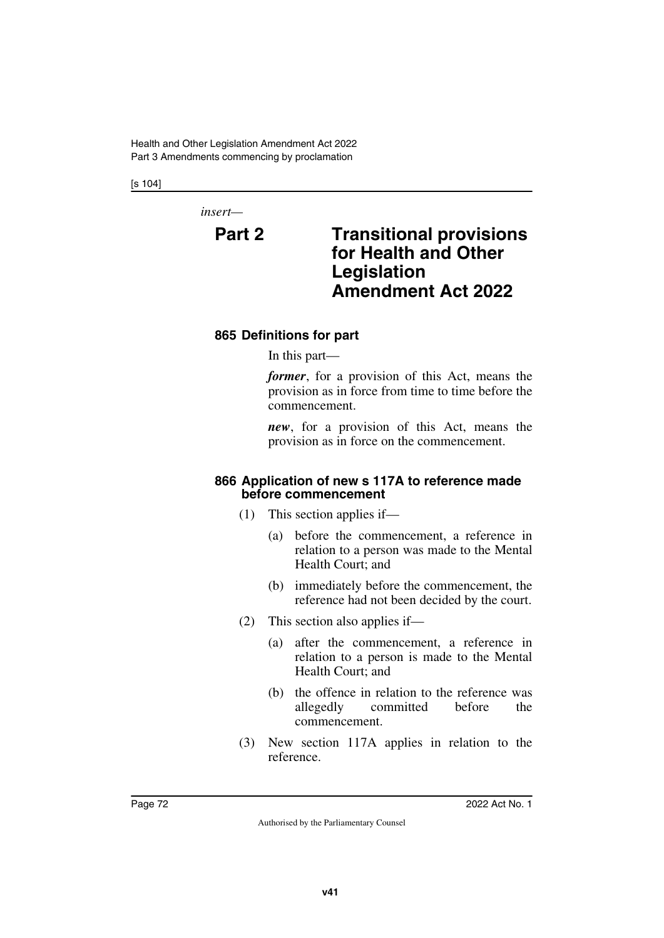Health and Other Legislation Amendment Act 2022 Part 3 Amendments commencing by proclamation

[s 104]

*insert—*

# **Part 2 Transitional provisions for Health and Other Legislation Amendment Act 2022**

#### **865 Definitions for part**

In this part—

*former*, for a provision of this Act, means the provision as in force from time to time before the commencement.

*new*, for a provision of this Act, means the provision as in force on the commencement.

#### **866 Application of new s 117A to reference made before commencement**

- (1) This section applies if—
	- (a) before the commencement, a reference in relation to a person was made to the Mental Health Court; and
	- (b) immediately before the commencement, the reference had not been decided by the court.
- (2) This section also applies if—
	- (a) after the commencement, a reference in relation to a person is made to the Mental Health Court; and
	- (b) the offence in relation to the reference was allegedly committed before the commencement.
- (3) New section 117A applies in relation to the reference.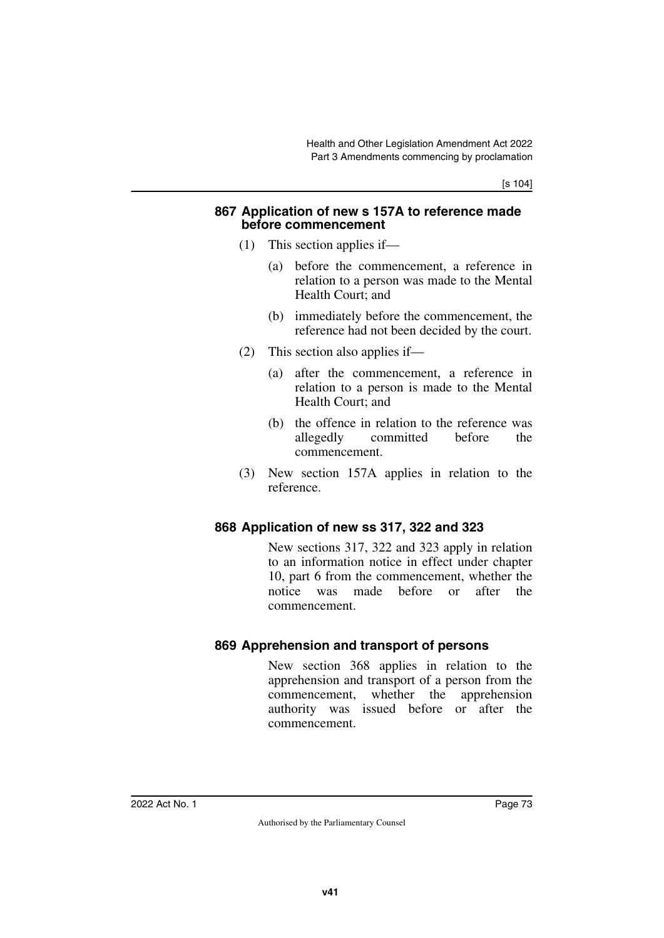[s 104]

#### **867 Application of new s 157A to reference made before commencement**

- (1) This section applies if—
	- (a) before the commencement, a reference in relation to a person was made to the Mental Health Court; and
	- (b) immediately before the commencement, the reference had not been decided by the court.
- (2) This section also applies if—
	- (a) after the commencement, a reference in relation to a person is made to the Mental Health Court; and
	- (b) the offence in relation to the reference was allegedly committed before the commencement.
- (3) New section 157A applies in relation to the reference.

#### **868 Application of new ss 317, 322 and 323**

New sections 317, 322 and 323 apply in relation to an information notice in effect under chapter 10, part 6 from the commencement, whether the notice was made before or after the commencement.

#### **869 Apprehension and transport of persons**

New section 368 applies in relation to the apprehension and transport of a person from the commencement, whether the apprehension authority was issued before or after the commencement.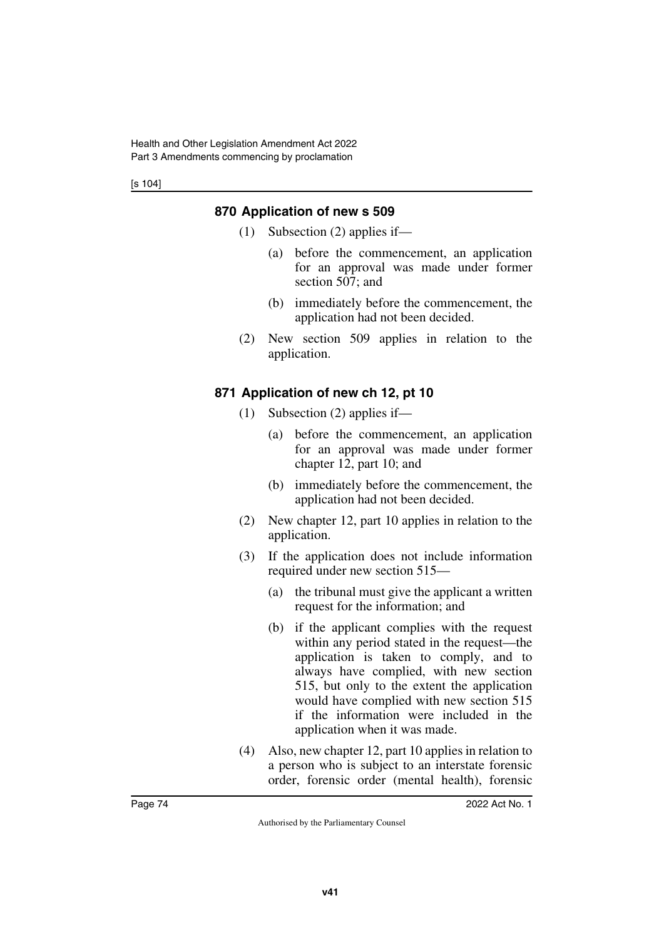[s 104]

## **870 Application of new s 509**

- (1) Subsection (2) applies if—
	- (a) before the commencement, an application for an approval was made under former section 507; and
	- (b) immediately before the commencement, the application had not been decided.
- (2) New section 509 applies in relation to the application.

# **871 Application of new ch 12, pt 10**

- (1) Subsection (2) applies if—
	- (a) before the commencement, an application for an approval was made under former chapter 12, part 10; and
	- (b) immediately before the commencement, the application had not been decided.
- (2) New chapter 12, part 10 applies in relation to the application.
- (3) If the application does not include information required under new section 515—
	- (a) the tribunal must give the applicant a written request for the information; and
	- (b) if the applicant complies with the request within any period stated in the request—the application is taken to comply, and to always have complied, with new section 515, but only to the extent the application would have complied with new section 515 if the information were included in the application when it was made.
- (4) Also, new chapter 12, part 10 applies in relation to a person who is subject to an interstate forensic order, forensic order (mental health), forensic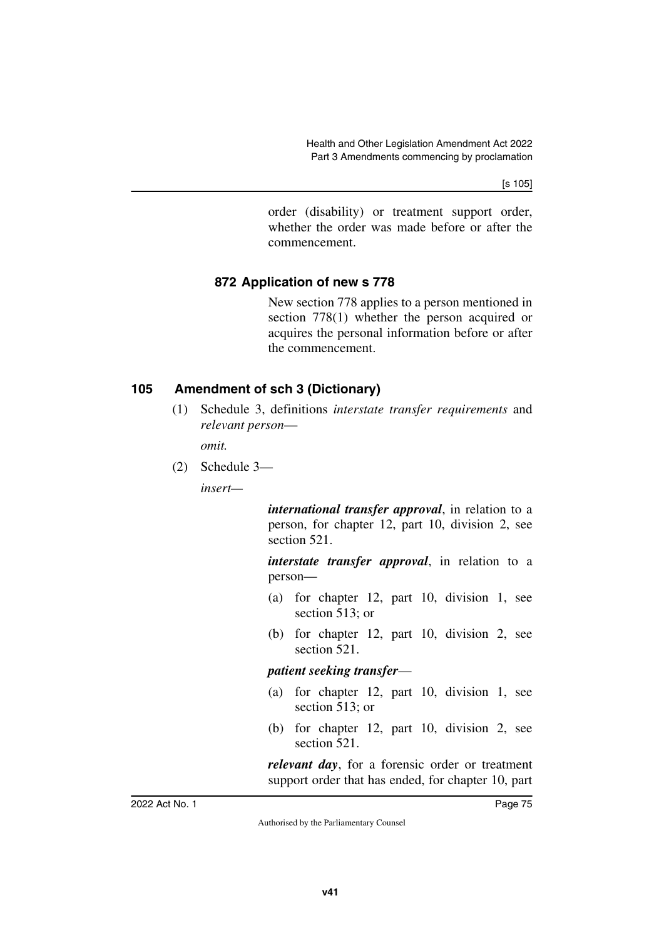[s 105]

order (disability) or treatment support order, whether the order was made before or after the commencement.

#### **872 Application of new s 778**

New section 778 applies to a person mentioned in section 778(1) whether the person acquired or acquires the personal information before or after the commencement.

### **105 Amendment of sch 3 (Dictionary)**

(1) Schedule 3, definitions *interstate transfer requirements* and *relevant person*—

*omit.*

(2) Schedule 3—

*insert—*

*international transfer approval*, in relation to a person, for chapter 12, part 10, division 2, see section 521.

*interstate transfer approval*, in relation to a person—

- (a) for chapter 12, part 10, division 1, see section 513; or
- (b) for chapter 12, part 10, division 2, see section 521.

*patient seeking transfer*—

- (a) for chapter 12, part 10, division 1, see section 513; or
- (b) for chapter 12, part 10, division 2, see section 521.

*relevant day*, for a forensic order or treatment support order that has ended, for chapter 10, part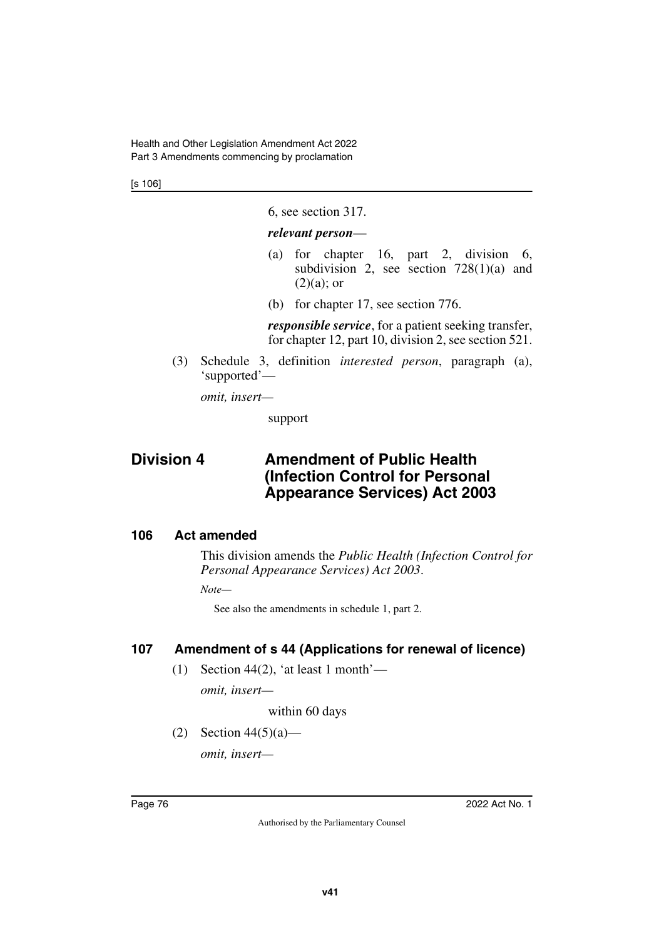Health and Other Legislation Amendment Act 2022 Part 3 Amendments commencing by proclamation

[s 106]

6, see section 317.

#### *relevant person*—

- (a) for chapter 16, part 2, division 6, subdivision 2, see section  $728(1)(a)$  and  $(2)(a)$ ; or
- (b) for chapter 17, see section 776.

*responsible service*, for a patient seeking transfer, for chapter 12, part 10, division 2, see section 521.

(3) Schedule 3, definition *interested person*, paragraph (a), 'supported'—

*omit, insert—*

support

# **Division 4 Amendment of Public Health (Infection Control for Personal Appearance Services) Act 2003**

#### **106 Act amended**

This division amends the *Public Health (Infection Control for Personal Appearance Services) Act 2003*.

*Note—*

See also the amendments in schedule 1, part 2.

#### **107 Amendment of s 44 (Applications for renewal of licence)**

(1) Section 44(2), 'at least 1 month'—

*omit, insert—*

within 60 days

(2) Section  $44(5)(a)$ —

*omit, insert—*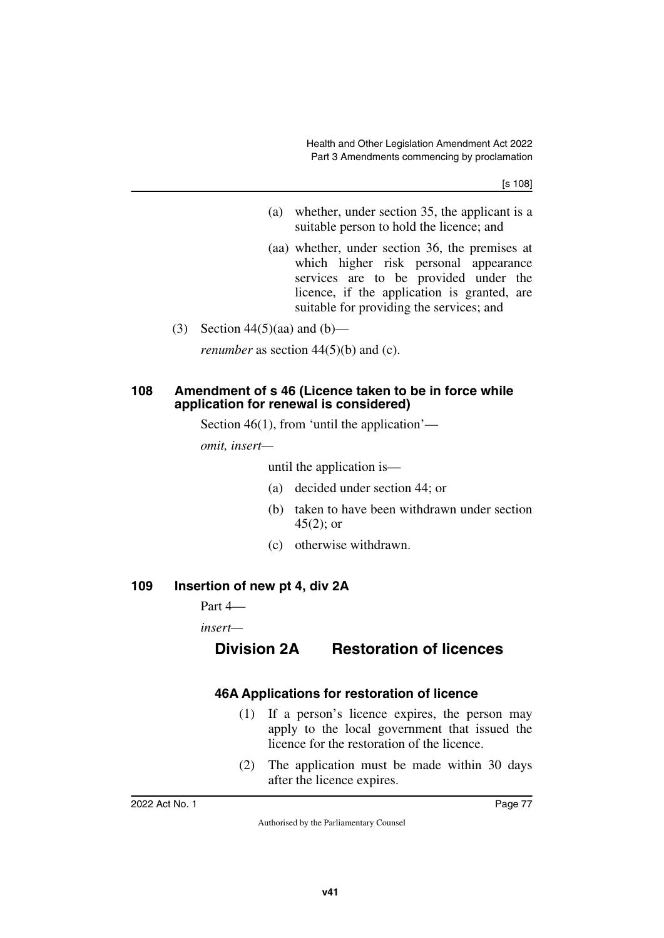[s 108]

- (a) whether, under section 35, the applicant is a suitable person to hold the licence; and
- (aa) whether, under section 36, the premises at which higher risk personal appearance services are to be provided under the licence, if the application is granted, are suitable for providing the services; and
- (3) Section  $44(5)(aa)$  and  $(b)$ —

*renumber* as section 44(5)(b) and (c).

#### **108 Amendment of s 46 (Licence taken to be in force while application for renewal is considered)**

Section 46(1), from 'until the application'—

*omit, insert—*

until the application is—

- (a) decided under section 44; or
- (b) taken to have been withdrawn under section  $45(2)$ ; or
- (c) otherwise withdrawn.

#### **109 Insertion of new pt 4, div 2A**

Part 4—

*insert—*

# **Division 2A Restoration of licences**

#### **46A Applications for restoration of licence**

- (1) If a person's licence expires, the person may apply to the local government that issued the licence for the restoration of the licence.
- (2) The application must be made within 30 days after the licence expires.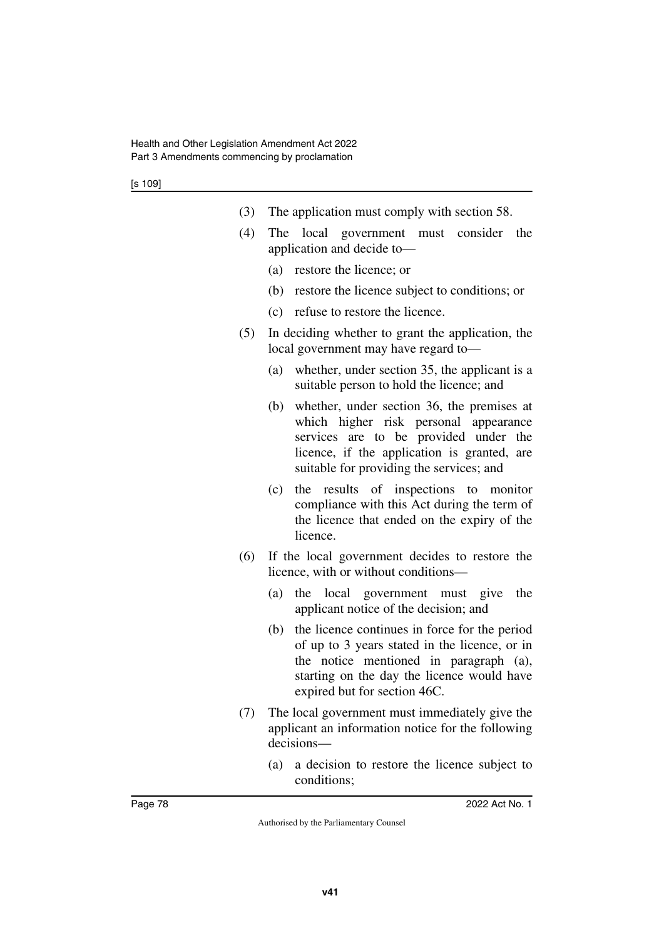- (3) The application must comply with section 58.
- (4) The local government must consider the application and decide to—
	- (a) restore the licence; or
	- (b) restore the licence subject to conditions; or
	- (c) refuse to restore the licence.
- (5) In deciding whether to grant the application, the local government may have regard to—
	- (a) whether, under section 35, the applicant is a suitable person to hold the licence; and
	- (b) whether, under section 36, the premises at which higher risk personal appearance services are to be provided under the licence, if the application is granted, are suitable for providing the services; and
	- (c) the results of inspections to monitor compliance with this Act during the term of the licence that ended on the expiry of the licence.
- (6) If the local government decides to restore the licence, with or without conditions—
	- (a) the local government must give the applicant notice of the decision; and
	- (b) the licence continues in force for the period of up to 3 years stated in the licence, or in the notice mentioned in paragraph (a), starting on the day the licence would have expired but for section 46C.
- (7) The local government must immediately give the applicant an information notice for the following decisions—
	- (a) a decision to restore the licence subject to conditions;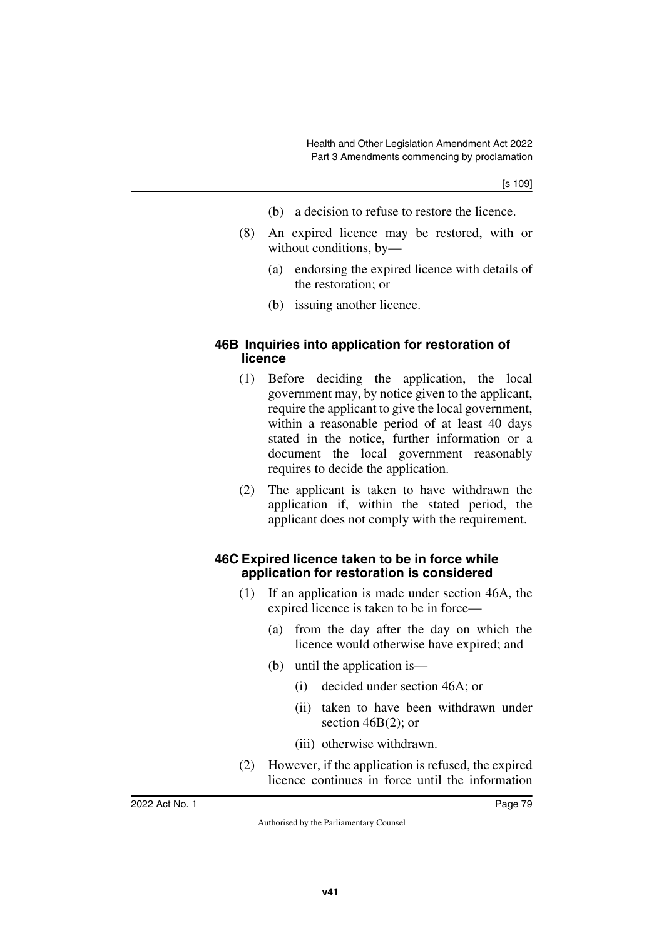- (b) a decision to refuse to restore the licence.
- (8) An expired licence may be restored, with or without conditions, by—
	- (a) endorsing the expired licence with details of the restoration; or
	- (b) issuing another licence.

#### **46B Inquiries into application for restoration of licence**

- (1) Before deciding the application, the local government may, by notice given to the applicant, require the applicant to give the local government, within a reasonable period of at least 40 days stated in the notice, further information or a document the local government reasonably requires to decide the application.
- (2) The applicant is taken to have withdrawn the application if, within the stated period, the applicant does not comply with the requirement.

#### **46C Expired licence taken to be in force while application for restoration is considered**

- (1) If an application is made under section 46A, the expired licence is taken to be in force—
	- (a) from the day after the day on which the licence would otherwise have expired; and
	- (b) until the application is—
		- (i) decided under section 46A; or
		- (ii) taken to have been withdrawn under section 46B(2); or
		- (iii) otherwise withdrawn.
- (2) However, if the application is refused, the expired licence continues in force until the information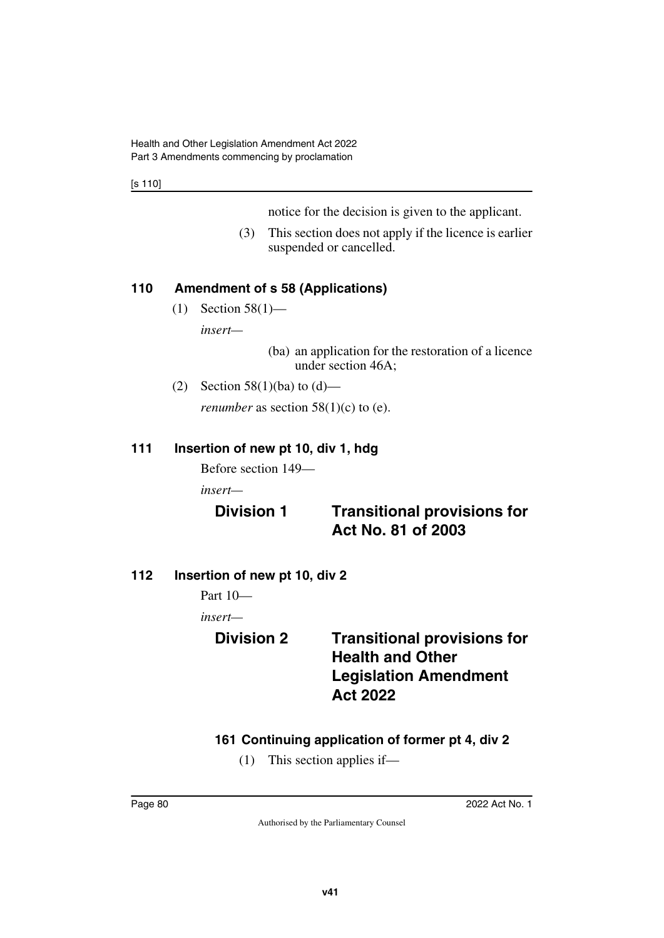[s 110]

notice for the decision is given to the applicant.

(3) This section does not apply if the licence is earlier suspended or cancelled.

### **110 Amendment of s 58 (Applications)**

(1) Section 58(1)—

*insert—*

(ba) an application for the restoration of a licence under section 46A;

(2) Section 58(1)(ba) to  $(d)$ —

*renumber* as section  $58(1)(c)$  to (e).

#### **111 Insertion of new pt 10, div 1, hdg**

Before section 149—

*insert—*

# **Division 1 Transitional provisions for Act No. 81 of 2003**

**112 Insertion of new pt 10, div 2**

Part 10—

*insert—*

# **Division 2 Transitional provisions for Health and Other Legislation Amendment Act 2022**

# **161 Continuing application of former pt 4, div 2**

(1) This section applies if—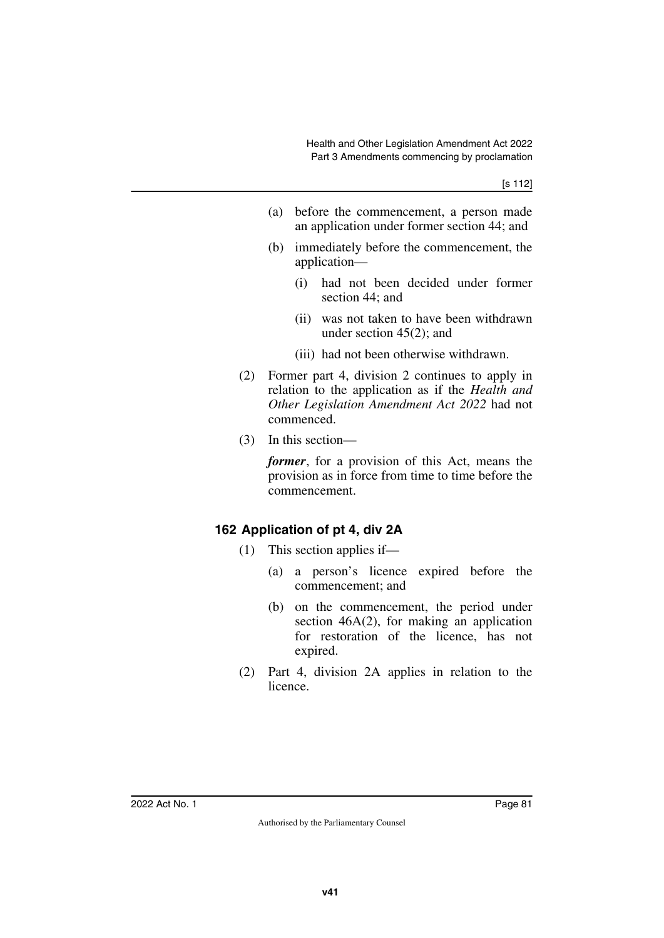- (a) before the commencement, a person made an application under former section 44; and
- (b) immediately before the commencement, the application—
	- (i) had not been decided under former section 44; and
	- (ii) was not taken to have been withdrawn under section 45(2); and
	- (iii) had not been otherwise withdrawn.
- (2) Former part 4, division 2 continues to apply in relation to the application as if the *Health and Other Legislation Amendment Act 2022* had not commenced.
- (3) In this section—

*former*, for a provision of this Act, means the provision as in force from time to time before the commencement.

#### **162 Application of pt 4, div 2A**

- (1) This section applies if—
	- (a) a person's licence expired before the commencement; and
	- (b) on the commencement, the period under section  $46A(2)$ , for making an application for restoration of the licence, has not expired.
- (2) Part 4, division 2A applies in relation to the licence.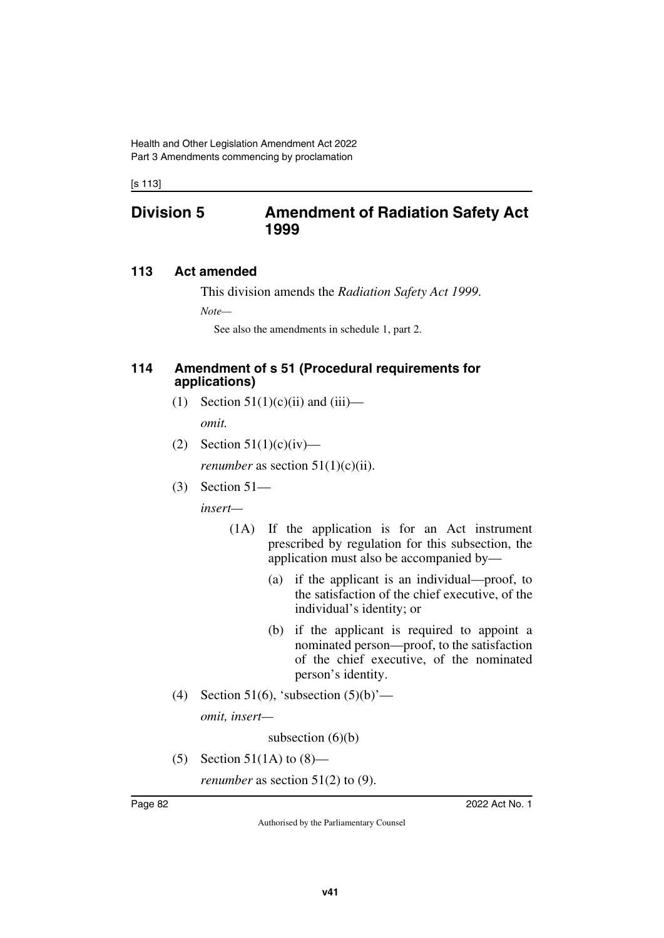[s 113]

## **Division 5 Amendment of Radiation Safety Act 1999**

#### **113 Act amended**

This division amends the *Radiation Safety Act 1999*.

*Note—*

See also the amendments in schedule 1, part 2.

#### **114 Amendment of s 51 (Procedural requirements for applications)**

- (1) Section  $51(1)(c)(ii)$  and  $(iii)$  *omit.*
- (2) Section  $51(1)(c)(iv)$ —

*renumber* as section  $51(1)(c)(ii)$ .

(3) Section 51—

*insert—*

- (1A) If the application is for an Act instrument prescribed by regulation for this subsection, the application must also be accompanied by—
	- (a) if the applicant is an individual—proof, to the satisfaction of the chief executive, of the individual's identity; or
	- (b) if the applicant is required to appoint a nominated person—proof, to the satisfaction of the chief executive, of the nominated person's identity.
- (4) Section 51(6), 'subsection  $(5)(b)$ '—

*omit, insert—*

subsection  $(6)(b)$ 

(5) Section 51(1A) to  $(8)$ —

*renumber* as section 51(2) to (9).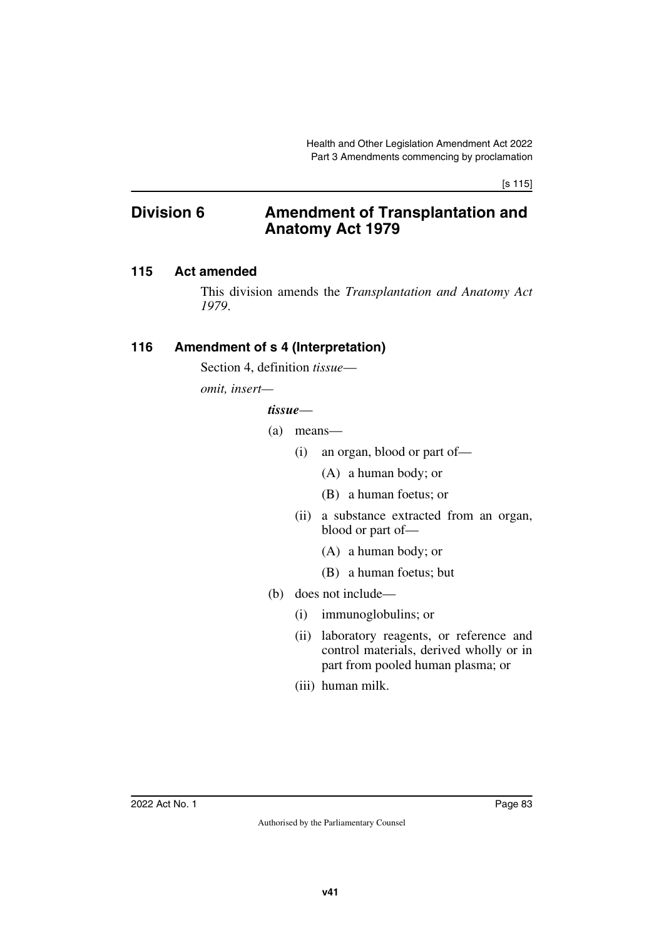[s 115]

# **Division 6 Amendment of Transplantation and Anatomy Act 1979**

#### **115 Act amended**

This division amends the *Transplantation and Anatomy Act 1979*.

#### **116 Amendment of s 4 (Interpretation)**

Section 4, definition *tissue*—

*omit, insert—*

#### *tissue*—

- (a) means—
	- (i) an organ, blood or part of—
		- (A) a human body; or
		- (B) a human foetus; or
	- (ii) a substance extracted from an organ, blood or part of—
		- (A) a human body; or
		- (B) a human foetus; but
- (b) does not include—
	- (i) immunoglobulins; or
	- (ii) laboratory reagents, or reference and control materials, derived wholly or in part from pooled human plasma; or
	- (iii) human milk.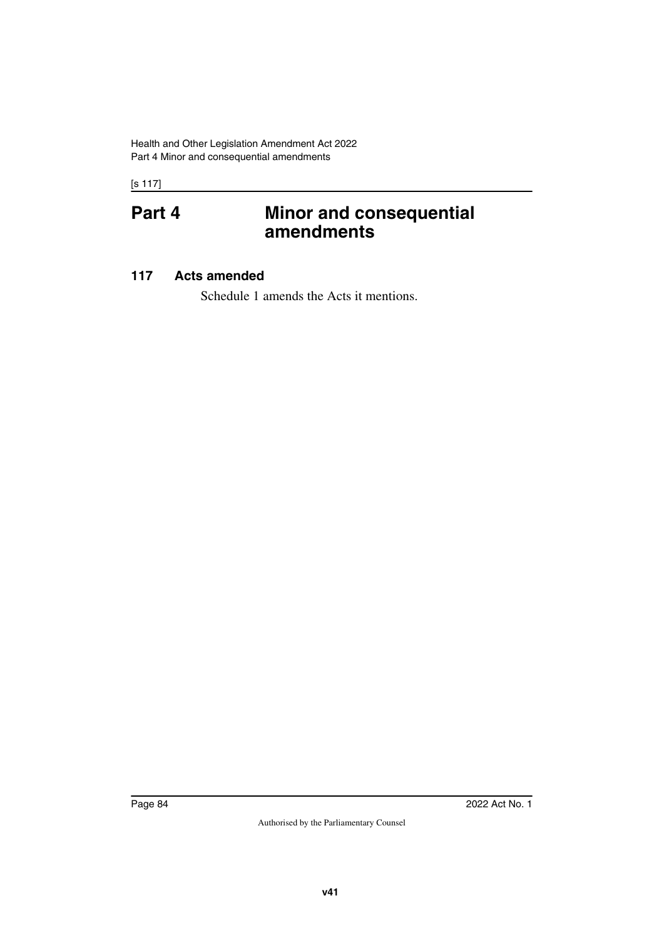Health and Other Legislation Amendment Act 2022 Part 4 Minor and consequential amendments

[s 117]

# **Part 4 Minor and consequential amendments**

#### **117 Acts amended**

Schedule 1 amends the Acts it mentions.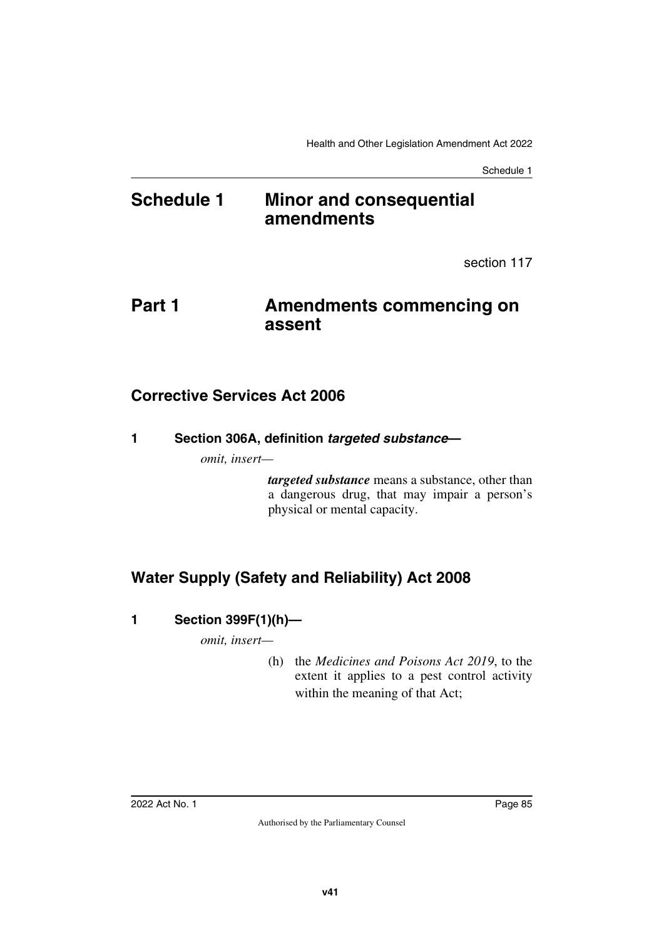# **Schedule 1 Minor and consequential amendments**

section 117

# **Part 1 Amendments commencing on assent**

# **Corrective Services Act 2006**

**1 Section 306A, definition** *targeted substance***—**

*omit, insert—*

*targeted substance* means a substance, other than a dangerous drug, that may impair a person's physical or mental capacity.

# **Water Supply (Safety and Reliability) Act 2008**

# **1 Section 399F(1)(h)—**

*omit, insert—*

(h) the *Medicines and Poisons Act 2019*, to the extent it applies to a pest control activity within the meaning of that Act;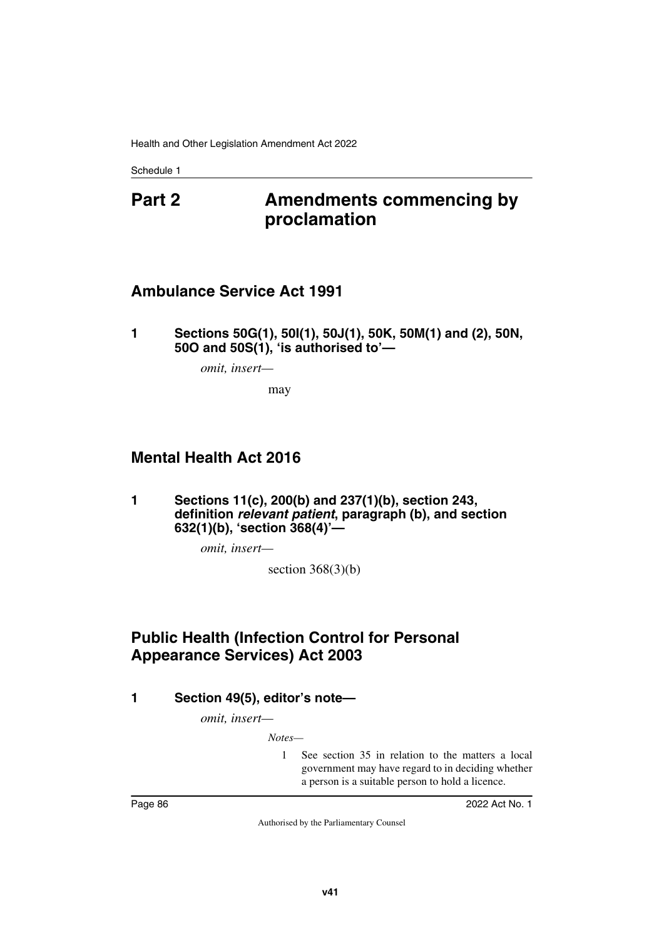# **Part 2 Amendments commencing by proclamation**

# **Ambulance Service Act 1991**

**1 Sections 50G(1), 50I(1), 50J(1), 50K, 50M(1) and (2), 50N, 50O and 50S(1), 'is authorised to'—**

*omit, insert—*

may

# **Mental Health Act 2016**

**1 Sections 11(c), 200(b) and 237(1)(b), section 243, definition** *relevant patient***, paragraph (b), and section 632(1)(b), 'section 368(4)'—**

*omit, insert—*

section  $368(3)(b)$ 

# **Public Health (Infection Control for Personal Appearance Services) Act 2003**

**1 Section 49(5), editor's note—**

*omit, insert—*

*Notes—*

1 See section 35 in relation to the matters a local government may have regard to in deciding whether a person is a suitable person to hold a licence.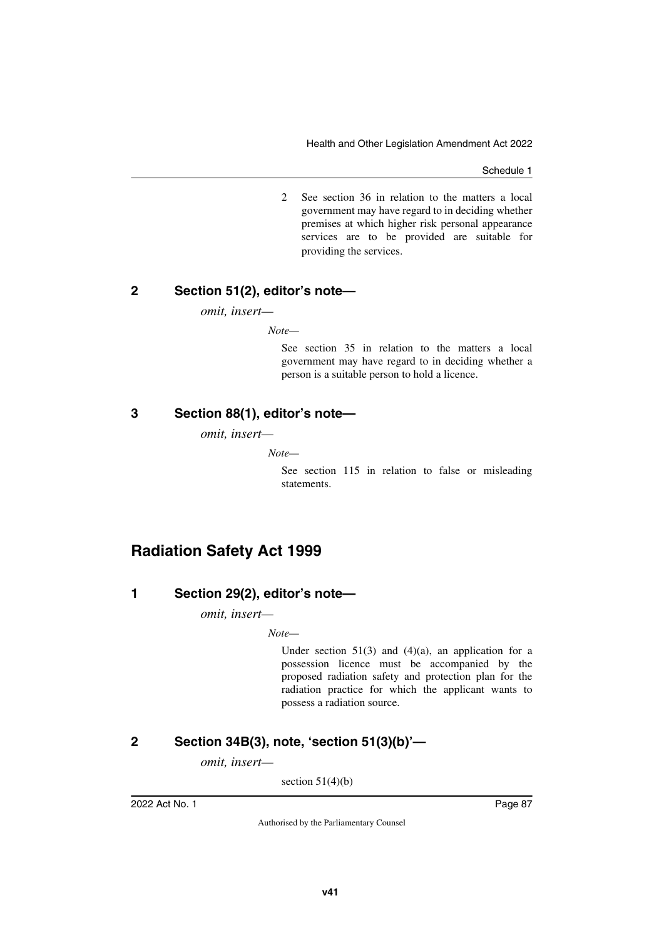2 See section 36 in relation to the matters a local government may have regard to in deciding whether premises at which higher risk personal appearance services are to be provided are suitable for providing the services.

#### **2 Section 51(2), editor's note—**

*omit, insert—*

*Note—*

See section 35 in relation to the matters a local government may have regard to in deciding whether a person is a suitable person to hold a licence.

#### **3 Section 88(1), editor's note—**

*omit, insert—*

*Note—*

See section 115 in relation to false or misleading statements.

# **Radiation Safety Act 1999**

#### **1 Section 29(2), editor's note—**

*omit, insert—*

*Note—*

Under section  $51(3)$  and  $(4)(a)$ , an application for a possession licence must be accompanied by the proposed radiation safety and protection plan for the radiation practice for which the applicant wants to possess a radiation source.

### **2 Section 34B(3), note, 'section 51(3)(b)'—**

*omit, insert—*

section  $51(4)(b)$